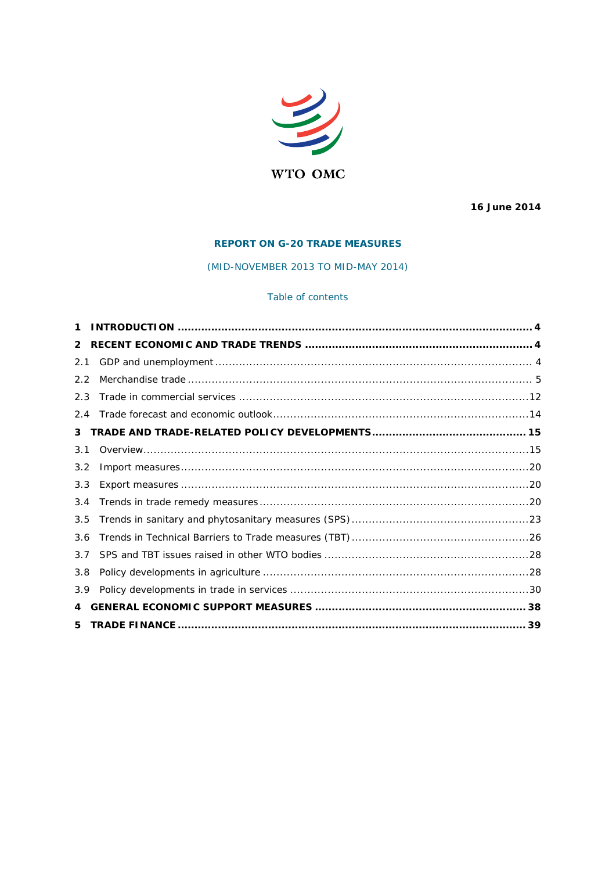

16 June 2014

# **REPORT ON G-20 TRADE MEASURES**

(MID-NOVEMBER 2013 TO MID-MAY 2014)

# Table of contents

| 1   |  |
|-----|--|
| 2   |  |
| 2.1 |  |
| 2.2 |  |
| 2.3 |  |
| 2.4 |  |
| 3   |  |
| 3.1 |  |
| 3.2 |  |
| 3.3 |  |
| 3.4 |  |
| 3.5 |  |
| 3.6 |  |
| 3.7 |  |
| 3.8 |  |
| 3.9 |  |
| 4   |  |
| 5   |  |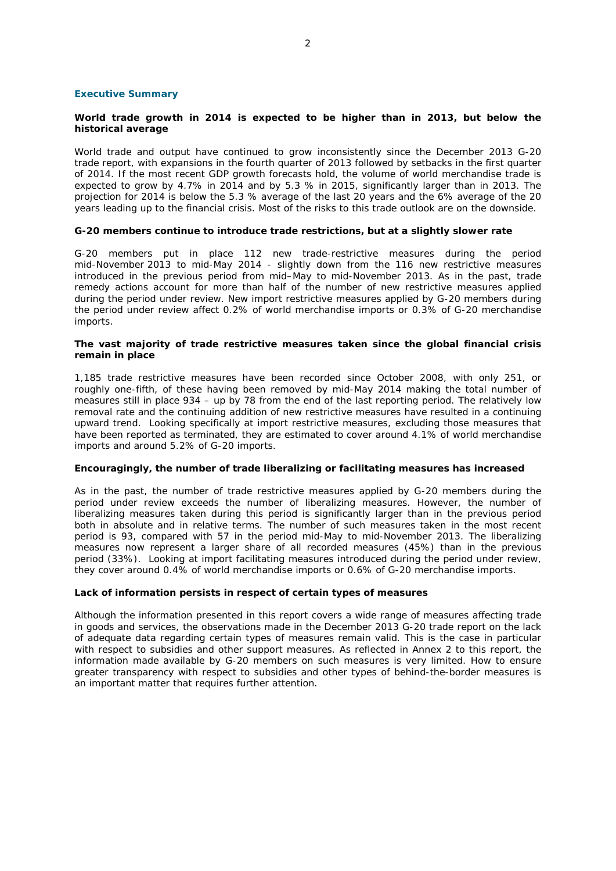### **Executive Summary**

## **World trade growth in 2014 is expected to be higher than in 2013, but below the historical average**

World trade and output have continued to grow inconsistently since the December 2013 G-20 trade report, with expansions in the fourth quarter of 2013 followed by setbacks in the first quarter of 2014. If the most recent GDP growth forecasts hold, the volume of world merchandise trade is expected to grow by 4.7% in 2014 and by 5.3 % in 2015, significantly larger than in 2013. The projection for 2014 is below the 5.3 % average of the last 20 years and the 6% average of the 20 years leading up to the financial crisis. Most of the risks to this trade outlook are on the downside.

## **G-20 members continue to introduce trade restrictions, but at a slightly slower rate**

G-20 members put in place 112 new trade-restrictive measures during the period mid-November 2013 to mid-May 2014 - slightly down from the 116 new restrictive measures introduced in the previous period from mid–May to mid-November 2013. As in the past, trade remedy actions account for more than half of the number of new restrictive measures applied during the period under review. New import restrictive measures applied by G-20 members during the period under review affect 0.2% of world merchandise imports or 0.3% of G-20 merchandise imports.

## **The vast majority of trade restrictive measures taken since the global financial crisis remain in place**

1,185 trade restrictive measures have been recorded since October 2008, with only 251, or roughly one-fifth, of these having been removed by mid-May 2014 making the total number of measures still in place 934 – up by 78 from the end of the last reporting period. The relatively low removal rate and the continuing addition of new restrictive measures have resulted in a continuing upward trend. Looking specifically at import restrictive measures, excluding those measures that have been reported as terminated, they are estimated to cover around 4.1% of world merchandise imports and around 5.2% of G-20 imports.

## **Encouragingly, the number of trade liberalizing or facilitating measures has increased**

As in the past, the number of trade restrictive measures applied by G-20 members during the period under review exceeds the number of liberalizing measures. However, the number of liberalizing measures taken during this period is significantly larger than in the previous period both in absolute and in relative terms. The number of such measures taken in the most recent period is 93, compared with 57 in the period mid-May to mid-November 2013. The liberalizing measures now represent a larger share of all recorded measures (45%) than in the previous period (33%). Looking at import facilitating measures introduced during the period under review, they cover around 0.4% of world merchandise imports or 0.6% of G-20 merchandise imports.

## **Lack of information persists in respect of certain types of measures**

Although the information presented in this report covers a wide range of measures affecting trade in goods and services, the observations made in the December 2013 G-20 trade report on the lack of adequate data regarding certain types of measures remain valid. This is the case in particular with respect to subsidies and other support measures. As reflected in Annex 2 to this report, the information made available by G-20 members on such measures is very limited. How to ensure greater transparency with respect to subsidies and other types of behind-the-border measures is an important matter that requires further attention.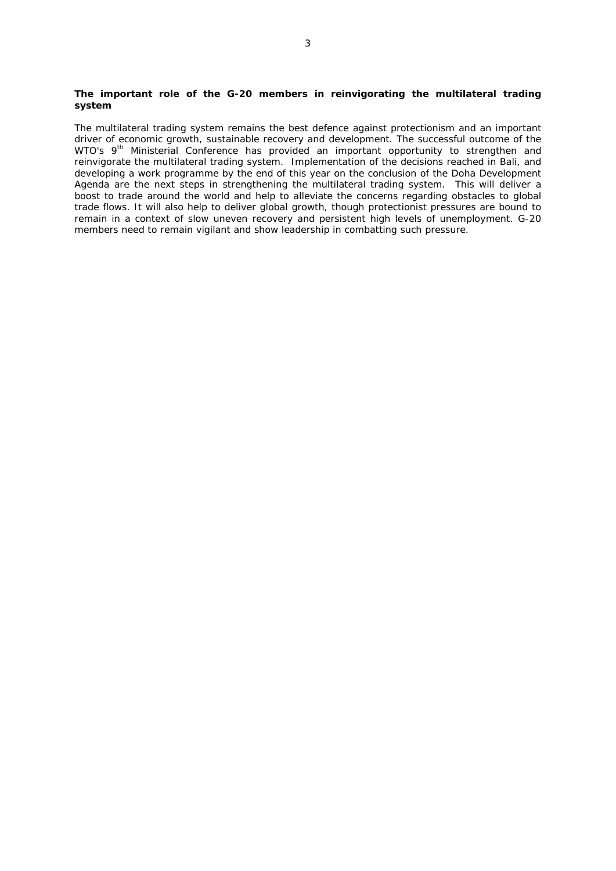## **The important role of the G-20 members in reinvigorating the multilateral trading system**

The multilateral trading system remains the best defence against protectionism and an important driver of economic growth, sustainable recovery and development. The successful outcome of the WTO's 9<sup>th</sup> Ministerial Conference has provided an important opportunity to strengthen and reinvigorate the multilateral trading system. Implementation of the decisions reached in Bali, and developing a work programme by the end of this year on the conclusion of the Doha Development Agenda are the next steps in strengthening the multilateral trading system. This will deliver a boost to trade around the world and help to alleviate the concerns regarding obstacles to global trade flows. It will also help to deliver global growth, though protectionist pressures are bound to remain in a context of slow uneven recovery and persistent high levels of unemployment. G-20 members need to remain vigilant and show leadership in combatting such pressure.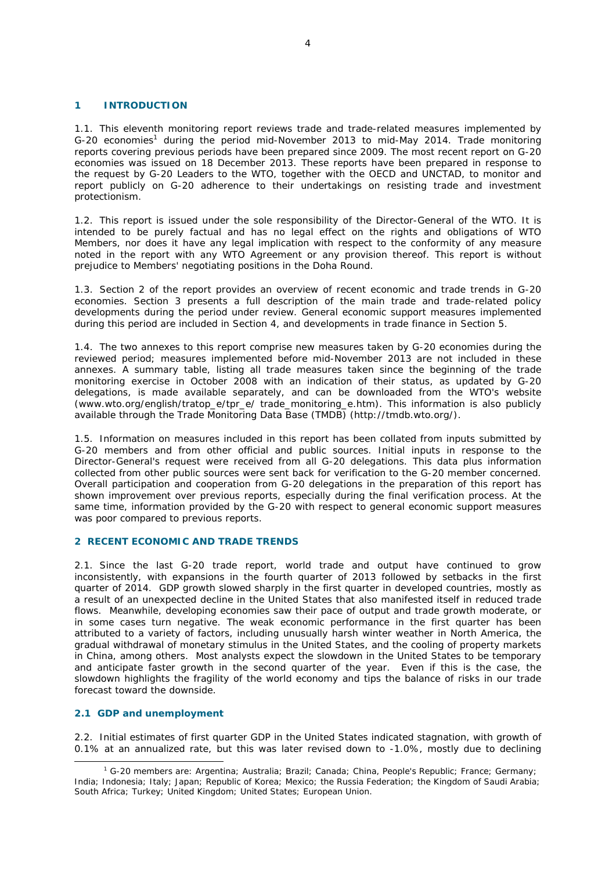## **1 INTRODUCTION**

1.1. This eleventh monitoring report reviews trade and trade-related measures implemented by G-20 economies<sup>1</sup> during the period mid-November 2013 to mid-May 2014. Trade monitoring reports covering previous periods have been prepared since 2009. The most recent report on G-20 economies was issued on 18 December 2013. These reports have been prepared in response to the request by G-20 Leaders to the WTO, together with the OECD and UNCTAD, to monitor and report publicly on G-20 adherence to their undertakings on resisting trade and investment protectionism.

1.2. This report is issued under the sole responsibility of the Director-General of the WTO. It is intended to be purely factual and has no legal effect on the rights and obligations of WTO Members, nor does it have any legal implication with respect to the conformity of any measure noted in the report with any WTO Agreement or any provision thereof. This report is without prejudice to Members' negotiating positions in the Doha Round.

1.3. Section 2 of the report provides an overview of recent economic and trade trends in G-20 economies. Section 3 presents a full description of the main trade and trade-related policy developments during the period under review. General economic support measures implemented during this period are included in Section 4, and developments in trade finance in Section 5.

1.4. The two annexes to this report comprise new measures taken by G-20 economies during the reviewed period; measures implemented before mid-November 2013 are not included in these annexes. A summary table, listing all trade measures taken since the beginning of the trade monitoring exercise in October 2008 with an indication of their status, as updated by G-20 delegations, is made available separately, and can be downloaded from the WTO's website (www.wto.org/english/tratop\_e/tpr\_e/ trade\_monitoring\_e.htm). This information is also publicly available through the Trade Monitoring Data Base (TMDB) (http://tmdb.wto.org/).

1.5. Information on measures included in this report has been collated from inputs submitted by G-20 members and from other official and public sources. Initial inputs in response to the Director-General's request were received from all G-20 delegations. This data plus information collected from other public sources were sent back for verification to the G-20 member concerned. Overall participation and cooperation from G-20 delegations in the preparation of this report has shown improvement over previous reports, especially during the final verification process. At the same time, information provided by the G-20 with respect to general economic support measures was poor compared to previous reports.

## **2 RECENT ECONOMIC AND TRADE TRENDS**

2.1. Since the last G-20 trade report, world trade and output have continued to grow inconsistently, with expansions in the fourth quarter of 2013 followed by setbacks in the first quarter of 2014. GDP growth slowed sharply in the first quarter in developed countries, mostly as a result of an unexpected decline in the United States that also manifested itself in reduced trade flows. Meanwhile, developing economies saw their pace of output and trade growth moderate, or in some cases turn negative. The weak economic performance in the first quarter has been attributed to a variety of factors, including unusually harsh winter weather in North America, the gradual withdrawal of monetary stimulus in the United States, and the cooling of property markets in China, among others. Most analysts expect the slowdown in the United States to be temporary and anticipate faster growth in the second quarter of the year. Even if this is the case, the slowdown highlights the fragility of the world economy and tips the balance of risks in our trade forecast toward the downside.

## **2.1 GDP and unemployment**

2.2. Initial estimates of first quarter GDP in the United States indicated stagnation, with growth of 0.1% at an annualized rate, but this was later revised down to -1.0%, mostly due to declining

 $\overline{\phantom{a}}$  G-20 members are: Argentina; Australia; Brazil; Canada; China, People's Republic; France; Germany; India; Indonesia; Italy; Japan; Republic of Korea; Mexico; the Russia Federation; the Kingdom of Saudi Arabia; South Africa; Turkey; United Kingdom; United States; European Union.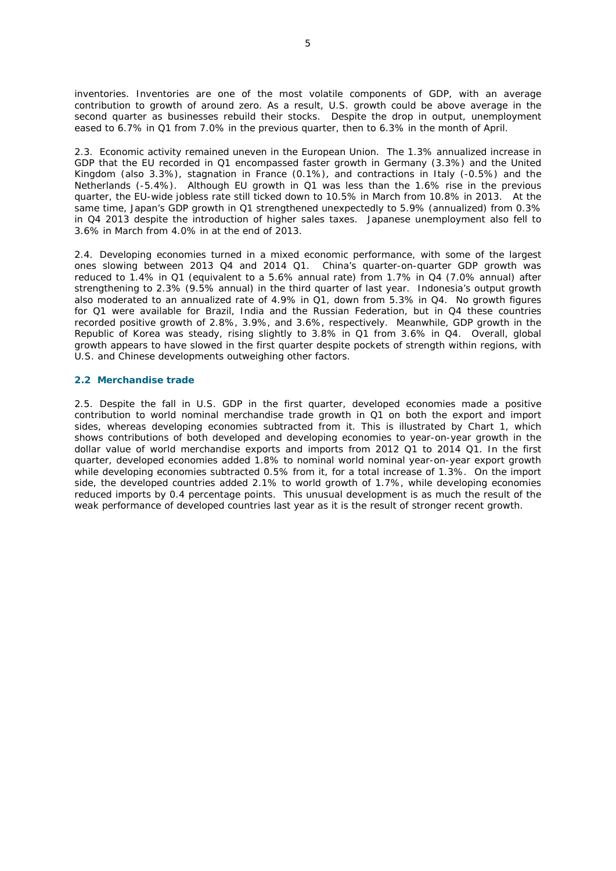inventories. Inventories are one of the most volatile components of GDP, with an average contribution to growth of around zero. As a result, U.S. growth could be above average in the second quarter as businesses rebuild their stocks. Despite the drop in output, unemployment eased to 6.7% in Q1 from 7.0% in the previous quarter, then to 6.3% in the month of April.

2.3. Economic activity remained uneven in the European Union. The 1.3% annualized increase in GDP that the EU recorded in Q1 encompassed faster growth in Germany (3.3%) and the United Kingdom (also 3.3%), stagnation in France (0.1%), and contractions in Italy (-0.5%) and the Netherlands (-5.4%). Although EU growth in Q1 was less than the 1.6% rise in the previous quarter, the EU-wide jobless rate still ticked down to 10.5% in March from 10.8% in 2013. At the same time, Japan's GDP growth in Q1 strengthened unexpectedly to 5.9% (annualized) from 0.3% in Q4 2013 despite the introduction of higher sales taxes. Japanese unemployment also fell to 3.6% in March from 4.0% in at the end of 2013.

2.4. Developing economies turned in a mixed economic performance, with some of the largest ones slowing between 2013 Q4 and 2014 Q1. China's quarter-on-quarter GDP growth was reduced to 1.4% in Q1 (equivalent to a 5.6% annual rate) from 1.7% in Q4 (7.0% annual) after strengthening to 2.3% (9.5% annual) in the third quarter of last year. Indonesia's output growth also moderated to an annualized rate of 4.9% in Q1, down from 5.3% in Q4. No growth figures for Q1 were available for Brazil, India and the Russian Federation, but in Q4 these countries recorded positive growth of 2.8%, 3.9%, and 3.6%, respectively. Meanwhile, GDP growth in the Republic of Korea was steady, rising slightly to 3.8% in Q1 from 3.6% in Q4. Overall, global growth appears to have slowed in the first quarter despite pockets of strength within regions, with U.S. and Chinese developments outweighing other factors.

# **2.2 Merchandise trade**

2.5. Despite the fall in U.S. GDP in the first quarter, developed economies made a positive contribution to world nominal merchandise trade growth in Q1 on both the export and import sides, whereas developing economies subtracted from it. This is illustrated by Chart 1, which shows contributions of both developed and developing economies to year-on-year growth in the dollar value of world merchandise exports and imports from 2012 Q1 to 2014 Q1. In the first quarter, developed economies added 1.8% to nominal world nominal year-on-year export growth while developing economies subtracted 0.5% from it, for a total increase of 1.3%. On the import side, the developed countries added 2.1% to world growth of 1.7%, while developing economies reduced imports by 0.4 percentage points. This unusual development is as much the result of the weak performance of developed countries last year as it is the result of stronger recent growth.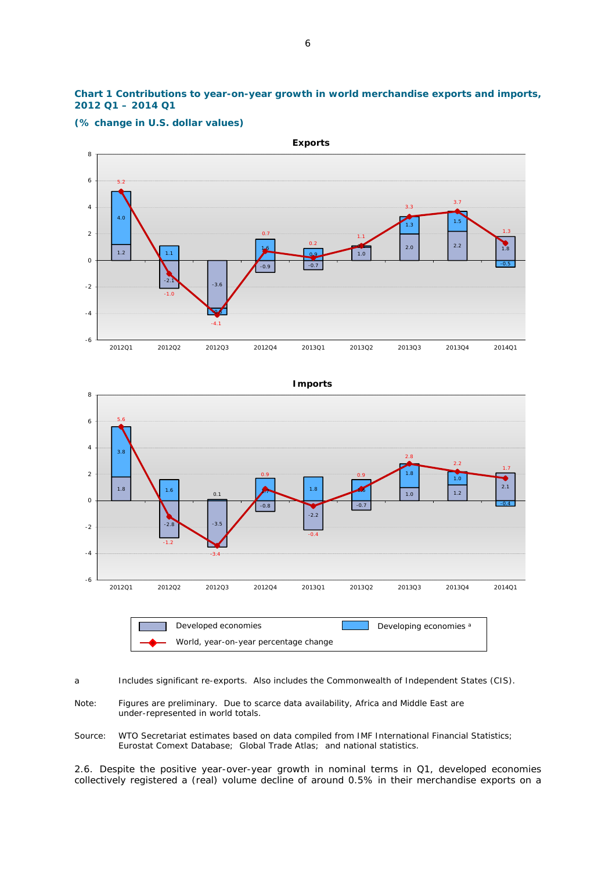# **Chart 1 Contributions to year-on-year growth in world merchandise exports and imports, 2012 Q1 – 2014 Q1**



**(% change in U.S. dollar values)**



a Includes significant re-exports. Also includes the Commonwealth of Independent States (CIS).

- Note: Figures are preliminary. Due to scarce data availability, Africa and Middle East are under-represented in world totals.
- Source: WTO Secretariat estimates based on data compiled from IMF International Financial Statistics; Eurostat Comext Database; Global Trade Atlas; and national statistics.

2.6. Despite the positive year-over-year growth in nominal terms in Q1, developed economies collectively registered a (real) volume decline of around 0.5% in their merchandise exports on a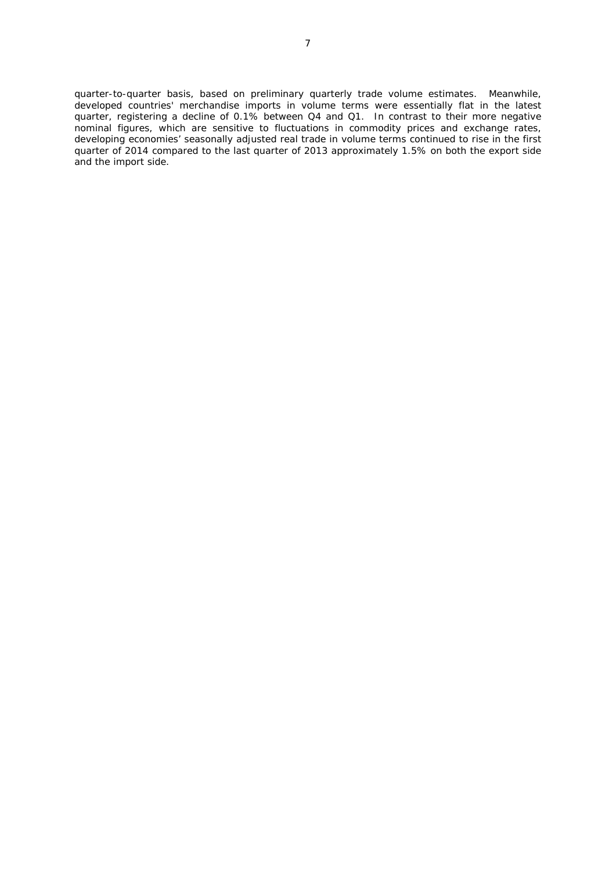quarter-to-quarter basis, based on preliminary quarterly trade volume estimates. Meanwhile, developed countries' merchandise imports in volume terms were essentially flat in the latest quarter, registering a decline of 0.1% between Q4 and Q1. In contrast to their more negative nominal figures, which are sensitive to fluctuations in commodity prices and exchange rates, developing economies' seasonally adjusted real trade in volume terms continued to rise in the first quarter of 2014 compared to the last quarter of 2013 approximately 1.5% on both the export side and the import side.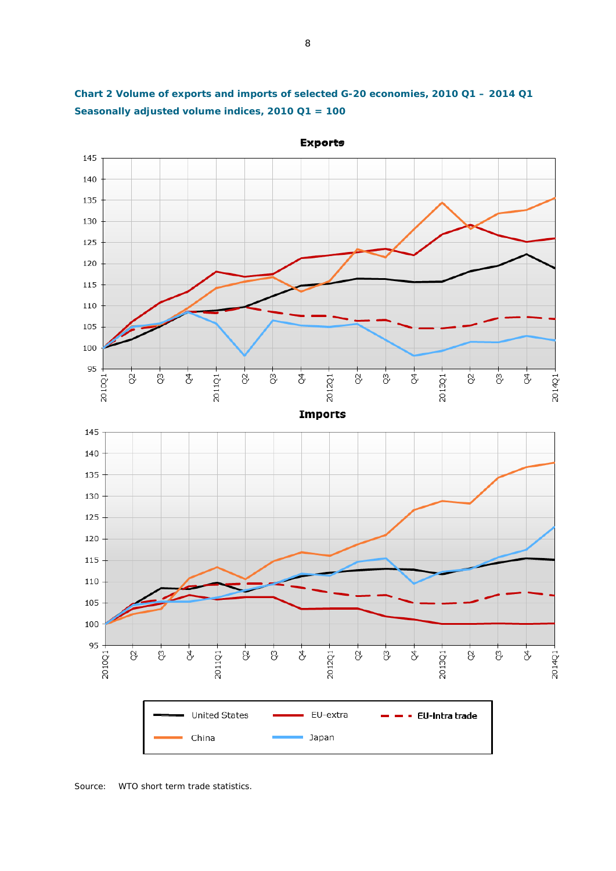



Source: WTO short term trade statistics.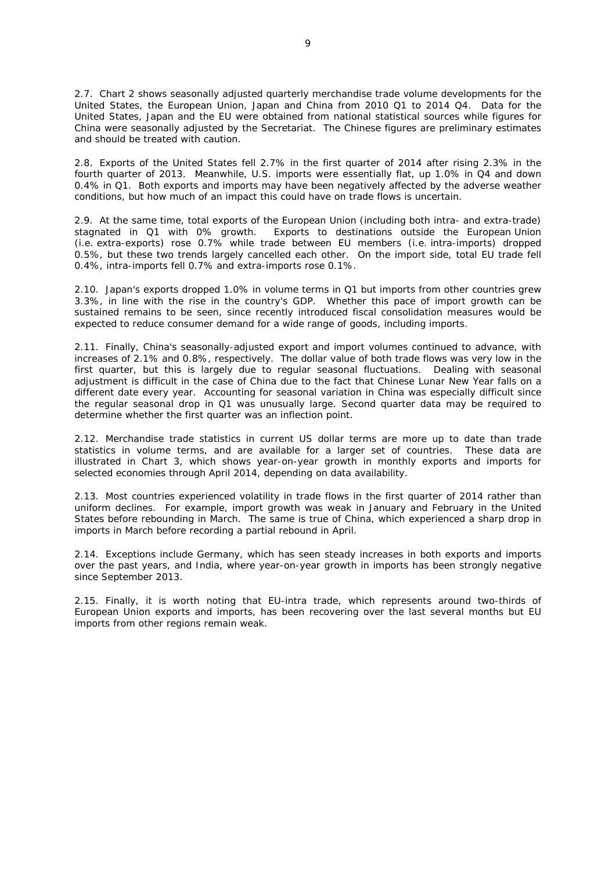2.7. Chart 2 shows seasonally adjusted quarterly merchandise trade volume developments for the United States, the European Union, Japan and China from 2010 Q1 to 2014 Q4. Data for the United States, Japan and the EU were obtained from national statistical sources while figures for China were seasonally adjusted by the Secretariat. The Chinese figures are preliminary estimates and should be treated with caution.

2.8. Exports of the United States fell 2.7% in the first quarter of 2014 after rising 2.3% in the fourth quarter of 2013. Meanwhile, U.S. imports were essentially flat, up 1.0% in Q4 and down 0.4% in Q1. Both exports and imports may have been negatively affected by the adverse weather conditions, but how much of an impact this could have on trade flows is uncertain.

2.9. At the same time, total exports of the European Union (including both intra- and extra-trade) stagnated in Q1 with 0% growth. Exports to destinations outside the European Union (i.e. extra-exports) rose 0.7% while trade between EU members (i.e. intra-imports) dropped 0.5%, but these two trends largely cancelled each other. On the import side, total EU trade fell 0.4%, intra-imports fell 0.7% and extra-imports rose 0.1%.

2.10. Japan's exports dropped 1.0% in volume terms in Q1 but imports from other countries grew 3.3%, in line with the rise in the country's GDP. Whether this pace of import growth can be sustained remains to be seen, since recently introduced fiscal consolidation measures would be expected to reduce consumer demand for a wide range of goods, including imports.

2.11. Finally, China's seasonally-adjusted export and import volumes continued to advance, with increases of 2.1% and 0.8%, respectively. The dollar value of both trade flows was very low in the first quarter, but this is largely due to regular seasonal fluctuations. Dealing with seasonal adjustment is difficult in the case of China due to the fact that Chinese Lunar New Year falls on a different date every year. Accounting for seasonal variation in China was especially difficult since the regular seasonal drop in Q1 was unusually large. Second quarter data may be required to determine whether the first quarter was an inflection point.

2.12. Merchandise trade statistics in current US dollar terms are more up to date than trade statistics in volume terms, and are available for a larger set of countries. These data are illustrated in Chart 3, which shows year-on-year growth in monthly exports and imports for selected economies through April 2014, depending on data availability.

2.13. Most countries experienced volatility in trade flows in the first quarter of 2014 rather than uniform declines. For example, import growth was weak in January and February in the United States before rebounding in March. The same is true of China, which experienced a sharp drop in imports in March before recording a partial rebound in April.

2.14. Exceptions include Germany, which has seen steady increases in both exports and imports over the past years, and India, where year-on-year growth in imports has been strongly negative since September 2013.

2.15. Finally, it is worth noting that EU-intra trade, which represents around two-thirds of European Union exports and imports, has been recovering over the last several months but EU imports from other regions remain weak.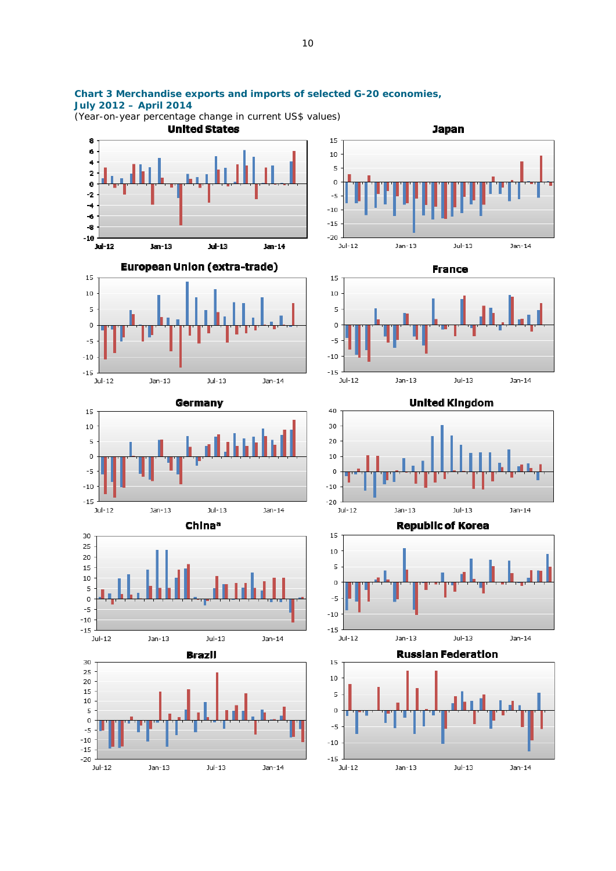

10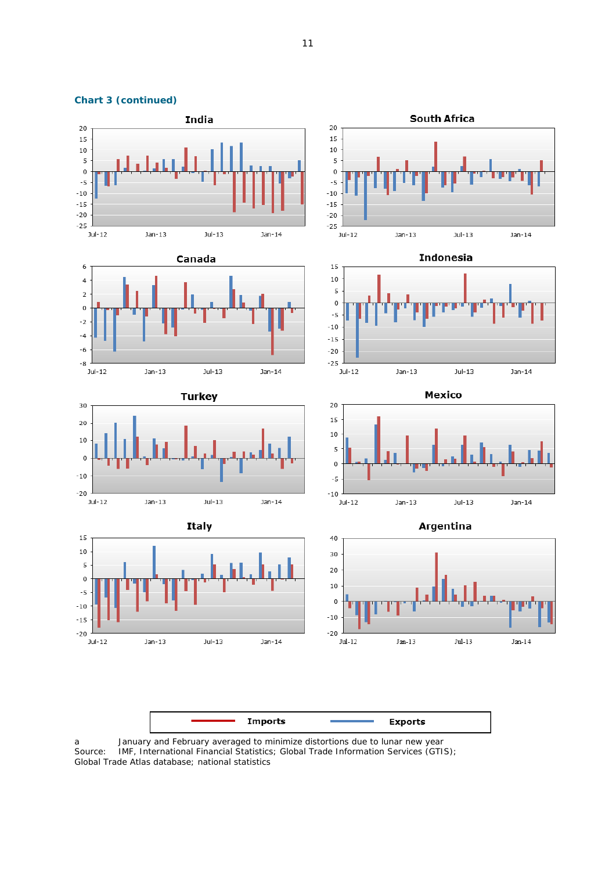

a January and February averaged to minimize distortions due to lunar new year Source: IMF, International Financial Statistics; Global Trade Information Services (GTIS); Global Trade Atlas database; national statistics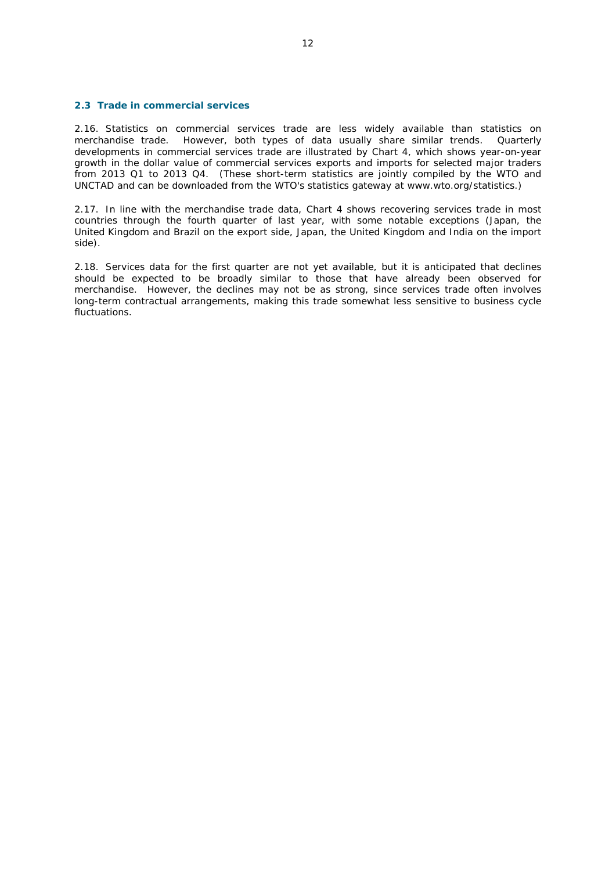## **2.3 Trade in commercial services**

2.16. Statistics on commercial services trade are less widely available than statistics on merchandise trade. However, both types of data usually share similar trends. Quarterly developments in commercial services trade are illustrated by Chart 4, which shows year-on-year growth in the dollar value of commercial services exports and imports for selected major traders from 2013 Q1 to 2013 Q4. (These short-term statistics are jointly compiled by the WTO and UNCTAD and can be downloaded from the WTO's statistics gateway at www.wto.org/statistics.)

2.17. In line with the merchandise trade data, Chart 4 shows recovering services trade in most countries through the fourth quarter of last year, with some notable exceptions (Japan, the United Kingdom and Brazil on the export side, Japan, the United Kingdom and India on the import side).

2.18. Services data for the first quarter are not yet available, but it is anticipated that declines should be expected to be broadly similar to those that have already been observed for merchandise. However, the declines may not be as strong, since services trade often involves long-term contractual arrangements, making this trade somewhat less sensitive to business cycle fluctuations.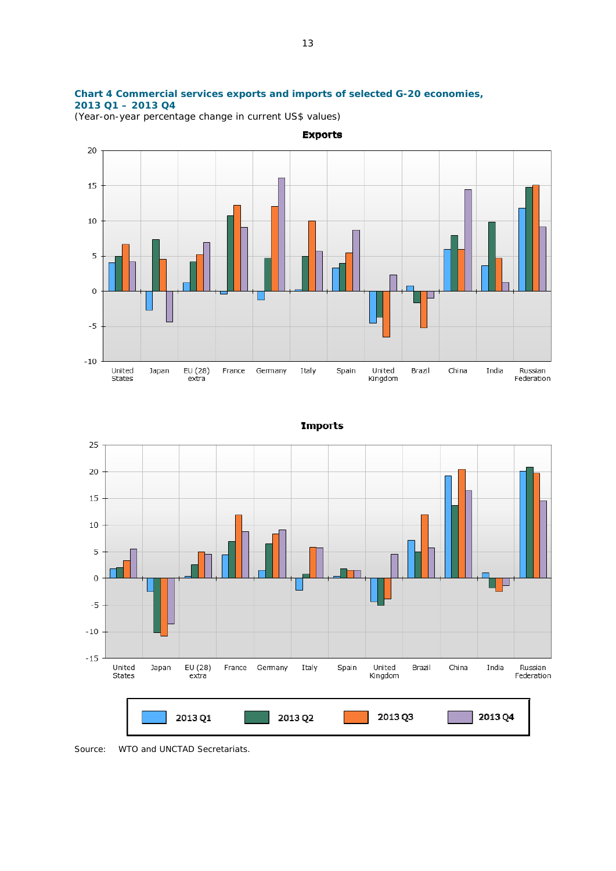# **Chart 4 Commercial services exports and imports of selected G-20 economies, 2013 Q1 – 2013 Q4**

(Year-on-year percentage change in current US\$ values)





**Imports** 

Source: WTO and UNCTAD Secretariats.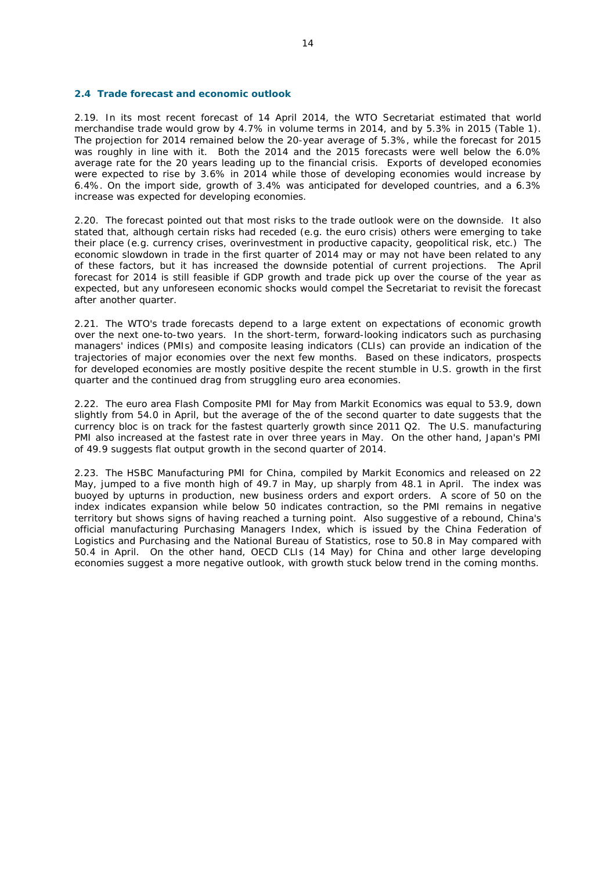#### **2.4 Trade forecast and economic outlook**

2.19. In its most recent forecast of 14 April 2014, the WTO Secretariat estimated that world merchandise trade would grow by 4.7% in volume terms in 2014, and by 5.3% in 2015 (Table 1). The projection for 2014 remained below the 20-year average of 5.3%, while the forecast for 2015 was roughly in line with it. Both the 2014 and the 2015 forecasts were well below the 6.0% average rate for the 20 years leading up to the financial crisis. Exports of developed economies were expected to rise by 3.6% in 2014 while those of developing economies would increase by 6.4%. On the import side, growth of 3.4% was anticipated for developed countries, and a 6.3% increase was expected for developing economies.

2.20. The forecast pointed out that most risks to the trade outlook were on the downside. It also stated that, although certain risks had receded (e.g. the euro crisis) others were emerging to take their place (e.g. currency crises, overinvestment in productive capacity, geopolitical risk, etc.) The economic slowdown in trade in the first quarter of 2014 may or may not have been related to any of these factors, but it has increased the downside potential of current projections. The April forecast for 2014 is still feasible if GDP growth and trade pick up over the course of the year as expected, but any unforeseen economic shocks would compel the Secretariat to revisit the forecast after another quarter.

2.21. The WTO's trade forecasts depend to a large extent on expectations of economic growth over the next one-to-two years. In the short-term, forward-looking indicators such as purchasing managers' indices (PMIs) and composite leasing indicators (CLIs) can provide an indication of the trajectories of major economies over the next few months. Based on these indicators, prospects for developed economies are mostly positive despite the recent stumble in U.S. growth in the first quarter and the continued drag from struggling euro area economies.

2.22. The euro area Flash Composite PMI for May from Markit Economics was equal to 53.9, down slightly from 54.0 in April, but the average of the of the second quarter to date suggests that the currency bloc is on track for the fastest quarterly growth since 2011 Q2. The U.S. manufacturing PMI also increased at the fastest rate in over three years in May. On the other hand, Japan's PMI of 49.9 suggests flat output growth in the second quarter of 2014.

2.23. The HSBC Manufacturing PMI for China, compiled by Markit Economics and released on 22 May, jumped to a five month high of 49.7 in May, up sharply from 48.1 in April. The index was buoyed by upturns in production, new business orders and export orders. A score of 50 on the index indicates expansion while below 50 indicates contraction, so the PMI remains in negative territory but shows signs of having reached a turning point. Also suggestive of a rebound, China's official manufacturing Purchasing Managers Index, which is issued by the China Federation of Logistics and Purchasing and the National Bureau of Statistics, rose to 50.8 in May compared with 50.4 in April. On the other hand, OECD CLIs (14 May) for China and other large developing economies suggest a more negative outlook, with growth stuck below trend in the coming months.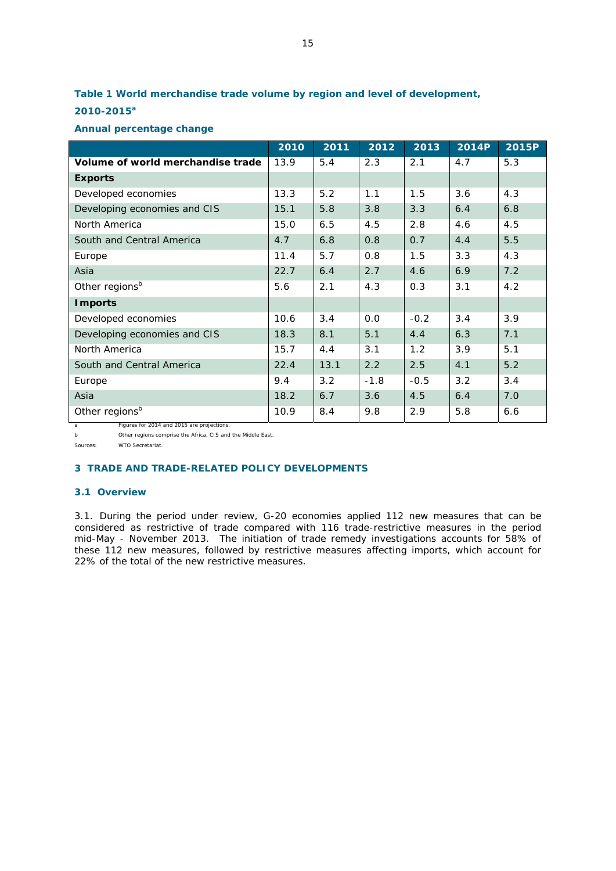# **Table 1 World merchandise trade volume by region and level of development, 2010-2015<sup>a</sup>**

# **Annual percentage change**

|                                   | 2010 | 2011 | 2012   | 2013   | <b>2014P</b> | 2015P |
|-----------------------------------|------|------|--------|--------|--------------|-------|
| Volume of world merchandise trade | 13.9 | 5.4  | 2.3    | 2.1    | 4.7          | 5.3   |
| <b>Exports</b>                    |      |      |        |        |              |       |
| Developed economies               | 13.3 | 5.2  | 1.1    | 1.5    | 3.6          | 4.3   |
| Developing economies and CIS      | 15.1 | 5.8  | 3.8    | 3.3    | 6.4          | 6.8   |
| North America                     | 15.0 | 6.5  | 4.5    | 2.8    | 4.6          | 4.5   |
| South and Central America         | 4.7  | 6.8  | 0.8    | 0.7    | 4.4          | 5.5   |
| Europe                            | 11.4 | 5.7  | 0.8    | 1.5    | 3.3          | 4.3   |
| Asia                              | 22.7 | 6.4  | 2.7    | 4.6    | 6.9          | 7.2   |
| Other regionsb                    | 5.6  | 2.1  | 4.3    | 0.3    | 3.1          | 4.2   |
| <b>Imports</b>                    |      |      |        |        |              |       |
| Developed economies               | 10.6 | 3.4  | 0.0    | $-0.2$ | 3.4          | 3.9   |
| Developing economies and CIS      | 18.3 | 8.1  | 5.1    | 4.4    | 6.3          | 7.1   |
| North America                     | 15.7 | 4.4  | 3.1    | 1.2    | 3.9          | 5.1   |
| South and Central America         | 22.4 | 13.1 | 2.2    | 2.5    | 4.1          | 5.2   |
| Europe                            | 9.4  | 3.2  | $-1.8$ | $-0.5$ | 3.2          | 3.4   |
| Asia                              | 18.2 | 6.7  | 3.6    | 4.5    | 6.4          | 7.0   |
| Other regions <sup>b</sup>        | 10.9 | 8.4  | 9.8    | 2.9    | 5.8          | 6.6   |

a Figures for 2014 and 2015 are projections. b Other regions comprise the Africa, CIS and the Middle East.

Sources: WTO Secretariat.

# **3 TRADE AND TRADE-RELATED POLICY DEVELOPMENTS**

# **3.1 Overview**

3.1. During the period under review, G-20 economies applied 112 new measures that can be considered as restrictive of trade compared with 116 trade-restrictive measures in the period mid-May - November 2013. The initiation of trade remedy investigations accounts for 58% of these 112 new measures, followed by restrictive measures affecting imports, which account for 22% of the total of the new restrictive measures.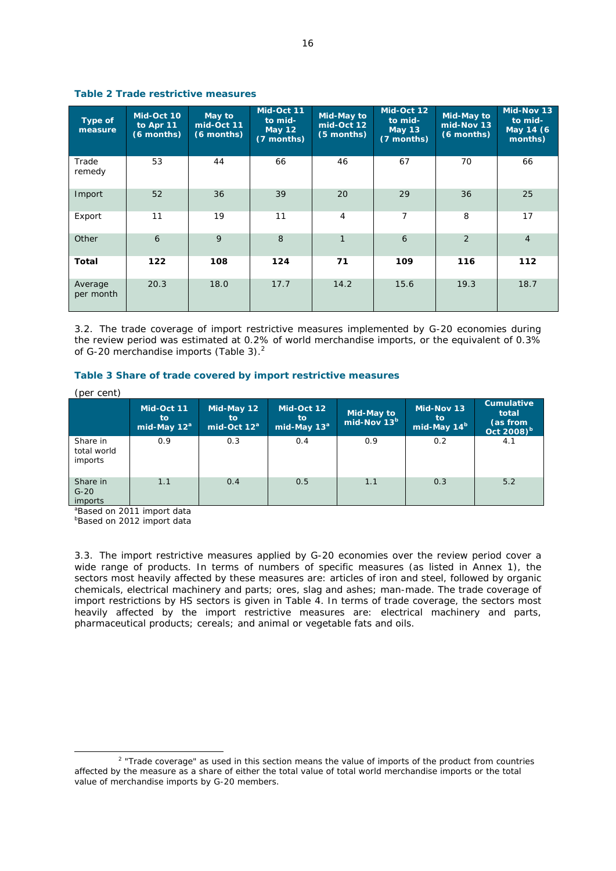| Type of<br>measure   | Mid-Oct 10<br>to Apr 11<br>(6 months) | May to<br>mid-Oct 11<br>(6 months) | Mid-Oct 11<br>to mid-<br><b>May 12</b><br>(7 months) | Mid-May to<br>mid-Oct 12<br>(5 months) | Mid-Oct 12<br>to mid-<br><b>May 13</b><br>(7 months) | <b>Mid-May to</b><br>mid-Nov 13<br>(6 months) | Mid-Nov 13<br>to mid-<br>May 14 (6<br>months) |
|----------------------|---------------------------------------|------------------------------------|------------------------------------------------------|----------------------------------------|------------------------------------------------------|-----------------------------------------------|-----------------------------------------------|
| Trade<br>remedy      | 53                                    | 44                                 | 66                                                   | 46                                     | 67                                                   | 70                                            | 66                                            |
| Import               | 52                                    | 36                                 | 39                                                   | 20                                     | 29                                                   | 36                                            | 25                                            |
| Export               | 11                                    | 19                                 | 11                                                   | 4                                      | 7                                                    | 8                                             | 17                                            |
| Other                | 6                                     | 9                                  | 8                                                    | $\mathbf{1}$                           | 6                                                    | 2                                             | $\overline{4}$                                |
| Total                | 122                                   | 108                                | 124                                                  | 71                                     | 109                                                  | 116                                           | 112                                           |
| Average<br>per month | 20.3                                  | 18.0                               | 17.7                                                 | 14.2                                   | 15.6                                                 | 19.3                                          | 18.7                                          |

## **Table 2 Trade restrictive measures**

3.2. The trade coverage of import restrictive measures implemented by G-20 economies during the review period was estimated at 0.2% of world merchandise imports, or the equivalent of 0.3% of G-20 merchandise imports (Table 3).<sup>2</sup>

# **Table 3 Share of trade covered by import restrictive measures**

(per cent)

|                                    | Mid-Oct 11<br>to<br>mid-May $12^a$ | Mid-May 12<br>to.<br>mid-Oct $12^a$ | Mid-Oct 12<br>to<br>mid-May 13 <sup>ª</sup> | Mid-May to<br>mid-Nov 13 <sup>b</sup> | Mid-Nov 13<br>to.<br>mid-May 14 <sup>b</sup> | <b>Cumulative</b><br>total<br>(as from<br>Oct 2008) <sup>b</sup> |
|------------------------------------|------------------------------------|-------------------------------------|---------------------------------------------|---------------------------------------|----------------------------------------------|------------------------------------------------------------------|
| Share in<br>total world<br>imports | 0.9                                | 0.3                                 | 0.4                                         | 0.9                                   | 0.2                                          | 4.1                                                              |
| Share in<br>$G-20$<br>imports      | 1.1                                | 0.4                                 | 0.5                                         | 1.1                                   | 0.3                                          | 5.2                                                              |

a Based on 2011 import data

**Based on 2012 import data** 

3.3. The import restrictive measures applied by G-20 economies over the review period cover a wide range of products. In terms of numbers of specific measures (as listed in Annex 1), the sectors most heavily affected by these measures are: articles of iron and steel, followed by organic chemicals, electrical machinery and parts; ores, slag and ashes; man-made. The trade coverage of import restrictions by HS sectors is given in Table 4. In terms of trade coverage, the sectors most heavily affected by the import restrictive measures are: electrical machinery and parts, pharmaceutical products; cereals; and animal or vegetable fats and oils.

 $\overline{\phantom{a}}$ <sup>2</sup> "Trade coverage" as used in this section means the value of imports of the product from countries affected by the measure as a share of either the total value of total world merchandise imports or the total value of merchandise imports by G-20 members.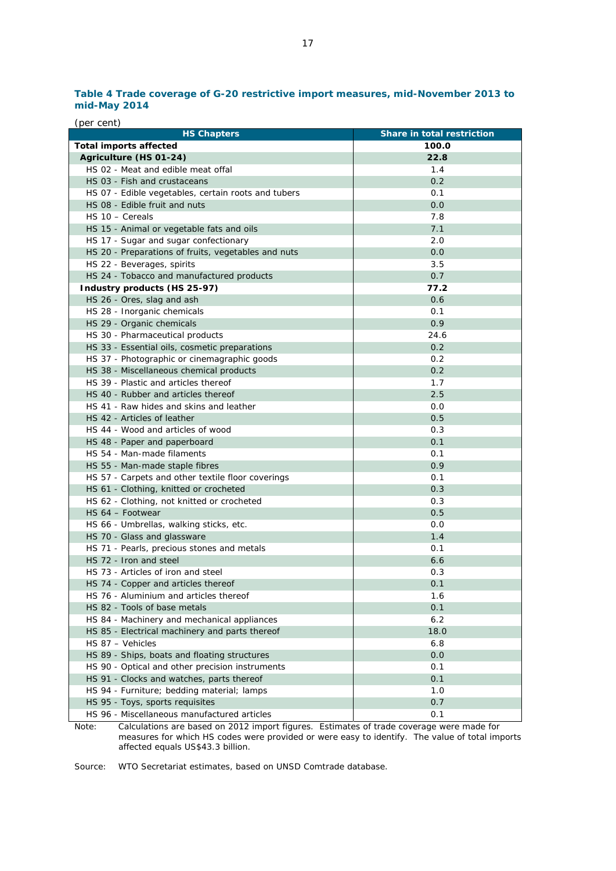# **Table 4 Trade coverage of G-20 restrictive import measures, mid-November 2013 to mid-May 2014**

| (per cent)                                          |                            |
|-----------------------------------------------------|----------------------------|
| <b>HS Chapters</b>                                  | Share in total restriction |
| <b>Total imports affected</b>                       | 100.0                      |
| Agriculture (HS 01-24)                              | 22.8                       |
| HS 02 - Meat and edible meat offal                  | 1.4                        |
| HS 03 - Fish and crustaceans                        | 0.2                        |
| HS 07 - Edible vegetables, certain roots and tubers | 0.1                        |
| HS 08 - Edible fruit and nuts                       | 0.0                        |
| $HS 10 - Cereals$                                   | 7.8                        |
| HS 15 - Animal or vegetable fats and oils           | 7.1                        |
| HS 17 - Sugar and sugar confectionary               | 2.0                        |
| HS 20 - Preparations of fruits, vegetables and nuts | 0.0                        |
| HS 22 - Beverages, spirits                          | 3.5                        |
| HS 24 - Tobacco and manufactured products           | 0.7                        |
| Industry products (HS 25-97)                        | 77.2                       |
| HS 26 - Ores, slag and ash                          | 0.6                        |
| HS 28 - Inorganic chemicals                         | 0.1                        |
| HS 29 - Organic chemicals                           | 0.9                        |
| HS 30 - Pharmaceutical products                     | 24.6                       |
| HS 33 - Essential oils, cosmetic preparations       | 0.2                        |
| HS 37 - Photographic or cinemagraphic goods         | 0.2                        |
| HS 38 - Miscellaneous chemical products             | 0.2                        |
| HS 39 - Plastic and articles thereof                | 1.7                        |
|                                                     |                            |
| HS 40 - Rubber and articles thereof                 | 2.5                        |
| HS 41 - Raw hides and skins and leather             | 0.0                        |
| HS 42 - Articles of leather                         | 0.5                        |
| HS 44 - Wood and articles of wood                   | 0.3                        |
| HS 48 - Paper and paperboard                        | 0.1                        |
| HS 54 - Man-made filaments                          | 0.1                        |
| HS 55 - Man-made staple fibres                      | 0.9                        |
| HS 57 - Carpets and other textile floor coverings   | 0.1                        |
| HS 61 - Clothing, knitted or crocheted              | 0.3                        |
| HS 62 - Clothing, not knitted or crocheted          | 0.3                        |
| HS 64 - Footwear                                    | 0.5                        |
| HS 66 - Umbrellas, walking sticks, etc.             | 0.0                        |
| HS 70 - Glass and glassware                         | 1.4                        |
| HS 71 - Pearls, precious stones and metals          | 0.1                        |
| HS 72 - Iron and steel                              | 6.6                        |
| HS 73 - Articles of iron and steel                  | 0.3                        |
| HS 74 - Copper and articles thereof                 | 0.1                        |
| HS 76 - Aluminium and articles thereof              | 1.6                        |
| HS 82 - Tools of base metals                        | 0.1                        |
| HS 84 - Machinery and mechanical appliances         | 6.2                        |
| HS 85 - Electrical machinery and parts thereof      | 18.0                       |
| HS 87 - Vehicles                                    | 6.8                        |
| HS 89 - Ships, boats and floating structures        | 0.0                        |
| HS 90 - Optical and other precision instruments     | 0.1                        |
| HS 91 - Clocks and watches, parts thereof           | 0.1                        |
| HS 94 - Furniture; bedding material; lamps          | 1.0                        |
| HS 95 - Toys, sports requisites                     | 0.7                        |
| HS 96 - Miscellaneous manufactured articles         | 0.1                        |

Note: Calculations are based on 2012 import figures. Estimates of trade coverage were made for measures for which HS codes were provided or were easy to identify. The value of total imports affected equals US\$43.3 billion.

Source: WTO Secretariat estimates, based on UNSD Comtrade database.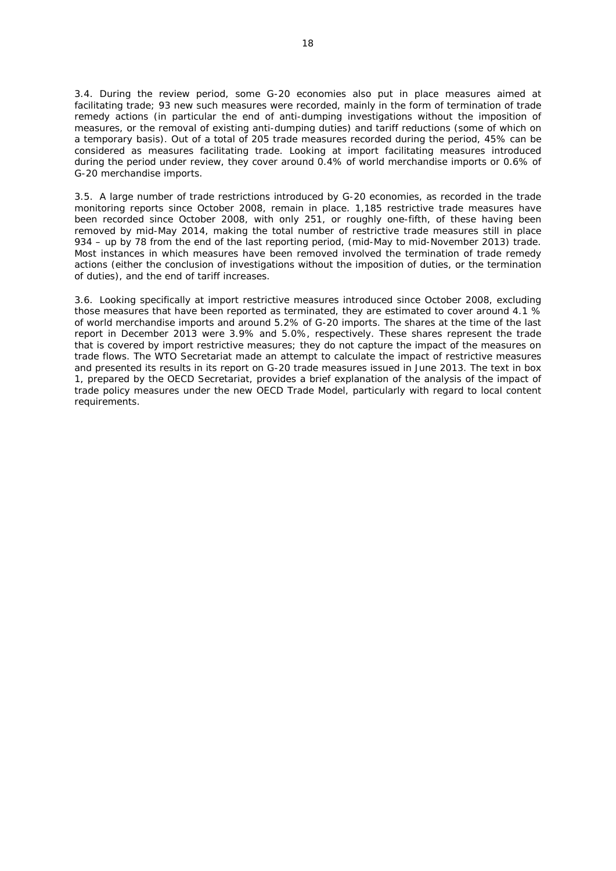3.4. During the review period, some G-20 economies also put in place measures aimed at facilitating trade; 93 new such measures were recorded, mainly in the form of termination of trade remedy actions (in particular the end of anti-dumping investigations without the imposition of measures, or the removal of existing anti-dumping duties) and tariff reductions (some of which on a temporary basis). Out of a total of 205 trade measures recorded during the period, 45% can be considered as measures facilitating trade. Looking at import facilitating measures introduced during the period under review, they cover around 0.4% of world merchandise imports or 0.6% of G-20 merchandise imports.

3.5. A large number of trade restrictions introduced by G-20 economies, as recorded in the trade monitoring reports since October 2008, remain in place. 1,185 restrictive trade measures have been recorded since October 2008, with only 251, or roughly one-fifth, of these having been removed by mid-May 2014, making the total number of restrictive trade measures still in place 934 – up by 78 from the end of the last reporting period, (mid-May to mid-November 2013) trade. Most instances in which measures have been removed involved the termination of trade remedy actions (either the conclusion of investigations without the imposition of duties, or the termination of duties), and the end of tariff increases.

3.6. Looking specifically at import restrictive measures introduced since October 2008, excluding those measures that have been reported as terminated, they are estimated to cover around 4.1 % of world merchandise imports and around 5.2% of G-20 imports. The shares at the time of the last report in December 2013 were 3.9% and 5.0%, respectively. These shares represent the trade that is covered by import restrictive measures; they do not capture the impact of the measures on trade flows. The WTO Secretariat made an attempt to calculate the impact of restrictive measures and presented its results in its report on G-20 trade measures issued in June 2013. The text in box 1, prepared by the OECD Secretariat, provides a brief explanation of the analysis of the impact of trade policy measures under the new OECD Trade Model, particularly with regard to local content requirements.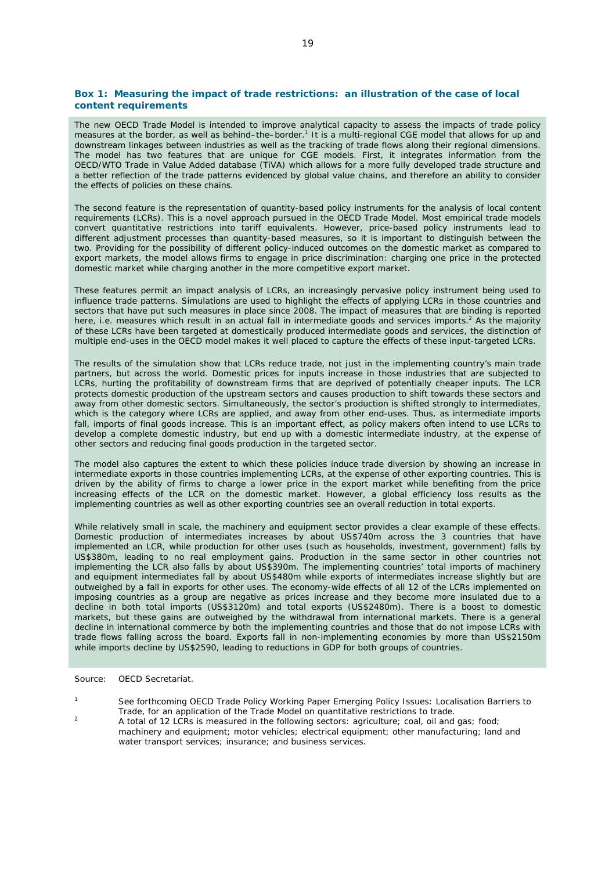#### **Box 1: Measuring the impact of trade restrictions: an illustration of the case of local content requirements**

The new OECD Trade Model is intended to improve analytical capacity to assess the impacts of trade policy measures at the border, as well as behind-the-border.<sup>1</sup> It is a multi-regional CGE model that allows for up and downstream linkages between industries as well as the tracking of trade flows along their regional dimensions. The model has two features that are unique for CGE models. First, it integrates information from the OECD/WTO Trade in Value Added database (TiVA) which allows for a more fully developed trade structure and a better reflection of the trade patterns evidenced by global value chains, and therefore an ability to consider the effects of policies on these chains.

The second feature is the representation of quantity-based policy instruments for the analysis of local content requirements (LCRs). This is a novel approach pursued in the OECD Trade Model. Most empirical trade models convert quantitative restrictions into tariff equivalents. However, price-based policy instruments lead to different adjustment processes than quantity-based measures, so it is important to distinguish between the two. Providing for the possibility of different policy-induced outcomes on the domestic market as compared to export markets, the model allows firms to engage in price discrimination: charging one price in the protected domestic market while charging another in the more competitive export market.

These features permit an impact analysis of LCRs, an increasingly pervasive policy instrument being used to influence trade patterns. Simulations are used to highlight the effects of applying LCRs in those countries and sectors that have put such measures in place since 2008. The impact of measures that are binding is reported here, i.e. measures which result in an actual fall in intermediate goods and services imports.<sup>2</sup> As the majority of these LCRs have been targeted at domestically produced intermediate goods and services, the distinction of multiple end-uses in the OECD model makes it well placed to capture the effects of these input-targeted LCRs.

The results of the simulation show that LCRs reduce trade, not just in the implementing country's main trade partners, but across the world. Domestic prices for inputs increase in those industries that are subjected to LCRs, hurting the profitability of downstream firms that are deprived of potentially cheaper inputs. The LCR protects domestic production of the upstream sectors and causes production to shift towards these sectors and away from other domestic sectors. Simultaneously, the sector's production is shifted strongly to intermediates, which is the category where LCRs are applied, and away from other end-uses. Thus, as intermediate imports fall, imports of final goods increase. This is an important effect, as policy makers often intend to use LCRs to develop a complete domestic industry, but end up with a domestic intermediate industry, at the expense of other sectors and reducing final goods production in the targeted sector.

The model also captures the extent to which these policies induce trade diversion by showing an increase in intermediate exports in those countries implementing LCRs, at the expense of other exporting countries. This is driven by the ability of firms to charge a lower price in the export market while benefiting from the price increasing effects of the LCR on the domestic market. However, a global efficiency loss results as the implementing countries as well as other exporting countries see an overall reduction in total exports.

While relatively small in scale, the machinery and equipment sector provides a clear example of these effects. Domestic production of intermediates increases by about US\$740m across the 3 countries that have implemented an LCR, while production for other uses (such as households, investment, government) falls by US\$380m, leading to no real employment gains. Production in the same sector in other countries not implementing the LCR also falls by about US\$390m. The implementing countries' total imports of machinery and equipment intermediates fall by about US\$480m while exports of intermediates increase slightly but are outweighed by a fall in exports for other uses. The economy-wide effects of all 12 of the LCRs implemented on imposing countries as a group are negative as prices increase and they become more insulated due to a decline in both total imports (US\$3120m) and total exports (US\$2480m). There is a boost to domestic markets, but these gains are outweighed by the withdrawal from international markets. There is a general decline in international commerce by both the implementing countries and those that do not impose LCRs with trade flows falling across the board. Exports fall in non-implementing economies by more than US\$2150m while imports decline by US\$2590, leading to reductions in GDP for both groups of countries.

Source: OECD Secretariat.

- 1 See forthcoming OECD Trade Policy Working Paper *Emerging Policy Issues: Localisation Barriers to*
- <sup>2</sup> A total of 12 LCRs is measured in the following sectors: agriculture; coal, oil and gas; food; machinery and equipment; motor vehicles; electrical equipment; other manufacturing; land and water transport services; insurance; and business services.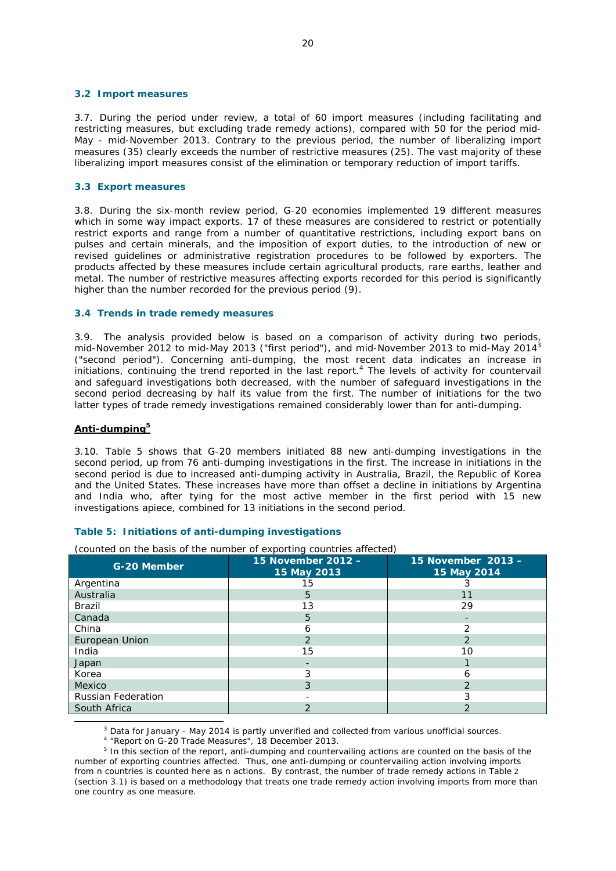#### **3.2 Import measures**

3.7. During the period under review, a total of 60 import measures (including facilitating and restricting measures, but excluding trade remedy actions), compared with 50 for the period mid-May - mid-November 2013. Contrary to the previous period, the number of liberalizing import measures (35) clearly exceeds the number of restrictive measures (25). The vast majority of these liberalizing import measures consist of the elimination or temporary reduction of import tariffs.

# **3.3 Export measures**

3.8. During the six-month review period, G-20 economies implemented 19 different measures which in some way impact exports. 17 of these measures are considered to restrict or potentially restrict exports and range from a number of quantitative restrictions, including export bans on pulses and certain minerals, and the imposition of export duties, to the introduction of new or revised guidelines or administrative registration procedures to be followed by exporters. The products affected by these measures include certain agricultural products, rare earths, leather and metal. The number of restrictive measures affecting exports recorded for this period is significantly higher than the number recorded for the previous period (9).

#### **3.4 Trends in trade remedy measures**

3.9. The analysis provided below is based on a comparison of activity during two periods, mid-November 2012 to mid-May 2013 ("first period"), and mid-November 2013 to mid-May 2014<sup>3</sup> ("second period"). Concerning anti-dumping, the most recent data indicates an increase in initiations, continuing the trend reported in the last report.4 The levels of activity for countervail and safeguard investigations both decreased, with the number of safeguard investigations in the second period decreasing by half its value from the first. The number of initiations for the two latter types of trade remedy investigations remained considerably lower than for anti-dumping.

## **Anti-dumping5**

South Africa

3.10. Table 5 shows that G-20 members initiated 88 new anti-dumping investigations in the second period, up from 76 anti-dumping investigations in the first. The increase in initiations in the second period is due to increased anti-dumping activity in Australia, Brazil, the Republic of Korea and the United States. These increases have more than offset a decline in initiations by Argentina and India who, after tying for the most active member in the first period with 15 new investigations apiece, combined for 13 initiations in the second period.

| (counted on the basis of the number of exporting countries affected) |                                   |                                   |  |  |  |  |  |
|----------------------------------------------------------------------|-----------------------------------|-----------------------------------|--|--|--|--|--|
| <b>G-20 Member</b>                                                   | 15 November 2012 -<br>15 May 2013 | 15 November 2013 -<br>15 May 2014 |  |  |  |  |  |
| Argentina                                                            | 15                                |                                   |  |  |  |  |  |
| Australia                                                            | 5                                 | 11                                |  |  |  |  |  |
| Brazil                                                               | 13                                | 29                                |  |  |  |  |  |
| Canada                                                               | 5                                 |                                   |  |  |  |  |  |
| China                                                                | 6                                 |                                   |  |  |  |  |  |
| European Union                                                       | $\mathcal{P}$                     |                                   |  |  |  |  |  |
| India                                                                | 15                                | 10                                |  |  |  |  |  |
| Japan                                                                |                                   |                                   |  |  |  |  |  |
| Korea                                                                | 3                                 | n                                 |  |  |  |  |  |
| <b>Mexico</b>                                                        | 3                                 |                                   |  |  |  |  |  |
| <b>Russian Federation</b>                                            |                                   |                                   |  |  |  |  |  |

# **Table 5: Initiations of anti-dumping investigations**

 $\frac{1}{3}$ <sup>3</sup> Data for January - May 2014 is partly unverified and collected from various unofficial sources.

4 "Report on G-20 Trade Measures", 18 December 2013.

<sup>5</sup> In this section of the report, anti-dumping and countervailing actions are counted on the basis of the number of exporting countries affected. Thus, one anti-dumping or countervailing action involving imports from *n* countries is counted here as *n* actions. By contrast, the number of trade remedy actions in Table 2 (section 3.1) is based on a methodology that treats one trade remedy action involving imports from more than one country as one measure.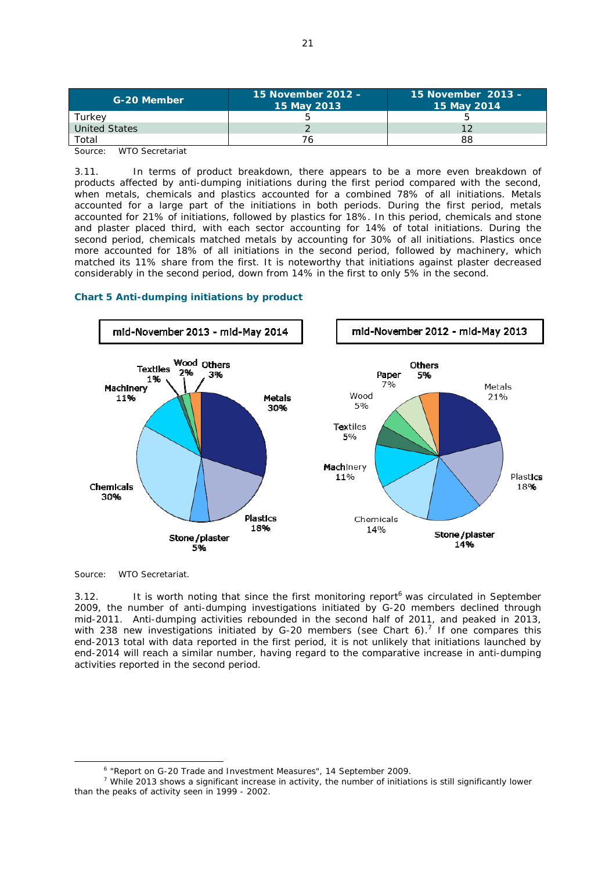| G-20 Member                                                    | 15 November 2012 -<br>15 May 2013 | 15 November 2013 -<br>15 May 2014 |  |
|----------------------------------------------------------------|-----------------------------------|-----------------------------------|--|
| Turkev                                                         |                                   |                                   |  |
| United States                                                  |                                   |                                   |  |
| Total                                                          |                                   | 88                                |  |
| $\sim$ $\frac{1}{2}$ $\sim$ $\sim$ $\sim$ $\sim$ $\sim$ $\sim$ |                                   |                                   |  |

Source: WTO Secretariat

3.11. In terms of product breakdown, there appears to be a more even breakdown of products affected by anti-dumping initiations during the first period compared with the second, when metals, chemicals and plastics accounted for a combined 78% of all initiations. Metals accounted for a large part of the initiations in both periods. During the first period, metals accounted for 21% of initiations, followed by plastics for 18%. In this period, chemicals and stone and plaster placed third, with each sector accounting for 14% of total initiations. During the second period, chemicals matched metals by accounting for 30% of all initiations. Plastics once more accounted for 18% of all initiations in the second period, followed by machinery, which matched its 11% share from the first. It is noteworthy that initiations against plaster decreased considerably in the second period, down from 14% in the first to only 5% in the second.

# **Chart 5 Anti-dumping initiations by product**



Source: WTO Secretariat.

3.12. It is worth noting that since the first monitoring report<sup>6</sup> was circulated in September 2009, the number of anti-dumping investigations initiated by G-20 members declined through mid-2011. Anti-dumping activities rebounded in the second half of 2011, and peaked in 2013, with 238 new investigations initiated by G-20 members (see Chart 6).<sup>7</sup> If one compares this end-2013 total with data reported in the first period, it is not unlikely that initiations launched by end-2014 will reach a similar number, having regard to the comparative increase in anti-dumping activities reported in the second period.

 <sup>6</sup> <sup>6</sup> "Report on G-20 Trade and Investment Measures", 14 September 2009.

<sup>&</sup>lt;sup>7</sup> While 2013 shows a significant increase in activity, the number of initiations is still significantly lower than the peaks of activity seen in 1999 - 2002.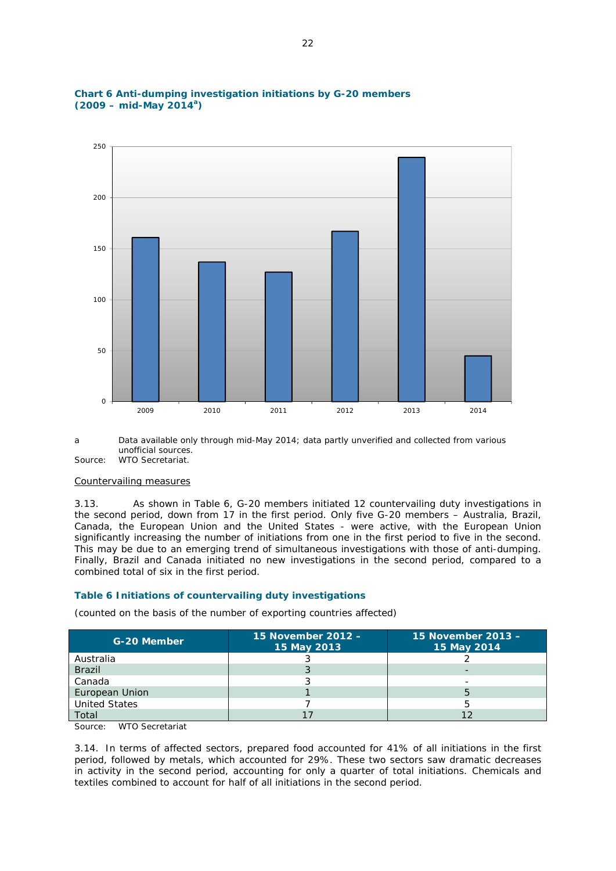

# **Chart 6 Anti-dumping investigation initiations by G-20 members (2009 – mid-May 2014a)**

a Data available only through mid-May 2014; data partly unverified and collected from various unofficial sources.

Source: WTO Secretariat.

#### Countervailing measures

3.13. As shown in Table 6, G-20 members initiated 12 countervailing duty investigations in the second period, down from 17 in the first period. Only five G-20 members – Australia, Brazil, Canada, the European Union and the United States - were active, with the European Union significantly increasing the number of initiations from one in the first period to five in the second. This may be due to an emerging trend of simultaneous investigations with those of anti-dumping. Finally, Brazil and Canada initiated no new investigations in the second period, compared to a combined total of six in the first period.

## **Table 6 Initiations of countervailing duty investigations**

(counted on the basis of the number of exporting countries affected)

| G-20 Member          | 15 November 2012 -<br>15 May 2013 | 15 November 2013 -<br>15 May 2014 |
|----------------------|-----------------------------------|-----------------------------------|
| Australia            |                                   |                                   |
| <b>Brazil</b>        |                                   |                                   |
| Canada               |                                   |                                   |
| European Union       |                                   |                                   |
| <b>United States</b> |                                   |                                   |
| Total                |                                   |                                   |

Source: WTO Secretariat

3.14. In terms of affected sectors, prepared food accounted for 41% of all initiations in the first period, followed by metals, which accounted for 29%. These two sectors saw dramatic decreases in activity in the second period, accounting for only a quarter of total initiations. Chemicals and textiles combined to account for half of all initiations in the second period.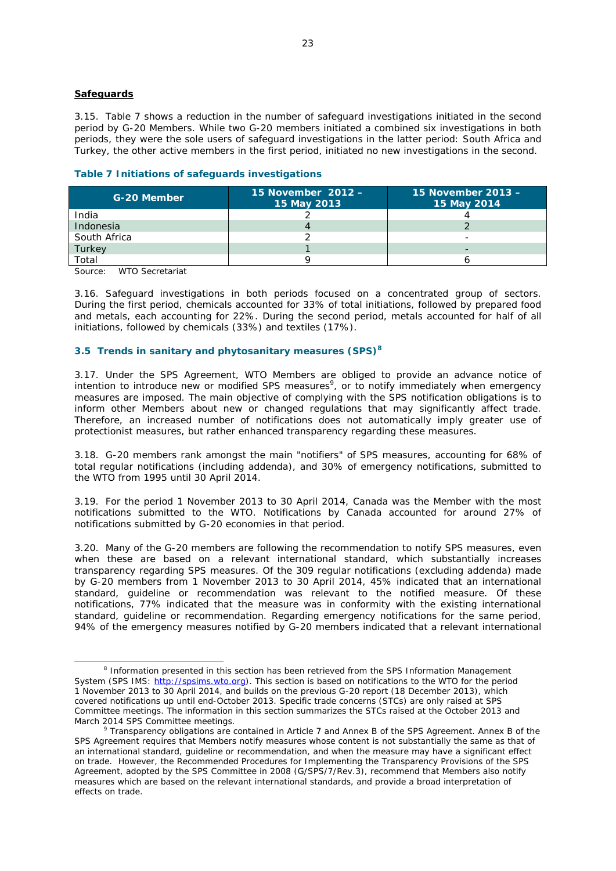### **Safeguards**

3.15. Table 7 shows a reduction in the number of safeguard investigations initiated in the second period by G-20 Members. While two G-20 members initiated a combined six investigations in both periods, they were the sole users of safeguard investigations in the latter period: South Africa and Turkey, the other active members in the first period, initiated no new investigations in the second.

|  |  |  |  | Table 7 Initiations of safeguards investigations |
|--|--|--|--|--------------------------------------------------|
|--|--|--|--|--------------------------------------------------|

| G-20 Member  | 15 November 2012 -<br>15 May 2013 | 15 November 2013 -<br>15 May 2014 |
|--------------|-----------------------------------|-----------------------------------|
| India        |                                   |                                   |
| Indonesia    |                                   |                                   |
| South Africa |                                   |                                   |
| Turkey       |                                   |                                   |
| Total        |                                   |                                   |

Source: WTO Secretariat

3.16. Safeguard investigations in both periods focused on a concentrated group of sectors. During the first period, chemicals accounted for 33% of total initiations, followed by prepared food and metals, each accounting for 22%. During the second period, metals accounted for half of all initiations, followed by chemicals (33%) and textiles (17%).

## **3.5 Trends in sanitary and phytosanitary measures (SPS)<sup>8</sup>**

3.17. Under the SPS Agreement, WTO Members are obliged to provide an advance notice of intention to introduce new or modified SPS measures<sup>9</sup>, or to notify immediately when emergency measures are imposed. The main objective of complying with the SPS notification obligations is to inform other Members about new or changed regulations that may significantly affect trade. Therefore, an increased number of notifications does not automatically imply greater use of protectionist measures, but rather enhanced transparency regarding these measures.

3.18. G-20 members rank amongst the main "notifiers" of SPS measures, accounting for 68% of total regular notifications (including addenda), and 30% of emergency notifications, submitted to the WTO from 1995 until 30 April 2014.

3.19. For the period 1 November 2013 to 30 April 2014, Canada was the Member with the most notifications submitted to the WTO. Notifications by Canada accounted for around 27% of notifications submitted by G-20 economies in that period.

3.20. Many of the G-20 members are following the recommendation to notify SPS measures, even when these are based on a relevant international standard, which substantially increases transparency regarding SPS measures. Of the 309 regular notifications (excluding addenda) made by G-20 members from 1 November 2013 to 30 April 2014, 45% indicated that an international standard, guideline or recommendation was relevant to the notified measure. Of these notifications, 77% indicated that the measure was in conformity with the existing international standard, guideline or recommendation. Regarding emergency notifications for the same period, 94% of the emergency measures notified by G-20 members indicated that a relevant international

 <sup>8</sup> <sup>8</sup> Information presented in this section has been retrieved from the SPS Information Management System (SPS IMS: http://spsims.wto.org). This section is based on notifications to the WTO for the period 1 November 2013 to 30 April 2014, and builds on the previous G-20 report (18 December 2013), which covered notifications up until end-October 2013. Specific trade concerns (STCs) are only raised at SPS Committee meetings. The information in this section summarizes the STCs raised at the October 2013 and March 2014 SPS Committee meetings.

Transparency obligations are contained in Article 7 and Annex B of the SPS Agreement. Annex B of the SPS Agreement requires that Members notify measures whose content is not substantially the same as that of an international standard, guideline or recommendation, and when the measure may have a significant effect on trade. However, the Recommended Procedures for Implementing the Transparency Provisions of the SPS Agreement, adopted by the SPS Committee in 2008 (G/SPS/7/Rev.3), recommend that Members also notify measures which are based on the relevant international standards, and provide a broad interpretation of effects on trade.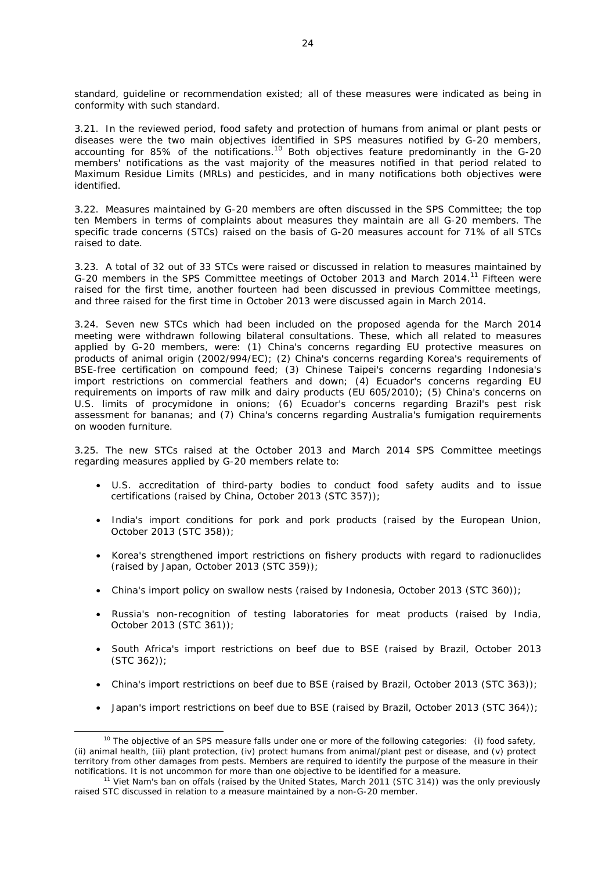standard, guideline or recommendation existed; all of these measures were indicated as being in conformity with such standard.

3.21. In the reviewed period, food safety and protection of humans from animal or plant pests or diseases were the two main objectives identified in SPS measures notified by G-20 members, accounting for 85% of the notifications.<sup>10</sup> Both objectives feature predominantly in the G-20 members' notifications as the vast majority of the measures notified in that period related to Maximum Residue Limits (MRLs) and pesticides, and in many notifications both objectives were identified.

3.22. Measures maintained by G-20 members are often discussed in the SPS Committee; the top ten Members in terms of complaints about measures they maintain are all G-20 members. The specific trade concerns (STCs) raised on the basis of G-20 measures account for 71% of all STCs raised to date.

3.23. A total of 32 out of 33 STCs were raised or discussed in relation to measures maintained by G-20 members in the SPS Committee meetings of October 2013 and March 2014.11 Fifteen were raised for the first time, another fourteen had been discussed in previous Committee meetings, and three raised for the first time in October 2013 were discussed again in March 2014.

3.24. Seven new STCs which had been included on the proposed agenda for the March 2014 meeting were withdrawn following bilateral consultations. These, which all related to measures applied by G-20 members, were: (1) China's concerns regarding EU protective measures on products of animal origin (2002/994/EC); (2) China's concerns regarding Korea's requirements of BSE-free certification on compound feed; (3) Chinese Taipei's concerns regarding Indonesia's import restrictions on commercial feathers and down; (4) Ecuador's concerns regarding EU requirements on imports of raw milk and dairy products (EU 605/2010); (5) China's concerns on U.S. limits of procymidone in onions; (6) Ecuador's concerns regarding Brazil's pest risk assessment for bananas; and (7) China's concerns regarding Australia's fumigation requirements on wooden furniture.

3.25. The new STCs raised at the October 2013 and March 2014 SPS Committee meetings regarding measures applied by G-20 members relate to:

- U.S. accreditation of third-party bodies to conduct food safety audits and to issue certifications (raised by China, October 2013 (STC 357));
- India's import conditions for pork and pork products (raised by the European Union, October 2013 (STC 358));
- Korea's strengthened import restrictions on fishery products with regard to radionuclides (raised by Japan, October 2013 (STC 359));
- China's import policy on swallow nests (raised by Indonesia, October 2013 (STC 360));
- Russia's non-recognition of testing laboratories for meat products (raised by India, October 2013 (STC 361));
- South Africa's import restrictions on beef due to BSE (raised by Brazil, October 2013 (STC 362));
- China's import restrictions on beef due to BSE (raised by Brazil, October 2013 (STC 363));
- Japan's import restrictions on beef due to BSE (raised by Brazil, October 2013 (STC 364));

 $10$  The objective of an SPS measure falls under one or more of the following categories: (i) food safety, (ii) animal health, (iii) plant protection, (iv) protect humans from animal/plant pest or disease, and (v) protect territory from other damages from pests. Members are required to identify the purpose of the measure in their notifications. It is not uncommon for more than one objective to be identified for a measure.<br><sup>11</sup> Viet Nam's ban on offals (raised by the United States, March 2011 (STC 314)) was the only previously

raised STC discussed in relation to a measure maintained by a non-G-20 member.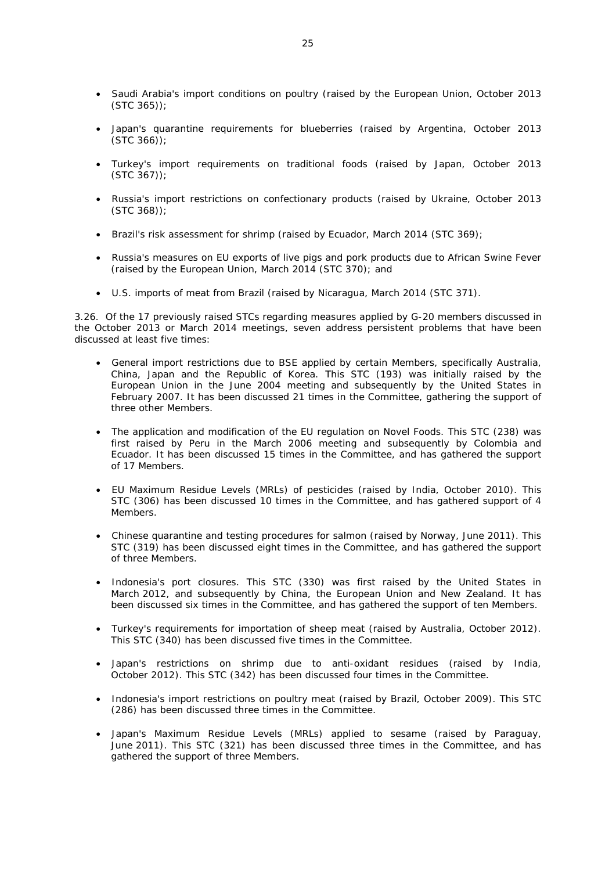- Saudi Arabia's import conditions on poultry (raised by the European Union, October 2013 (STC 365));
- Japan's quarantine requirements for blueberries (raised by Argentina, October 2013 (STC 366));
- Turkey's import requirements on traditional foods (raised by Japan, October 2013  $(STC 367))$ ;
- Russia's import restrictions on confectionary products (raised by Ukraine, October 2013 (STC 368));
- Brazil's risk assessment for shrimp (raised by Ecuador, March 2014 (STC 369);
- Russia's measures on EU exports of live pigs and pork products due to African Swine Fever (raised by the European Union, March 2014 (STC 370); and
- U.S. imports of meat from Brazil (raised by Nicaragua, March 2014 (STC 371).

3.26. Of the 17 previously raised STCs regarding measures applied by G-20 members discussed in the October 2013 or March 2014 meetings, seven address persistent problems that have been discussed at least five times:

- General import restrictions due to BSE applied by certain Members, specifically Australia, China, Japan and the Republic of Korea. This STC (193) was initially raised by the European Union in the June 2004 meeting and subsequently by the United States in February 2007. It has been discussed 21 times in the Committee, gathering the support of three other Members.
- The application and modification of the EU regulation on Novel Foods. This STC (238) was first raised by Peru in the March 2006 meeting and subsequently by Colombia and Ecuador. It has been discussed 15 times in the Committee, and has gathered the support of 17 Members.
- EU Maximum Residue Levels (MRLs) of pesticides (raised by India, October 2010). This STC (306) has been discussed 10 times in the Committee, and has gathered support of 4 Members.
- Chinese quarantine and testing procedures for salmon (raised by Norway, June 2011). This STC (319) has been discussed eight times in the Committee, and has gathered the support of three Members.
- Indonesia's port closures. This STC (330) was first raised by the United States in March 2012, and subsequently by China, the European Union and New Zealand. It has been discussed six times in the Committee, and has gathered the support of ten Members.
- Turkey's requirements for importation of sheep meat (raised by Australia, October 2012). This STC (340) has been discussed five times in the Committee.
- Japan's restrictions on shrimp due to anti-oxidant residues (raised by India, October 2012). This STC (342) has been discussed four times in the Committee.
- Indonesia's import restrictions on poultry meat (raised by Brazil, October 2009). This STC (286) has been discussed three times in the Committee.
- Japan's Maximum Residue Levels (MRLs) applied to sesame (raised by Paraguay, June 2011). This STC (321) has been discussed three times in the Committee, and has gathered the support of three Members.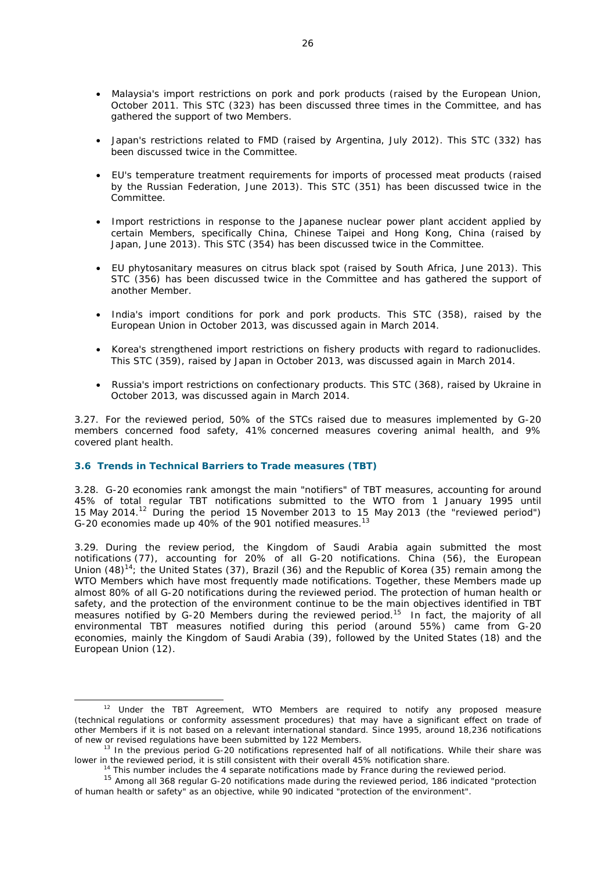- Malaysia's import restrictions on pork and pork products (raised by the European Union, October 2011. This STC (323) has been discussed three times in the Committee, and has gathered the support of two Members.
- Japan's restrictions related to FMD (raised by Argentina, July 2012). This STC (332) has been discussed twice in the Committee.
- EU's temperature treatment requirements for imports of processed meat products (raised by the Russian Federation, June 2013). This STC (351) has been discussed twice in the Committee.
- Import restrictions in response to the Japanese nuclear power plant accident applied by certain Members, specifically China, Chinese Taipei and Hong Kong, China (raised by Japan, June 2013). This STC (354) has been discussed twice in the Committee.
- EU phytosanitary measures on citrus black spot (raised by South Africa, June 2013). This STC (356) has been discussed twice in the Committee and has gathered the support of another Member.
- India's import conditions for pork and pork products. This STC (358), raised by the European Union in October 2013, was discussed again in March 2014.
- Korea's strengthened import restrictions on fishery products with regard to radionuclides. This STC (359), raised by Japan in October 2013, was discussed again in March 2014.
- Russia's import restrictions on confectionary products. This STC (368), raised by Ukraine in October 2013, was discussed again in March 2014.

3.27. For the reviewed period, 50% of the STCs raised due to measures implemented by G-20 members concerned food safety, 41% concerned measures covering animal health, and 9% covered plant health.

# **3.6 Trends in Technical Barriers to Trade measures (TBT)**

3.28. G-20 economies rank amongst the main "notifiers" of TBT measures, accounting for around 45% of total regular TBT notifications submitted to the WTO from 1 January 1995 until 15 May 2014.12 During the period 15 November 2013 to 15 May 2013 (the "reviewed period") G-20 economies made up 40% of the 901 notified measures.<sup>13</sup>

3.29. During the review period, the Kingdom of Saudi Arabia again submitted the most notifications (77), accounting for 20% of all G-20 notifications. China (56), the European Union  $(48)^{14}$ ; the United States (37), Brazil (36) and the Republic of Korea (35) remain among the WTO Members which have most frequently made notifications. Together, these Members made up almost 80% of all G-20 notifications during the reviewed period. The protection of human health or safety, and the protection of the environment continue to be the main objectives identified in TBT measures notified by G-20 Members during the reviewed period.<sup>15</sup> In fact, the majority of all environmental TBT measures notified during this period (around 55%) came from G-20 economies, mainly the Kingdom of Saudi Arabia (39), followed by the United States (18) and the European Union (12).

 $12$  Under the TBT Agreement, WTO Members are required to notify any proposed measure (technical regulations or conformity assessment procedures) that may have a significant effect on trade of other Members if it is not based on a relevant international standard. Since 1995, around 18,236 notifications of new or revised regulations have been submitted by 122 Members.

<sup>13</sup> In the previous period G-20 notifications represented *half* of all notifications. While their share was

lower in the reviewed period, it is still consistent with their overall 45% notification share.<br><sup>14</sup> This number includes the 4 separate notifications made by France during the reviewed period.<br><sup>15</sup> Among all 368 regular G of human health or safety" as an objective, while 90 indicated "protection of the environment".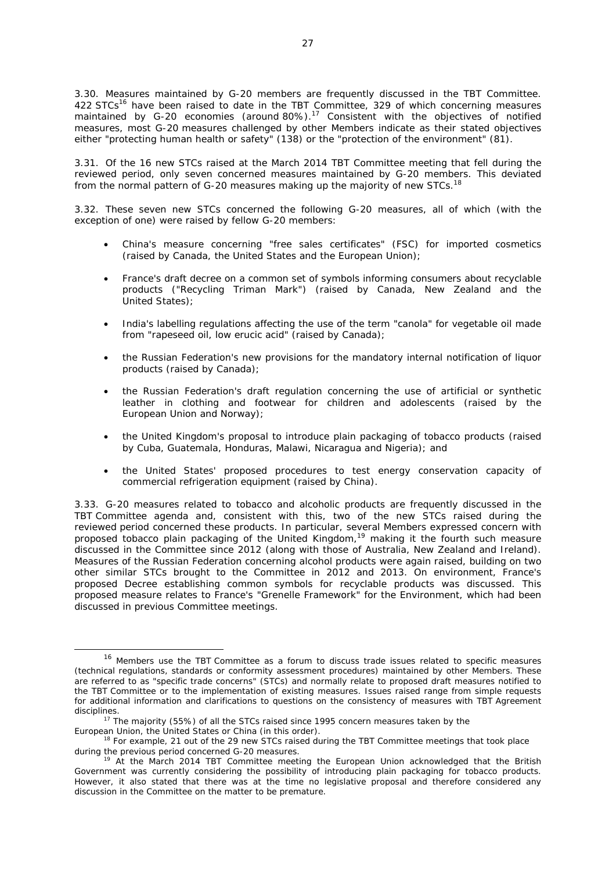3.30. Measures maintained by G-20 members are frequently discussed in the TBT Committee. 422 STCs<sup>16</sup> have been raised to date in the TBT Committee, 329 of which concerning measures maintained by G-20 economies (around 80%).<sup>17</sup> Consistent with the objectives of notified measures, most G-20 measures challenged by other Members indicate as their stated objectives either "protecting human health or safety" (138) or the "protection of the environment" (81).

3.31. Of the 16 new STCs raised at the March 2014 TBT Committee meeting that fell during the reviewed period, only seven concerned measures maintained by G-20 members. This deviated from the normal pattern of G-20 measures making up the majority of new STCs.<sup>18</sup>

3.32. These seven new STCs concerned the following G-20 measures, all of which (with the exception of one) were raised by fellow G-20 members:

- China's measure concerning "free sales certificates" (FSC) for imported cosmetics (raised by Canada, the United States and the European Union);
- France's draft decree on a common set of symbols informing consumers about recyclable products ("Recycling Triman Mark") (raised by Canada, New Zealand and the United States);
- India's labelling regulations affecting the use of the term "canola" for vegetable oil made from "rapeseed oil, low erucic acid" (raised by Canada);
- the Russian Federation's new provisions for the mandatory internal notification of liquor products (raised by Canada);
- the Russian Federation's draft regulation concerning the use of artificial or synthetic leather in clothing and footwear for children and adolescents (raised by the European Union and Norway);
- the United Kingdom's proposal to introduce plain packaging of tobacco products (raised by Cuba, Guatemala, Honduras, Malawi, Nicaragua and Nigeria); and
- the United States' proposed procedures to test energy conservation capacity of commercial refrigeration equipment (raised by China).

3.33. G-20 measures related to tobacco and alcoholic products are frequently discussed in the TBT Committee agenda and, consistent with this, two of the new STCs raised during the reviewed period concerned these products. In particular, several Members expressed concern with proposed tobacco plain packaging of the United Kingdom,<sup>19</sup> making it the fourth such measure discussed in the Committee since 2012 (along with those of Australia, New Zealand and Ireland). Measures of the Russian Federation concerning alcohol products were again raised, building on two other similar STCs brought to the Committee in 2012 and 2013. On environment, France's proposed Decree establishing common symbols for recyclable products was discussed. This proposed measure relates to France's "Grenelle Framework" for the Environment, which had been discussed in previous Committee meetings.

<sup>&</sup>lt;sup>16</sup> Members use the TBT Committee as a forum to discuss trade issues related to specific measures (technical regulations, standards or conformity assessment procedures) maintained by other Members. These are referred to as "specific trade concerns" (STCs) and normally relate to proposed draft measures notified to the TBT Committee or to the implementation of existing measures. Issues raised range from simple requests for additional information and clarifications to questions on the consistency of measures with TBT Agreement disciplines.

 $17$  The majority (55%) of all the STCs raised since 1995 concern measures taken by the

European Union, the United States or China (in this order).<br><sup>18</sup> For example, 21 out of the 29 new STCs raised during the TBT Committee meetings that took place during the previous period concerned G-20 measures.<br><sup>19</sup> At the March 2014 TBT Committee meeting the European Union acknowledged that the British

Government was currently considering the possibility of introducing plain packaging for tobacco products. However, it also stated that there was at the time no legislative proposal and therefore considered any discussion in the Committee on the matter to be premature.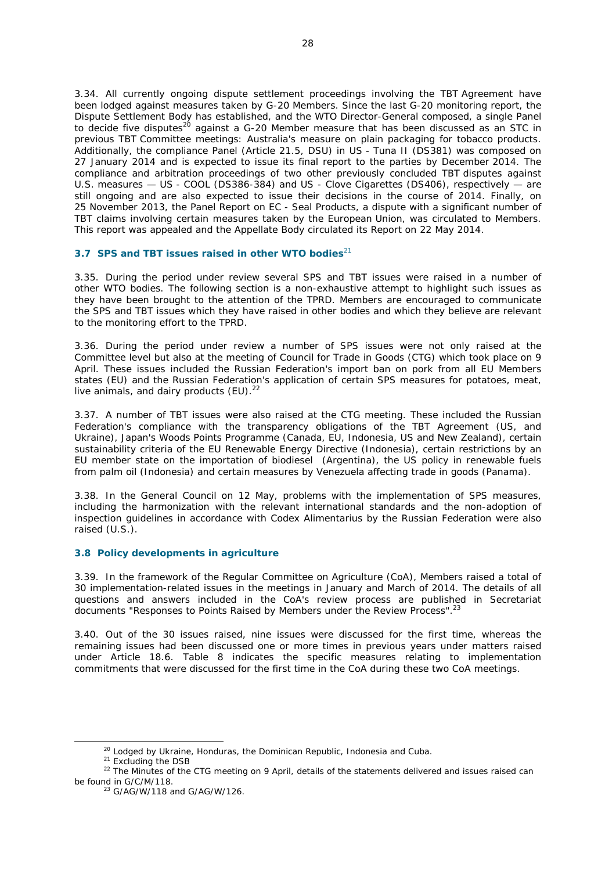3.34. All currently ongoing dispute settlement proceedings involving the TBT Agreement have been lodged against measures taken by G-20 Members. Since the last G-20 monitoring report, the Dispute Settlement Body has established, and the WTO Director-General composed, a single Panel to decide five disputes<sup>20</sup> against a G-20 Member measure that has been discussed as an STC in previous TBT Committee meetings: Australia's measure on plain packaging for tobacco products. Additionally, the compliance Panel (Article 21.5, DSU) in US - Tuna II (DS381) was composed on 27 January 2014 and is expected to issue its final report to the parties by December 2014. The compliance and arbitration proceedings of two other previously concluded TBT disputes against U.S. measures — US - COOL (DS386-384) and US - Clove Cigarettes (DS406), respectively — are still ongoing and are also expected to issue their decisions in the course of 2014. Finally, on 25 November 2013, the Panel Report on EC - Seal Products, a dispute with a significant number of TBT claims involving certain measures taken by the European Union, was circulated to Members. This report was appealed and the Appellate Body circulated its Report on 22 May 2014.

# **3.7 SPS and TBT issues raised in other WTO bodies**<sup>21</sup>

3.35. During the period under review several SPS and TBT issues were raised in a number of other WTO bodies. The following section is a non-exhaustive attempt to highlight such issues as they have been brought to the attention of the TPRD. Members are encouraged to communicate the SPS and TBT issues which they have raised in other bodies and which they believe are relevant to the monitoring effort to the TPRD.

3.36. During the period under review a number of SPS issues were not only raised at the Committee level but also at the meeting of Council for Trade in Goods (CTG) which took place on 9 April. These issues included the Russian Federation's import ban on pork from all EU Members states (EU) and the Russian Federation's application of certain SPS measures for potatoes, meat, live animals, and dairy products  $(EU)$ .<sup>22</sup>

3.37. A number of TBT issues were also raised at the CTG meeting. These included the Russian Federation's compliance with the transparency obligations of the TBT Agreement (US, and Ukraine), Japan's Woods Points Programme (Canada, EU, Indonesia, US and New Zealand), certain sustainability criteria of the EU Renewable Energy Directive (Indonesia), certain restrictions by an EU member state on the importation of biodiesel (Argentina), the US policy in renewable fuels from palm oil (Indonesia) and certain measures by Venezuela affecting trade in goods (Panama).

3.38. In the General Council on 12 May, problems with the implementation of SPS measures, including the harmonization with the relevant international standards and the non-adoption of inspection guidelines in accordance with Codex Alimentarius by the Russian Federation were also raised (U.S.).

## **3.8 Policy developments in agriculture**

3.39. In the framework of the Regular Committee on Agriculture (CoA), Members raised a total of 30 implementation-related issues in the meetings in January and March of 2014. The details of all questions and answers included in the CoA's review process are published in Secretariat documents "Responses to Points Raised by Members under the Review Process".<sup>23</sup>

3.40. Out of the 30 issues raised, nine issues were discussed for the first time, whereas the remaining issues had been discussed one or more times in previous years under matters raised under Article 18.6. Table 8 indicates the specific measures relating to implementation commitments that were discussed for the first time in the CoA during these two CoA meetings.

<sup>&</sup>lt;sup>20</sup> Lodged by Ukraine, Honduras, the Dominican Republic, Indonesia and Cuba.<br><sup>21</sup> Excluding the DSB<br><sup>22</sup> The Minutes of the CTG meeting on 9 April, details of the statements delivered and issues raised can<br>be found in G/

 $^{23}$  G/AG/W/118 and G/AG/W/126.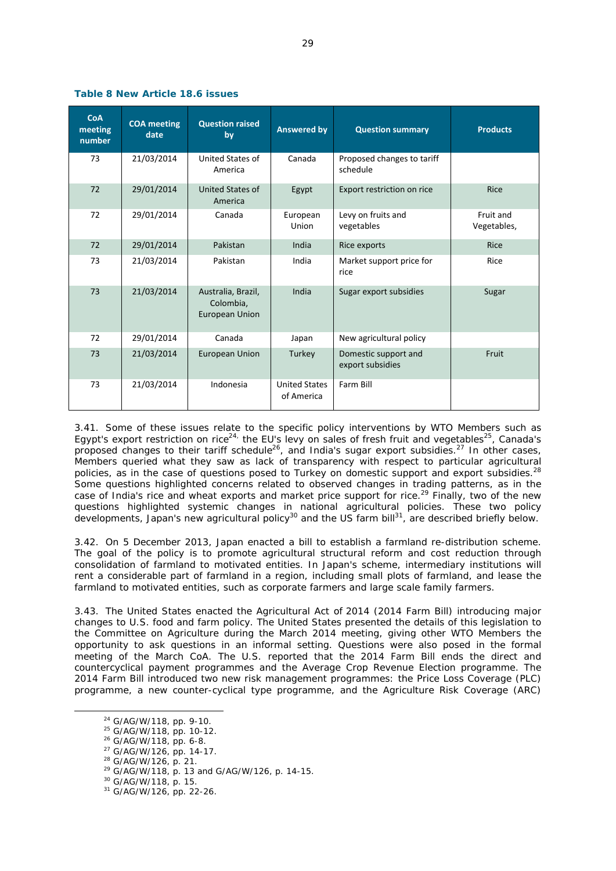| <b>CoA</b><br>meeting<br>number | <b>COA</b> meeting<br>date | <b>Question raised</b><br>by                             | <b>Answered by</b>                 | <b>Question summary</b>                  | <b>Products</b>          |
|---------------------------------|----------------------------|----------------------------------------------------------|------------------------------------|------------------------------------------|--------------------------|
| 73                              | 21/03/2014                 | United States of<br>America                              | Canada                             | Proposed changes to tariff<br>schedule   |                          |
| 72                              | 29/01/2014                 | United States of<br>America                              | Egypt                              | Export restriction on rice               | <b>Rice</b>              |
| 72                              | 29/01/2014                 | Canada                                                   | European<br>Union                  | Levy on fruits and<br>vegetables         | Fruit and<br>Vegetables, |
| 72                              | 29/01/2014                 | Pakistan                                                 | India                              | Rice exports                             | <b>Rice</b>              |
| 73                              | 21/03/2014                 | Pakistan                                                 | India                              | Market support price for<br>rice         | Rice                     |
| 73                              | 21/03/2014                 | Australia, Brazil,<br>Colombia,<br><b>European Union</b> | India                              | Sugar export subsidies                   | Sugar                    |
| 72                              | 29/01/2014                 | Canada                                                   | Japan                              | New agricultural policy                  |                          |
| 73                              | 21/03/2014                 | <b>European Union</b>                                    | Turkey                             | Domestic support and<br>export subsidies | Fruit                    |
| 73                              | 21/03/2014                 | Indonesia                                                | <b>United States</b><br>of America | Farm Bill                                |                          |

## **Table 8 New Article 18.6 issues**

3.41. Some of these issues relate to the specific policy interventions by WTO Members such as Egypt's export restriction on rice<sup>24,</sup> the EU's levy on sales of fresh fruit and vegetables<sup>25</sup>. Canada's proposed changes to their tariff schedule<sup>26</sup>, and India's sugar export subsidies.<sup>27</sup> In other cases, Members queried what they saw as lack of transparency with respect to particular agricultural policies, as in the case of questions posed to Turkey on domestic support and export subsidies. $^{28}$ Some questions highlighted concerns related to observed changes in trading patterns, as in the case of India's rice and wheat exports and market price support for rice.<sup>29</sup> Finally, two of the new questions highlighted systemic changes in national agricultural policies. These two policy developments, Japan's new agricultural policy<sup>30</sup> and the US farm bill<sup>31</sup>, are described briefly below.

3.42. On 5 December 2013, Japan enacted a bill to establish a farmland re-distribution scheme. The goal of the policy is to promote agricultural structural reform and cost reduction through consolidation of farmland to motivated entities. In Japan's scheme, intermediary institutions will rent a considerable part of farmland in a region, including small plots of farmland, and lease the farmland to motivated entities, such as corporate farmers and large scale family farmers.

3.43. The United States enacted the Agricultural Act of 2014 (2014 Farm Bill) introducing major changes to U.S. food and farm policy. The United States presented the details of this legislation to the Committee on Agriculture during the March 2014 meeting, giving other WTO Members the opportunity to ask questions in an informal setting. Questions were also posed in the formal meeting of the March CoA. The U.S. reported that the 2014 Farm Bill ends the direct and countercyclical payment programmes and the Average Crop Revenue Election programme. The 2014 Farm Bill introduced two new risk management programmes: the Price Loss Coverage (PLC) programme, a new counter-cyclical type programme, and the Agriculture Risk Coverage (ARC)

<sup>&</sup>lt;sup>24</sup> G/AG/W/118, pp. 9-10.<br><sup>25</sup> G/AG/W/118, pp. 10-12.<br><sup>26</sup> G/AG/W/118, pp. 6-8.<br><sup>27</sup> G/AG/W/126, pp. 14-17.<br><sup>28</sup> G/AG/W/118, p. 13 and G/AG/W/126, p. 14-15.<br><sup>29</sup> G/AG/W/118, p. 13 and G/AG/W/126, p. 14-15.<br><sup>30</sup> G/AG/W/12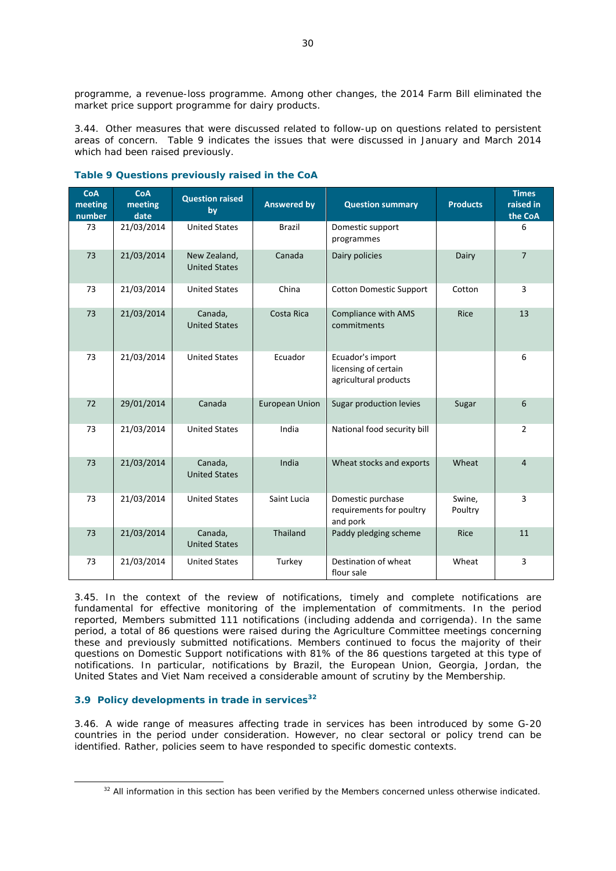programme, a revenue-loss programme. Among other changes, the 2014 Farm Bill eliminated the market price support programme for dairy products.

3.44. Other measures that were discussed related to follow-up on questions related to persistent areas of concern. Table 9 indicates the issues that were discussed in January and March 2014 which had been raised previously.

| <b>CoA</b><br>meeting<br>number | <b>CoA</b><br>meeting<br>date | <b>Question raised</b><br>by         | <b>Answered by</b>    | <b>Question summary</b>                                           | <b>Products</b>   | <b>Times</b><br>raised in<br>the CoA |
|---------------------------------|-------------------------------|--------------------------------------|-----------------------|-------------------------------------------------------------------|-------------------|--------------------------------------|
| 73                              | 21/03/2014                    | <b>United States</b>                 | <b>Brazil</b>         | Domestic support<br>programmes                                    |                   | 6                                    |
| 73                              | 21/03/2014                    | New Zealand,<br><b>United States</b> | Canada                | Dairy policies                                                    | Dairy             | $\overline{7}$                       |
| 73                              | 21/03/2014                    | <b>United States</b>                 | China                 | <b>Cotton Domestic Support</b>                                    | Cotton            | 3                                    |
| 73                              | 21/03/2014                    | Canada,<br><b>United States</b>      | Costa Rica            | Compliance with AMS<br>commitments                                | <b>Rice</b>       | 13                                   |
| 73                              | 21/03/2014                    | <b>United States</b>                 | Ecuador               | Ecuador's import<br>licensing of certain<br>agricultural products |                   | 6                                    |
| 72                              | 29/01/2014                    | Canada                               | <b>European Union</b> | Sugar production levies                                           | Sugar             | 6                                    |
| 73                              | 21/03/2014                    | <b>United States</b>                 | India                 | National food security bill                                       |                   | $\overline{2}$                       |
| 73                              | 21/03/2014                    | Canada,<br><b>United States</b>      | India                 | Wheat stocks and exports                                          | Wheat             | $\overline{4}$                       |
| 73                              | 21/03/2014                    | <b>United States</b>                 | Saint Lucia           | Domestic purchase<br>requirements for poultry<br>and pork         | Swine.<br>Poultry | 3                                    |
| 73                              | 21/03/2014                    | Canada,<br><b>United States</b>      | Thailand              | Paddy pledging scheme                                             | <b>Rice</b>       | 11                                   |
| 73                              | 21/03/2014                    | <b>United States</b>                 | Turkey                | Destination of wheat<br>flour sale                                | Wheat             | 3                                    |

# **Table 9 Questions previously raised in the CoA**

3.45. In the context of the review of notifications, timely and complete notifications are fundamental for effective monitoring of the implementation of commitments. In the period reported, Members submitted 111 notifications (including addenda and corrigenda). In the same period, a total of 86 questions were raised during the Agriculture Committee meetings concerning these and previously submitted notifications. Members continued to focus the majority of their questions on Domestic Support notifications with 81% of the 86 questions targeted at this type of notifications. In particular, notifications by Brazil, the European Union, Georgia, Jordan, the United States and Viet Nam received a considerable amount of scrutiny by the Membership.

# **3.9 Policy developments in trade in services<sup>32</sup>**

3.46. A wide range of measures affecting trade in services has been introduced by some G-20 countries in the period under consideration. However, no clear sectoral or policy trend can be identified. Rather, policies seem to have responded to specific domestic contexts.

<sup>&</sup>lt;sup>32</sup> All information in this section has been verified by the Members concerned unless otherwise indicated.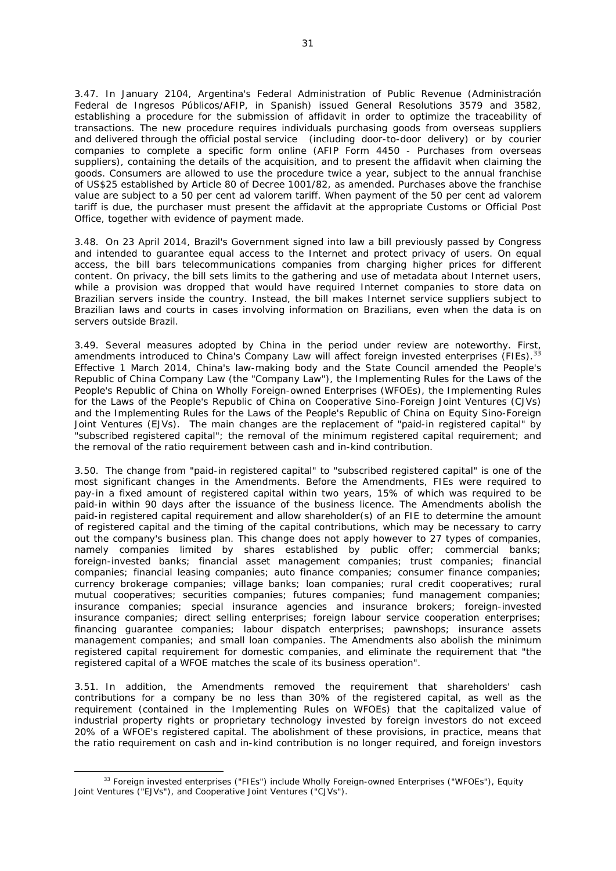3.47. In January 2104, Argentina's Federal Administration of Public Revenue (Administración Federal de Ingresos Públicos/AFIP, in Spanish) issued General Resolutions 3579 and 3582, establishing a procedure for the submission of affidavit in order to optimize the traceability of transactions. The new procedure requires individuals purchasing goods from overseas suppliers and delivered through the official postal service (including door-to-door delivery) or by courier companies to complete a specific form online (AFIP Form 4450 - Purchases from overseas suppliers), containing the details of the acquisition, and to present the affidavit when claiming the goods. Consumers are allowed to use the procedure twice a year, subject to the annual franchise of US\$25 established by Article 80 of Decree 1001/82, as amended. Purchases above the franchise value are subject to a 50 per cent ad valorem tariff. When payment of the 50 per cent ad valorem tariff is due, the purchaser must present the affidavit at the appropriate Customs or Official Post Office, together with evidence of payment made.

3.48. On 23 April 2014, Brazil's Government signed into law a bill previously passed by Congress and intended to guarantee equal access to the Internet and protect privacy of users. On equal access, the bill bars telecommunications companies from charging higher prices for different content. On privacy, the bill sets limits to the gathering and use of metadata about Internet users, while a provision was dropped that would have required Internet companies to store data on Brazilian servers inside the country. Instead, the bill makes Internet service suppliers subject to Brazilian laws and courts in cases involving information on Brazilians, even when the data is on servers outside Brazil.

3.49. Several measures adopted by China in the period under review are noteworthy. First, amendments introduced to China's Company Law will affect foreign invested enterprises (FIEs).<sup>33</sup> Effective 1 March 2014, China's law-making body and the State Council amended the People's Republic of China Company Law (the "Company Law"), the Implementing Rules for the Laws of the People's Republic of China on Wholly Foreign-owned Enterprises (WFOEs), the Implementing Rules for the Laws of the People's Republic of China on Cooperative Sino-Foreign Joint Ventures (CJVs) and the Implementing Rules for the Laws of the People's Republic of China on Equity Sino-Foreign Joint Ventures (EJVs). The main changes are the replacement of "paid-in registered capital" by "subscribed registered capital"; the removal of the minimum registered capital requirement; and the removal of the ratio requirement between cash and in-kind contribution.

3.50. The change from "paid-in registered capital" to "subscribed registered capital" is one of the most significant changes in the Amendments. Before the Amendments, FIEs were required to pay-in a fixed amount of registered capital within two years, 15% of which was required to be paid-in within 90 days after the issuance of the business licence. The Amendments abolish the paid-in registered capital requirement and allow shareholder(s) of an FIE to determine the amount of registered capital and the timing of the capital contributions, which may be necessary to carry out the company's business plan. This change does not apply however to 27 types of companies, namely companies limited by shares established by public offer; commercial banks; foreign-invested banks; financial asset management companies; trust companies; financial companies; financial leasing companies; auto finance companies; consumer finance companies; currency brokerage companies; village banks; loan companies; rural credit cooperatives; rural mutual cooperatives; securities companies; futures companies; fund management companies; insurance companies; special insurance agencies and insurance brokers; foreign-invested insurance companies; direct selling enterprises; foreign labour service cooperation enterprises; financing guarantee companies; labour dispatch enterprises; pawnshops; insurance assets management companies; and small loan companies. The Amendments also abolish the minimum registered capital requirement for domestic companies, and eliminate the requirement that "the registered capital of a WFOE matches the scale of its business operation".

3.51. In addition, the Amendments removed the requirement that shareholders' cash contributions for a company be no less than 30% of the registered capital, as well as the requirement (contained in the Implementing Rules on WFOEs) that the capitalized value of industrial property rights or proprietary technology invested by foreign investors do not exceed 20% of a WFOE's registered capital. The abolishment of these provisions, in practice, means that the ratio requirement on cash and in-kind contribution is no longer required, and foreign investors

<sup>33</sup> Foreign invested enterprises ("FIEs") include Wholly Foreign-owned Enterprises ("WFOEs"), Equity Joint Ventures ("EJVs"), and Cooperative Joint Ventures ("CJVs").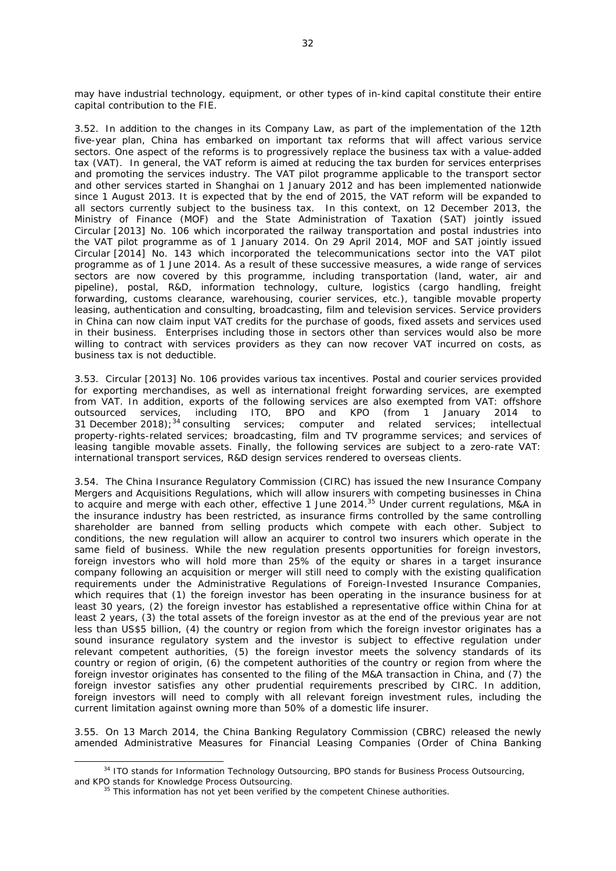may have industrial technology, equipment, or other types of in-kind capital constitute their entire capital contribution to the FIE.

3.52. In addition to the changes in its Company Law, as part of the implementation of the 12th five-year plan, China has embarked on important tax reforms that will affect various service sectors. One aspect of the reforms is to progressively replace the business tax with a value-added tax (VAT). In general, the VAT reform is aimed at reducing the tax burden for services enterprises and promoting the services industry. The VAT pilot programme applicable to the transport sector and other services started in Shanghai on 1 January 2012 and has been implemented nationwide since 1 August 2013. It is expected that by the end of 2015, the VAT reform will be expanded to all sectors currently subject to the business tax. In this context, on 12 December 2013, the Ministry of Finance (MOF) and the State Administration of Taxation (SAT) jointly issued Circular [2013] No. 106 which incorporated the railway transportation and postal industries into the VAT pilot programme as of 1 January 2014. On 29 April 2014, MOF and SAT jointly issued Circular [2014] No. 143 which incorporated the telecommunications sector into the VAT pilot programme as of 1 June 2014. As a result of these successive measures, a wide range of services sectors are now covered by this programme, including transportation (land, water, air and pipeline), postal, R&D, information technology, culture, logistics (cargo handling, freight forwarding, customs clearance, warehousing, courier services, etc.), tangible movable property leasing, authentication and consulting, broadcasting, film and television services. Service providers in China can now claim input VAT credits for the purchase of goods, fixed assets and services used in their business. Enterprises including those in sectors other than services would also be more willing to contract with services providers as they can now recover VAT incurred on costs, as business tax is not deductible.

3.53. Circular [2013] No. 106 provides various tax incentives. Postal and courier services provided for exporting merchandises, as well as international freight forwarding services, are exempted from VAT. In addition, exports of the following services are also exempted from VAT: offshore outsourced services, including ITO, BPO and KPO (from 1 January 2014 to outsourced services, including ITO, BPO and KPO (from 1 January 2014 to 31 December 2018);<sup>34</sup> consulting services; computer and related services; intellectual property-rights-related services; broadcasting, film and TV programme services; and services of leasing tangible movable assets. Finally, the following services are subject to a zero-rate VAT: international transport services, R&D design services rendered to overseas clients.

3.54. The China Insurance Regulatory Commission (CIRC) has issued the new Insurance Company Mergers and Acquisitions Regulations, which will allow insurers with competing businesses in China to acquire and merge with each other, effective 1 June 2014.<sup>35</sup> Under current regulations, M&A in the insurance industry has been restricted, as insurance firms controlled by the same controlling shareholder are banned from selling products which compete with each other. Subject to conditions, the new regulation will allow an acquirer to control two insurers which operate in the same field of business. While the new regulation presents opportunities for foreign investors, foreign investors who will hold more than 25% of the equity or shares in a target insurance company following an acquisition or merger will still need to comply with the existing qualification requirements under the Administrative Regulations of Foreign-Invested Insurance Companies, which requires that (1) the foreign investor has been operating in the insurance business for at least 30 years, (2) the foreign investor has established a representative office within China for at least 2 years, (3) the total assets of the foreign investor as at the end of the previous year are not less than US\$5 billion, (4) the country or region from which the foreign investor originates has a sound insurance regulatory system and the investor is subject to effective regulation under relevant competent authorities, (5) the foreign investor meets the solvency standards of its country or region of origin, (6) the competent authorities of the country or region from where the foreign investor originates has consented to the filing of the M&A transaction in China, and (7) the foreign investor satisfies any other prudential requirements prescribed by CIRC. In addition, foreign investors will need to comply with all relevant foreign investment rules, including the current limitation against owning more than 50% of a domestic life insurer.

3.55. On 13 March 2014, the China Banking Regulatory Commission (CBRC) released the newly amended Administrative Measures for Financial Leasing Companies (Order of China Banking

<sup>&</sup>lt;sup>34</sup> ITO stands for Information Technology Outsourcing, BPO stands for Business Process Outsourcing, and KPO stands for Knowledge Process Outsourcing.

 $35$  This information has not yet been verified by the competent Chinese authorities.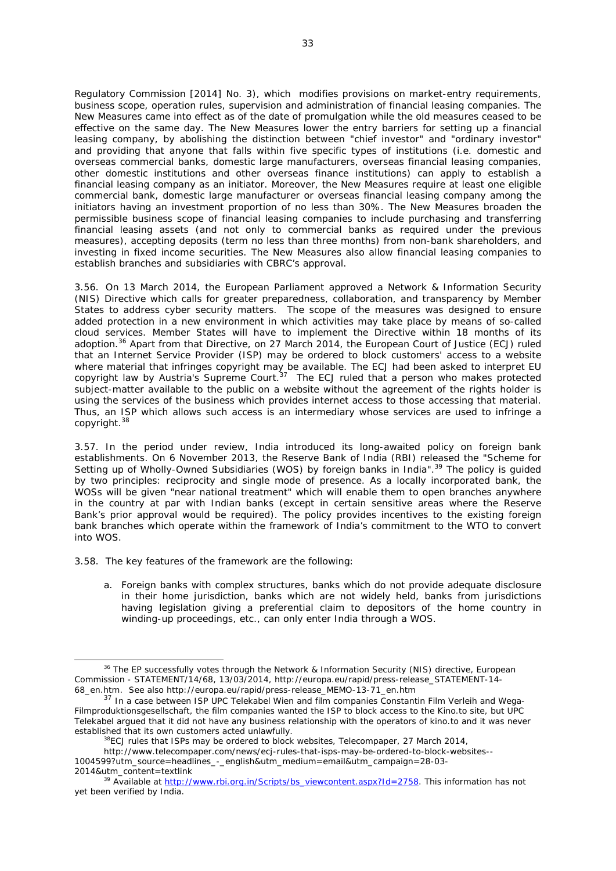Regulatory Commission [2014] No. 3), which modifies provisions on market-entry requirements, business scope, operation rules, supervision and administration of financial leasing companies. The New Measures came into effect as of the date of promulgation while the old measures ceased to be effective on the same day. The New Measures lower the entry barriers for setting up a financial leasing company, by abolishing the distinction between "chief investor" and "ordinary investor" and providing that anyone that falls within five specific types of institutions (i.e. domestic and overseas commercial banks, domestic large manufacturers, overseas financial leasing companies, other domestic institutions and other overseas finance institutions) can apply to establish a financial leasing company as an initiator. Moreover, the New Measures require at least one eligible commercial bank, domestic large manufacturer or overseas financial leasing company among the initiators having an investment proportion of no less than 30%. The New Measures broaden the permissible business scope of financial leasing companies to include purchasing and transferring financial leasing assets (and not only to commercial banks as required under the previous measures), accepting deposits (term no less than three months) from non-bank shareholders, and investing in fixed income securities. The New Measures also allow financial leasing companies to establish branches and subsidiaries with CBRC's approval.

3.56. On 13 March 2014, the European Parliament approved a Network & Information Security (NIS) Directive which calls for greater preparedness, collaboration, and transparency by Member States to address cyber security matters. The scope of the measures was designed to ensure added protection in a new environment in which activities may take place by means of so-called cloud services. Member States will have to implement the Directive within 18 months of its adoption.<sup>36</sup> Apart from that Directive, on 27 March 2014, the European Court of Justice (ECJ) ruled that an Internet Service Provider (ISP) may be ordered to block customers' access to a website where material that infringes copyright may be available. The ECJ had been asked to interpret EU copyright law by Austria's Supreme Court. $37$  The ECJ ruled that a person who makes protected subject-matter available to the public on a website without the agreement of the rights holder is using the services of the business which provides internet access to those accessing that material. Thus, an ISP which allows such access is an intermediary whose services are used to infringe a copyright.<sup>38</sup>

3.57. In the period under review, India introduced its long-awaited policy on foreign bank establishments. On 6 November 2013, the Reserve Bank of India (RBI) released the "Scheme for Setting up of Wholly-Owned Subsidiaries (WOS) by foreign banks in India".<sup>39</sup> The policy is quided by two principles: reciprocity and single mode of presence. As a locally incorporated bank, the WOSs will be given "near national treatment" which will enable them to open branches anywhere in the country at par with Indian banks (except in certain sensitive areas where the Reserve Bank's prior approval would be required). The policy provides incentives to the existing foreign bank branches which operate within the framework of India's commitment to the WTO to convert into WOS.

3.58. The key features of the framework are the following:

a. Foreign banks with complex structures, banks which do not provide adequate disclosure in their home jurisdiction, banks which are not widely held, banks from jurisdictions having legislation giving a preferential claim to depositors of the home country in winding-up proceedings, etc., can only enter India through a WOS.

 <sup>36</sup> *The EP successfully votes through the Network & Information Security (NIS) directive,* European Commission - STATEMENT/14/68, 13/03/2014, http://europa.eu/rapid/press-release\_STATEMENT-14-68 en.htm. See also http://europa.eu/rapid/press-release\_MEMO-13-71\_en.htm

 $37$  In a case between ISP UPC Telekabel Wien and film companies Constantin Film Verleih and Wega-Filmproduktionsgesellschaft, the film companies wanted the ISP to block access to the Kino.to site, but UPC Telekabel argued that it did not have any business relationship with the operators of kino.to and it was never established that its own customers acted unlawfully.<br><sup>38</sup>*ECJ rules that ISPs may be ordered to block websites*, Telecompaper, 27 March 2014,

http://www.telecompaper.com/news/ecj-rules-that-isps-may-be-ordered-to-block-websites--

<sup>1004599?</sup>utm\_source=headlines\_-\_english&utm\_medium=email&utm\_campaign=28-03- 2014&utm\_content=textlink 39 Available at http://www.rbi.org.in/Scripts/bs\_viewcontent.aspx?Id=2758. This information has not

yet been verified by India.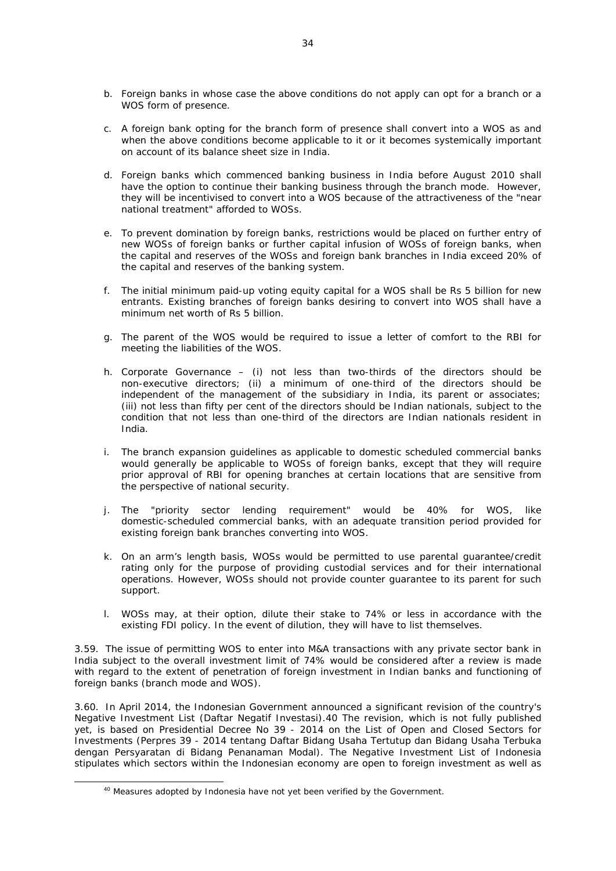- b. Foreign banks in whose case the above conditions do not apply can opt for a branch or a WOS form of presence.
- c. A foreign bank opting for the branch form of presence shall convert into a WOS as and when the above conditions become applicable to it or it becomes systemically important on account of its balance sheet size in India.
- d. Foreign banks which commenced banking business in India before August 2010 shall have the option to continue their banking business through the branch mode. However, they will be incentivised to convert into a WOS because of the attractiveness of the "near national treatment" afforded to WOSs.
- e. To prevent domination by foreign banks, restrictions would be placed on further entry of new WOSs of foreign banks or further capital infusion of WOSs of foreign banks, when the capital and reserves of the WOSs and foreign bank branches in India exceed 20% of the capital and reserves of the banking system.
- f. The initial minimum paid-up voting equity capital for a WOS shall be Rs 5 billion for new entrants. Existing branches of foreign banks desiring to convert into WOS shall have a minimum net worth of Rs 5 billion.
- g. The parent of the WOS would be required to issue a letter of comfort to the RBI for meeting the liabilities of the WOS.
- h. Corporate Governance (i) not less than two-thirds of the directors should be non-executive directors; (ii) a minimum of one-third of the directors should be independent of the management of the subsidiary in India, its parent or associates; (iii) not less than fifty per cent of the directors should be Indian nationals, subject to the condition that not less than one-third of the directors are Indian nationals resident in India.
- i. The branch expansion guidelines as applicable to domestic scheduled commercial banks would generally be applicable to WOSs of foreign banks, except that they will require prior approval of RBI for opening branches at certain locations that are sensitive from the perspective of national security.
- j. The "priority sector lending requirement" would be 40% for WOS, like domestic-scheduled commercial banks, with an adequate transition period provided for existing foreign bank branches converting into WOS.
- k. On an arm's length basis, WOSs would be permitted to use parental guarantee/credit rating only for the purpose of providing custodial services and for their international operations. However, WOSs should not provide counter guarantee to its parent for such support.
- l. WOSs may, at their option, dilute their stake to 74% or less in accordance with the existing FDI policy. In the event of dilution, they will have to list themselves.

3.59. The issue of permitting WOS to enter into M&A transactions with any private sector bank in India subject to the overall investment limit of 74% would be considered after a review is made with regard to the extent of penetration of foreign investment in Indian banks and functioning of foreign banks (branch mode and WOS).

3.60. In April 2014, the Indonesian Government announced a significant revision of the country's Negative Investment List (Daftar Negatif Investasi).40 The revision, which is not fully published yet, is based on Presidential Decree No 39 - 2014 on the List of Open and Closed Sectors for Investments (Perpres 39 - 2014 tentang Daftar Bidang Usaha Tertutup dan Bidang Usaha Terbuka dengan Persyaratan di Bidang Penanaman Modal). The Negative Investment List of Indonesia stipulates which sectors within the Indonesian economy are open to foreign investment as well as

<sup>&</sup>lt;sup>40</sup> Measures adopted by Indonesia have not yet been verified by the Government.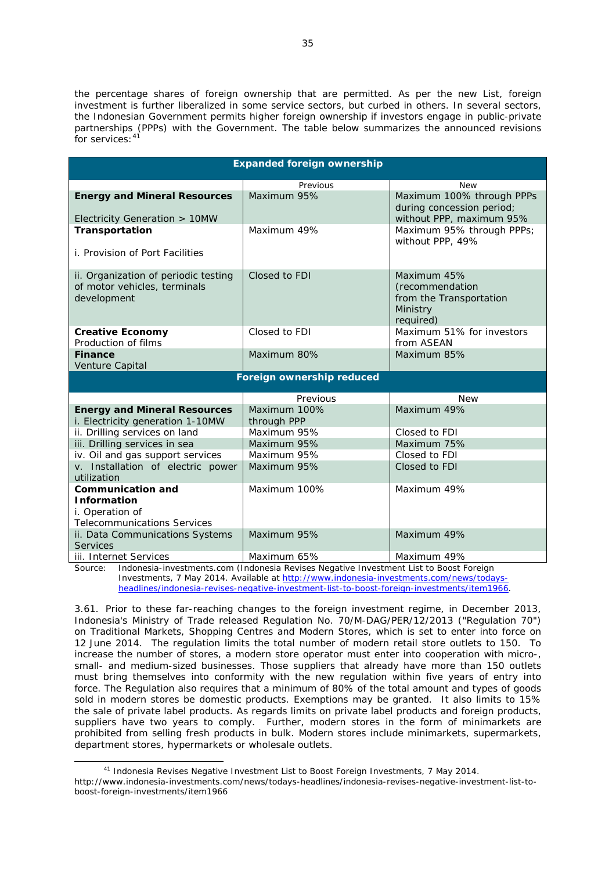the percentage shares of foreign ownership that are permitted. As per the new List, foreign investment is further liberalized in some service sectors, but curbed in others. In several sectors, the Indonesian Government permits higher foreign ownership if investors engage in public-private partnerships (PPPs) with the Government. The table below summarizes the announced revisions for services: 41

| <b>Expanded foreign ownership</b>                                                   |                             |                                                                                                  |
|-------------------------------------------------------------------------------------|-----------------------------|--------------------------------------------------------------------------------------------------|
|                                                                                     | Previous                    |                                                                                                  |
| <b>Energy and Mineral Resources</b><br>Electricity Generation > 10MW                | Maximum 95%                 | <b>New</b><br>Maximum 100% through PPPs<br>during concession period;<br>without PPP, maximum 95% |
| Transportation<br>i. Provision of Port Facilities                                   | Maximum 49%                 | Maximum 95% through PPPs;<br>without PPP, 49%                                                    |
| ii. Organization of periodic testing<br>of motor vehicles, terminals<br>development | Closed to FDI               | Maximum 45%<br>(recommendation<br>from the Transportation<br>Ministry<br>required)               |
| <b>Creative Economy</b><br>Production of films                                      | Closed to FDI               | Maximum 51% for investors<br>from ASEAN                                                          |
| <b>Finance</b><br>Venture Capital                                                   | Maximum 80%                 | Maximum 85%                                                                                      |
| Foreign ownership reduced                                                           |                             |                                                                                                  |
|                                                                                     | Previous                    | <b>New</b>                                                                                       |
| <b>Energy and Mineral Resources</b><br>i. Electricity generation 1-10MW             | Maximum 100%<br>through PPP | Maximum 49%                                                                                      |
| ii. Drilling services on land                                                       | Maximum 95%                 | Closed to FDI                                                                                    |
| iii. Drilling services in sea                                                       | Maximum 95%                 | Maximum 75%                                                                                      |
| iv. Oil and gas support services                                                    | Maximum 95%                 | Closed to FDI                                                                                    |
| v. Installation of electric power<br>utilization                                    | Maximum 95%                 | Closed to FDI                                                                                    |
| <b>Communication and</b>                                                            | Maximum 100%                | Maximum 49%                                                                                      |
| <b>Information</b><br>i. Operation of<br><b>Telecommunications Services</b>         |                             |                                                                                                  |
| ii. Data Communications Systems<br><b>Services</b>                                  | Maximum 95%                 | Maximum 49%                                                                                      |
| iii. Internet Services                                                              | Maximum 65%                 | Maximum 49%                                                                                      |

Source: Indonesia-investments.com (Indonesia Revises Negative Investment List to Boost Foreign Investments, 7 May 2014. Available at http://www.indonesia-investments.com/news/todaysheadlines/indonesia-revises-negative-investment-list-to-boost-foreign-investments/item1966.

3.61. Prior to these far-reaching changes to the foreign investment regime, in December 2013, Indonesia's Ministry of Trade released Regulation No. 70/M-DAG/PER/12/2013 ("Regulation 70") on Traditional Markets, Shopping Centres and Modern Stores, which is set to enter into force on 12 June 2014. The regulation limits the total number of modern retail store outlets to 150. To increase the number of stores, a modern store operator must enter into cooperation with micro-, small- and medium-sized businesses. Those suppliers that already have more than 150 outlets must bring themselves into conformity with the new regulation within five years of entry into force. The Regulation also requires that a minimum of 80% of the total amount and types of goods sold in modern stores be domestic products. Exemptions may be granted. It also limits to 15% the sale of private label products. As regards limits on private label products and foreign products, suppliers have two years to comply. Further, modern stores in the form of minimarkets are prohibited from selling fresh products in bulk. Modern stores include minimarkets, supermarkets, department stores, hypermarkets or wholesale outlets.

<sup>&</sup>lt;sup>41</sup> Indonesia Revises Negative Investment List to Boost Foreign Investments, 7 May 2014. http://www.indonesia-investments.com/news/todays-headlines/indonesia-revises-negative-investment-list-toboost-foreign-investments/item1966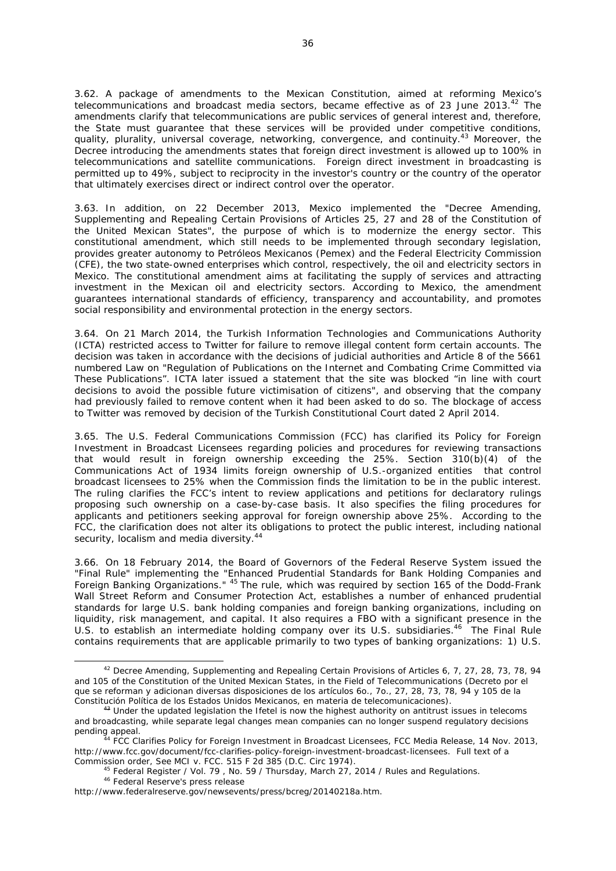3.62. A package of amendments to the Mexican Constitution, aimed at reforming Mexico's telecommunications and broadcast media sectors, became effective as of 23 June 2013.<sup>42</sup> The amendments clarify that telecommunications are public services of general interest and, therefore, the State must guarantee that these services will be provided under competitive conditions, quality, plurality, universal coverage, networking, convergence, and continuity.<sup>43</sup> Moreover, the Decree introducing the amendments states that foreign direct investment is allowed up to 100% in telecommunications and satellite communications. Foreign direct investment in broadcasting is permitted up to 49%, subject to reciprocity in the investor's country or the country of the operator that ultimately exercises direct or indirect control over the operator.

3.63. In addition, on 22 December 2013, Mexico implemented the "Decree Amending, Supplementing and Repealing Certain Provisions of Articles 25, 27 and 28 of the Constitution of the United Mexican States", the purpose of which is to modernize the energy sector. This constitutional amendment, which still needs to be implemented through secondary legislation, provides greater autonomy to Petróleos Mexicanos (Pemex) and the Federal Electricity Commission (CFE), the two state-owned enterprises which control, respectively, the oil and electricity sectors in Mexico. The constitutional amendment aims at facilitating the supply of services and attracting investment in the Mexican oil and electricity sectors. According to Mexico, the amendment guarantees international standards of efficiency, transparency and accountability, and promotes social responsibility and environmental protection in the energy sectors.

3.64. On 21 March 2014, the Turkish Information Technologies and Communications Authority (ICTA) restricted access to Twitter for failure to remove illegal content form certain accounts. The decision was taken in accordance with the decisions of judicial authorities and Article 8 of the 5661 numbered Law on "Regulation of Publications on the Internet and Combating Crime Committed via These Publications". ICTA later issued a statement that the site was blocked "in line with court decisions to avoid the possible future victimisation of citizens", and observing that the company had previously failed to remove content when it had been asked to do so. The blockage of access to Twitter was removed by decision of the Turkish Constitutional Court dated 2 April 2014.

3.65. The U.S. Federal Communications Commission (FCC) has clarified its Policy for Foreign Investment in Broadcast Licensees regarding policies and procedures for reviewing transactions that would result in foreign ownership exceeding the 25%. Section 310(b)(4) of the Communications Act of 1934 limits foreign ownership of U.S.-organized entities that control broadcast licensees to 25% when the Commission finds the limitation to be in the public interest. The ruling clarifies the FCC's intent to review applications and petitions for declaratory rulings proposing such ownership on a case-by-case basis. It also specifies the filing procedures for applicants and petitioners seeking approval for foreign ownership above 25%. According to the FCC, the clarification does not alter its obligations to protect the public interest, including national security, localism and media diversity.<sup>44</sup>

3.66. On 18 February 2014, the Board of Governors of the Federal Reserve System issued the "Final Rule" implementing the "Enhanced Prudential Standards for Bank Holding Companies and Foreign Banking Organizations." 45 The rule, which was required by section 165 of the Dodd-Frank Wall Street Reform and Consumer Protection Act, establishes a number of enhanced prudential standards for large U.S. bank holding companies and foreign banking organizations, including on liquidity, risk management, and capital. It also requires a FBO with a significant presence in the U.S. to establish an intermediate holding company over its U.S. subsidiaries.<sup>46</sup> The Final Rule contains requirements that are applicable primarily to two types of banking organizations: 1) U.S.

 <sup>42</sup> Decree Amending, Supplementing and Repealing Certain Provisions of Articles 6, 7, 27, 28, 73, 78, 94 and 105 of the Constitution of the United Mexican States, in the Field of Telecommunications (Decreto por el que se reforman y adicionan diversas disposiciones de los artículos 6o., 7o., 27, 28, 73, 78, 94 y 105 de la Constitución Política de los Estados Unidos Mexicanos, en materia de telecomunicaciones).<br><sup>43</sup> Under the updated legislation the Ifetel is now the highest authority on antitrust issues in telecoms

and broadcasting, while separate legal changes mean companies can no longer suspend regulatory decisions pending appeal. 44 *FCC Clarifies Policy for Foreign Investment in Broadcast Licensees*, FCC Media Release, 14 Nov. 2013,

http://www.fcc.gov/document/fcc-clarifies-policy-foreign-investment-broadcast-licensees. Full text of a

Commission order, See MCI v. FCC. 515 F 2d 385 (D.C. Circ 1974).<br><sup>45</sup> Federal Register / Vol. 79 , No. 59 / Thursday, March 27, 2014 / Rules and Regulations.<br><sup>46</sup> Federal Reserve's press release

http://www.federalreserve.gov/newsevents/press/bcreg/20140218a.htm.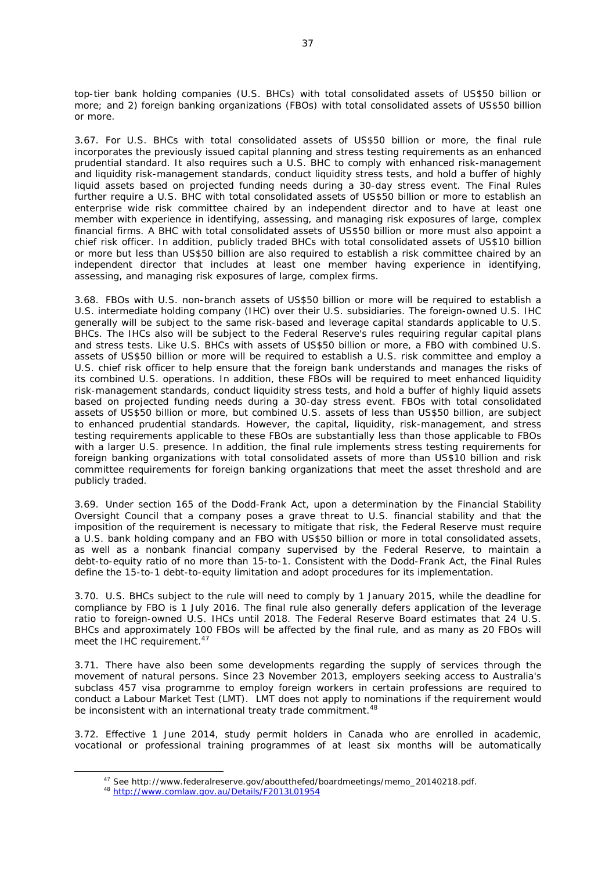top-tier bank holding companies (U.S. BHCs) with total consolidated assets of US\$50 billion or more; and 2) foreign banking organizations (FBOs) with total consolidated assets of US\$50 billion or more.

3.67. For U.S. BHCs with total consolidated assets of US\$50 billion or more, the final rule incorporates the previously issued capital planning and stress testing requirements as an enhanced prudential standard. It also requires such a U.S. BHC to comply with enhanced risk-management and liquidity risk-management standards, conduct liquidity stress tests, and hold a buffer of highly liquid assets based on projected funding needs during a 30-day stress event. The Final Rules further require a U.S. BHC with total consolidated assets of US\$50 billion or more to establish an enterprise wide risk committee chaired by an independent director and to have at least one member with experience in identifying, assessing, and managing risk exposures of large, complex financial firms. A BHC with total consolidated assets of US\$50 billion or more must also appoint a chief risk officer. In addition, publicly traded BHCs with total consolidated assets of US\$10 billion or more but less than US\$50 billion are also required to establish a risk committee chaired by an independent director that includes at least one member having experience in identifying, assessing, and managing risk exposures of large, complex firms.

3.68. FBOs with U.S. non-branch assets of US\$50 billion or more will be required to establish a U.S. intermediate holding company (IHC) over their U.S. subsidiaries. The foreign-owned U.S. IHC generally will be subject to the same risk-based and leverage capital standards applicable to U.S. BHCs. The IHCs also will be subject to the Federal Reserve's rules requiring regular capital plans and stress tests. Like U.S. BHCs with assets of US\$50 billion or more, a FBO with combined U.S. assets of US\$50 billion or more will be required to establish a U.S. risk committee and employ a U.S. chief risk officer to help ensure that the foreign bank understands and manages the risks of its combined U.S. operations. In addition, these FBOs will be required to meet enhanced liquidity risk-management standards, conduct liquidity stress tests, and hold a buffer of highly liquid assets based on projected funding needs during a 30-day stress event. FBOs with total consolidated assets of US\$50 billion or more, but combined U.S. assets of less than US\$50 billion, are subject to enhanced prudential standards. However, the capital, liquidity, risk-management, and stress testing requirements applicable to these FBOs are substantially less than those applicable to FBOs with a larger U.S. presence. In addition, the final rule implements stress testing requirements for foreign banking organizations with total consolidated assets of more than US\$10 billion and risk committee requirements for foreign banking organizations that meet the asset threshold and are publicly traded.

3.69. Under section 165 of the Dodd-Frank Act, upon a determination by the Financial Stability Oversight Council that a company poses a grave threat to U.S. financial stability and that the imposition of the requirement is necessary to mitigate that risk, the Federal Reserve must require a U.S. bank holding company and an FBO with US\$50 billion or more in total consolidated assets, as well as a nonbank financial company supervised by the Federal Reserve, to maintain a debt-to-equity ratio of no more than 15-to-1. Consistent with the Dodd-Frank Act, the Final Rules define the 15-to-1 debt-to-equity limitation and adopt procedures for its implementation.

3.70. U.S. BHCs subject to the rule will need to comply by 1 January 2015, while the deadline for compliance by FBO is 1 July 2016. The final rule also generally defers application of the leverage ratio to foreign-owned U.S. IHCs until 2018. The Federal Reserve Board estimates that 24 U.S. BHCs and approximately 100 FBOs will be affected by the final rule, and as many as 20 FBOs will meet the IHC requirement.<sup>47</sup>

3.71. There have also been some developments regarding the supply of services through the movement of natural persons. Since 23 November 2013, employers seeking access to Australia's subclass 457 visa programme to employ foreign workers in certain professions are required to conduct a Labour Market Test (LMT). LMT does not apply to nominations if the requirement would be inconsistent with an international treaty trade commitment.<sup>48</sup>

3.72. Effective 1 June 2014, study permit holders in Canada who are enrolled in academic, vocational or professional training programmes of at least six months will be automatically

<sup>47</sup> See http://www.federalreserve.gov/aboutthefed/boardmeetings/memo\_20140218.pdf.<br><sup>48</sup> http://www.comlaw.gov.au/Details/F2013L01954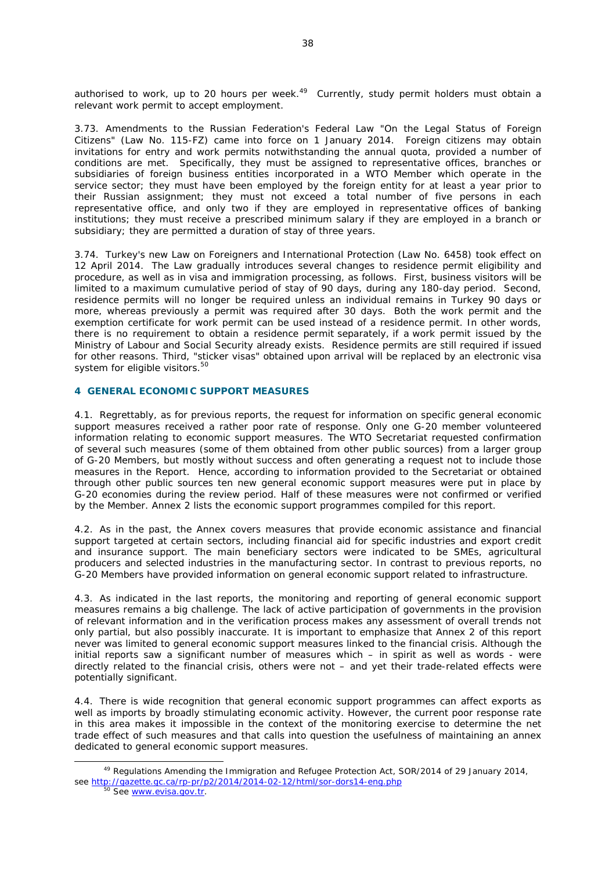authorised to work, up to 20 hours per week. $49$  Currently, study permit holders must obtain a relevant work permit to accept employment.

3.73. Amendments to the Russian Federation's Federal Law "On the Legal Status of Foreign Citizens" (Law No. 115-FZ) came into force on 1 January 2014. Foreign citizens may obtain invitations for entry and work permits notwithstanding the annual quota, provided a number of conditions are met. Specifically, they must be assigned to representative offices, branches or subsidiaries of foreign business entities incorporated in a WTO Member which operate in the service sector; they must have been employed by the foreign entity for at least a year prior to their Russian assignment; they must not exceed a total number of five persons in each representative office, and only two if they are employed in representative offices of banking institutions; they must receive a prescribed minimum salary if they are employed in a branch or subsidiary; they are permitted a duration of stay of three years.

3.74. Turkey's new Law on Foreigners and International Protection (Law No. 6458) took effect on 12 April 2014. The Law gradually introduces several changes to residence permit eligibility and procedure, as well as in visa and immigration processing, as follows. First, business visitors will be limited to a maximum cumulative period of stay of 90 days, during any 180-day period. Second, residence permits will no longer be required unless an individual remains in Turkey 90 days or more, whereas previously a permit was required after 30 days. Both the work permit and the exemption certificate for work permit can be used instead of a residence permit. In other words, there is no requirement to obtain a residence permit separately, if a work permit issued by the Ministry of Labour and Social Security already exists. Residence permits are still required if issued for other reasons. Third, "sticker visas" obtained upon arrival will be replaced by an electronic visa system for eligible visitors.<sup>50</sup>

# **4 GENERAL ECONOMIC SUPPORT MEASURES**

4.1. Regrettably, as for previous reports, the request for information on specific general economic support measures received a rather poor rate of response. Only one G-20 member volunteered information relating to economic support measures. The WTO Secretariat requested confirmation of several such measures (some of them obtained from other public sources) from a larger group of G-20 Members, but mostly without success and often generating a request not to include those measures in the Report. Hence, according to information provided to the Secretariat or obtained through other public sources ten new general economic support measures were put in place by G-20 economies during the review period. Half of these measures were not confirmed or verified by the Member. Annex 2 lists the economic support programmes compiled for this report.

4.2. As in the past, the Annex covers measures that provide economic assistance and financial support targeted at certain sectors, including financial aid for specific industries and export credit and insurance support. The main beneficiary sectors were indicated to be SMEs, agricultural producers and selected industries in the manufacturing sector. In contrast to previous reports, no G-20 Members have provided information on general economic support related to infrastructure.

4.3. As indicated in the last reports, the monitoring and reporting of general economic support measures remains a big challenge. The lack of active participation of governments in the provision of relevant information and in the verification process makes any assessment of overall trends not only partial, but also possibly inaccurate. It is important to emphasize that Annex 2 of this report never was limited to general economic support measures linked to the financial crisis. Although the initial reports saw a significant number of measures which – in spirit as well as words - were directly related to the financial crisis, others were not – and yet their trade-related effects were potentially significant.

4.4. There is wide recognition that general economic support programmes can affect exports as well as imports by broadly stimulating economic activity. However, the current poor response rate in this area makes it impossible in the context of the monitoring exercise to determine the net trade effect of such measures and that calls into question the usefulness of maintaining an annex dedicated to general economic support measures.

<sup>&</sup>lt;sup>49</sup> Regulations Amending the Immigration and Refugee Protection Act, SOR/2014 of 29 January 2014, see http://gazette.gc.ca/rp-pr/p2/2014/2014-02-12/html/sor-dors14-eng.php 50 See www.evisa.gov.tr.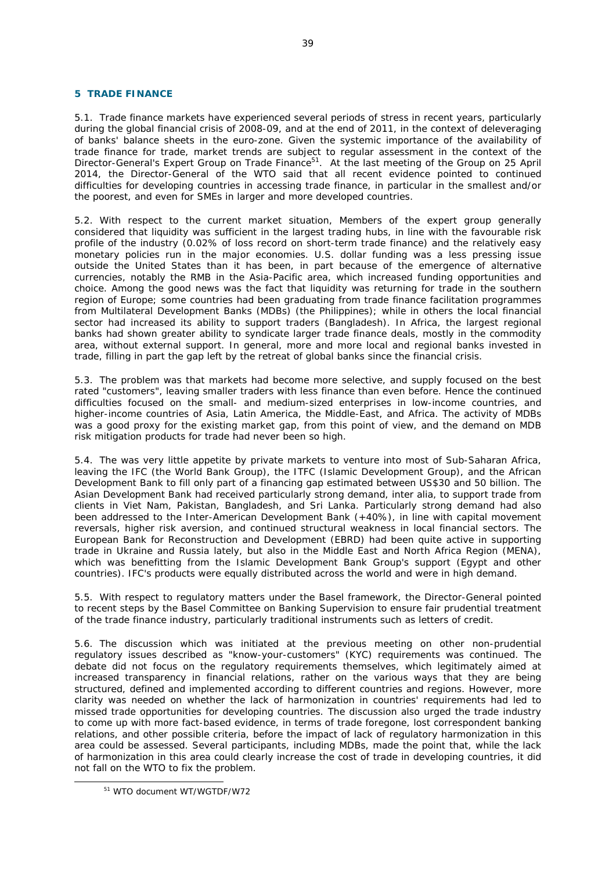### **5 TRADE FINANCE**

5.1. Trade finance markets have experienced several periods of stress in recent years, particularly during the global financial crisis of 2008-09, and at the end of 2011, in the context of deleveraging of banks' balance sheets in the euro-zone. Given the systemic importance of the availability of trade finance for trade, market trends are subject to regular assessment in the context of the Director-General's Expert Group on Trade Finance<sup>51</sup>. At the last meeting of the Group on 25 April 2014, the Director-General of the WTO said that all recent evidence pointed to continued difficulties for developing countries in accessing trade finance, in particular in the smallest and/or the poorest, and even for SMEs in larger and more developed countries.

5.2. With respect to the current market situation, Members of the expert group generally considered that liquidity was sufficient in the largest trading hubs, in line with the favourable risk profile of the industry (0.02% of loss record on short-term trade finance) and the relatively easy monetary policies run in the major economies. U.S. dollar funding was a less pressing issue outside the United States than it has been, in part because of the emergence of alternative currencies, notably the RMB in the Asia-Pacific area, which increased funding opportunities and choice. Among the good news was the fact that liquidity was returning for trade in the southern region of Europe; some countries had been graduating from trade finance facilitation programmes from Multilateral Development Banks (MDBs) (the Philippines); while in others the local financial sector had increased its ability to support traders (Bangladesh). In Africa, the largest regional banks had shown greater ability to syndicate larger trade finance deals, mostly in the commodity area, without external support. In general, more and more local and regional banks invested in trade, filling in part the gap left by the retreat of global banks since the financial crisis.

5.3. The problem was that markets had become more selective, and supply focused on the best rated "customers", leaving smaller traders with less finance than even before. Hence the continued difficulties focused on the small- and medium-sized enterprises in low-income countries, and higher-income countries of Asia, Latin America, the Middle-East, and Africa. The activity of MDBs was a good proxy for the existing market gap, from this point of view, and the demand on MDB risk mitigation products for trade had never been so high.

5.4. The was very little appetite by private markets to venture into most of Sub-Saharan Africa, leaving the IFC (the World Bank Group), the ITFC (Islamic Development Group), and the African Development Bank to fill only part of a financing gap estimated between US\$30 and 50 billion. The Asian Development Bank had received particularly strong demand, inter alia, to support trade from clients in Viet Nam, Pakistan, Bangladesh, and Sri Lanka. Particularly strong demand had also been addressed to the Inter-American Development Bank (+40%), in line with capital movement reversals, higher risk aversion, and continued structural weakness in local financial sectors. The European Bank for Reconstruction and Development (EBRD) had been quite active in supporting trade in Ukraine and Russia lately, but also in the Middle East and North Africa Region (MENA), which was benefitting from the Islamic Development Bank Group's support (Egypt and other countries). IFC's products were equally distributed across the world and were in high demand.

5.5. With respect to regulatory matters under the Basel framework, the Director-General pointed to recent steps by the Basel Committee on Banking Supervision to ensure fair prudential treatment of the trade finance industry, particularly traditional instruments such as letters of credit.

5.6. The discussion which was initiated at the previous meeting on other non-prudential regulatory issues described as "know-your-customers" (KYC) requirements was continued. The debate did not focus on the regulatory requirements themselves, which legitimately aimed at increased transparency in financial relations, rather on the various ways that they are being structured, defined and implemented according to different countries and regions. However, more clarity was needed on whether the lack of harmonization in countries' requirements had led to missed trade opportunities for developing countries. The discussion also urged the trade industry to come up with more fact-based evidence, in terms of trade foregone, lost correspondent banking relations, and other possible criteria, before the impact of lack of regulatory harmonization in this area could be assessed. Several participants, including MDBs, made the point that, while the lack of harmonization in this area could clearly increase the cost of trade in developing countries, it did not fall on the WTO to fix the problem.

 <sup>51</sup> WTO document WT/WGTDF/W72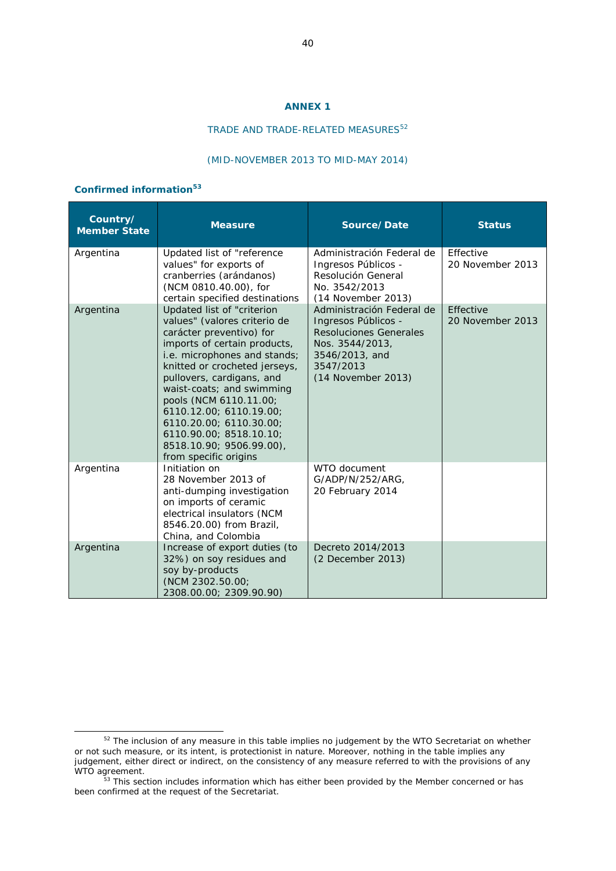#### **ANNEX 1**

# TRADE AND TRADE-RELATED MEASURES<sup>52</sup>

#### (MID-NOVEMBER 2013 TO MID-MAY 2014)

# **Confirmed information<sup>53</sup>**

| Country/<br><b>Member State</b> | <b>Measure</b>                                                                                                                                                                                                                                                                                                                                                                                                            | Source/Date                                                                                                                                        | <b>Status</b>                 |
|---------------------------------|---------------------------------------------------------------------------------------------------------------------------------------------------------------------------------------------------------------------------------------------------------------------------------------------------------------------------------------------------------------------------------------------------------------------------|----------------------------------------------------------------------------------------------------------------------------------------------------|-------------------------------|
| Argentina                       | Updated list of "reference<br>values" for exports of<br>cranberries (arándanos)<br>(NCM 0810.40.00), for<br>certain specified destinations                                                                                                                                                                                                                                                                                | Administración Federal de<br>Ingresos Públicos -<br>Resolución General<br>No. 3542/2013<br>(14 November 2013)                                      | Effective<br>20 November 2013 |
| Argentina                       | Updated list of "criterion<br>values" (valores criterio de<br><i>carácter preventivo</i> ) for<br>imports of certain products,<br>i.e. microphones and stands;<br>knitted or crocheted jerseys,<br>pullovers, cardigans, and<br>waist-coats; and swimming<br>pools (NCM 6110.11.00;<br>6110.12.00; 6110.19.00;<br>6110.20.00; 6110.30.00;<br>6110.90.00; 8518.10.10;<br>8518.10.90; 9506.99.00),<br>from specific origins | Administración Federal de<br>Ingresos Públicos -<br>Resoluciones Generales<br>Nos. 3544/2013,<br>3546/2013, and<br>3547/2013<br>(14 November 2013) | Effective<br>20 November 2013 |
| Argentina                       | Initiation on<br>28 November 2013 of<br>anti-dumping investigation<br>on imports of ceramic<br>electrical insulators (NCM<br>8546.20.00) from Brazil,<br>China, and Colombia                                                                                                                                                                                                                                              | WTO document<br>G/ADP/N/252/ARG,<br>20 February 2014                                                                                               |                               |
| Argentina                       | Increase of export duties (to<br>32%) on soy residues and<br>soy by-products<br>(NCM 2302.50.00;<br>2308.00.00; 2309.90.90)                                                                                                                                                                                                                                                                                               | Decreto 2014/2013<br>(2 December 2013)                                                                                                             |                               |

<sup>&</sup>lt;sup>52</sup> The inclusion of any measure in this table implies no judgement by the WTO Secretariat on whether or not such measure, or its intent, is protectionist in nature. Moreover, nothing in the table implies any judgement, either direct or indirect, on the consistency of any measure referred to with the provisions of any WTO agreement.<br><sup>53</sup> This section includes information which has either been provided by the Member concerned or has

been confirmed at the request of the Secretariat.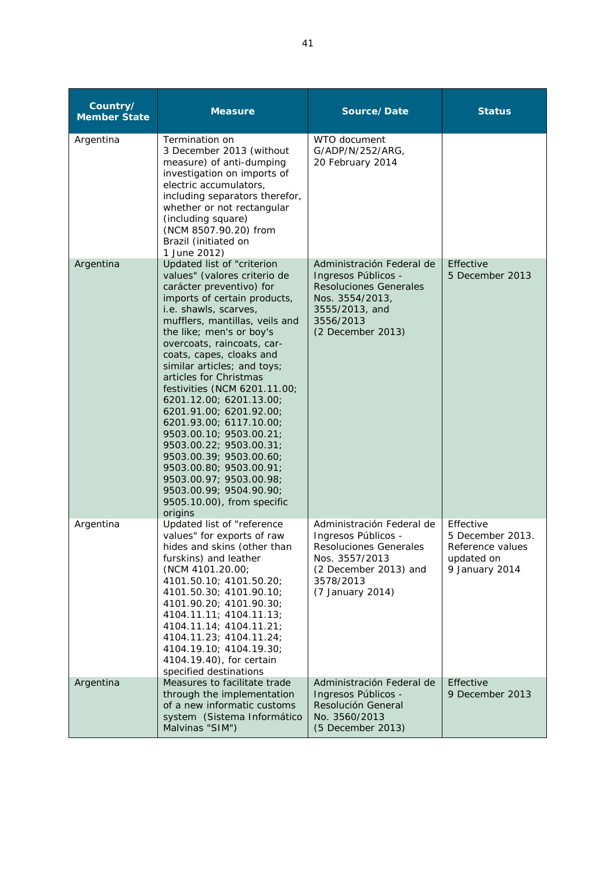| Country/<br><b>Member State</b> | <b>Measure</b>                                                                                                                                                                                                                                                                                                                                                                                                                                                                                                                                                                                                                                               | Source/Date                                                                                                                                                   | <b>Status</b>                                                                     |
|---------------------------------|--------------------------------------------------------------------------------------------------------------------------------------------------------------------------------------------------------------------------------------------------------------------------------------------------------------------------------------------------------------------------------------------------------------------------------------------------------------------------------------------------------------------------------------------------------------------------------------------------------------------------------------------------------------|---------------------------------------------------------------------------------------------------------------------------------------------------------------|-----------------------------------------------------------------------------------|
| Argentina                       | Termination on<br>3 December 2013 (without<br>measure) of anti-dumping<br>investigation on imports of<br>electric accumulators,<br>including separators therefor,<br>whether or not rectangular<br>(including square)<br>(NCM 8507.90.20) from<br>Brazil (initiated on<br>1 June 2012)                                                                                                                                                                                                                                                                                                                                                                       | WTO document<br>G/ADP/N/252/ARG,<br>20 February 2014                                                                                                          |                                                                                   |
| Argentina                       | Updated list of "criterion<br>values" (valores criterio de<br>carácter preventivo) for<br>imports of certain products,<br>i.e. shawls, scarves,<br>mufflers, mantillas, veils and<br>the like; men's or boy's<br>overcoats, raincoats, car-<br>coats, capes, cloaks and<br>similar articles; and toys;<br>articles for Christmas<br>festivities (NCM 6201.11.00;<br>6201.12.00; 6201.13.00;<br>6201.91.00; 6201.92.00;<br>6201.93.00; 6117.10.00;<br>9503.00.10; 9503.00.21;<br>9503.00.22; 9503.00.31;<br>9503.00.39; 9503.00.60;<br>9503.00.80; 9503.00.91;<br>9503.00.97; 9503.00.98;<br>9503.00.99; 9504.90.90;<br>9505.10.00), from specific<br>origins | Administración Federal de<br>Ingresos Públicos -<br><b>Resoluciones Generales</b><br>Nos. 3554/2013,<br>3555/2013, and<br>3556/2013<br>(2 December 2013)      | Effective<br>5 December 2013                                                      |
| Argentina                       | Updated list of "reference<br>values" for exports of raw<br>hides and skins (other than<br>furskins) and leather<br>(NCM 4101.20.00;<br>4101.50.10; 4101.50.20;<br>4101.50.30; 4101.90.10;<br>4101.90.20; 4101.90.30;<br>4104.11.11; 4104.11.13;<br>4104.11.14; 4104.11.21;<br>4104.11.23; 4104.11.24;<br>4104.19.10; 4104.19.30;<br>4104.19.40), for certain<br>specified destinations                                                                                                                                                                                                                                                                      | Administración Federal de<br>Ingresos Públicos -<br><b>Resoluciones Generales</b><br>Nos. 3557/2013<br>(2 December 2013) and<br>3578/2013<br>(7 January 2014) | Effective<br>5 December 2013.<br>Reference values<br>updated on<br>9 January 2014 |
| Argentina                       | Measures to facilitate trade<br>through the implementation<br>of a new informatic customs<br>system (Sistema Informático<br>Malvinas "SIM")                                                                                                                                                                                                                                                                                                                                                                                                                                                                                                                  | Administración Federal de<br>Ingresos Públicos -<br>Resolución General<br>No. 3560/2013<br>(5 December 2013)                                                  | Effective<br>9 December 2013                                                      |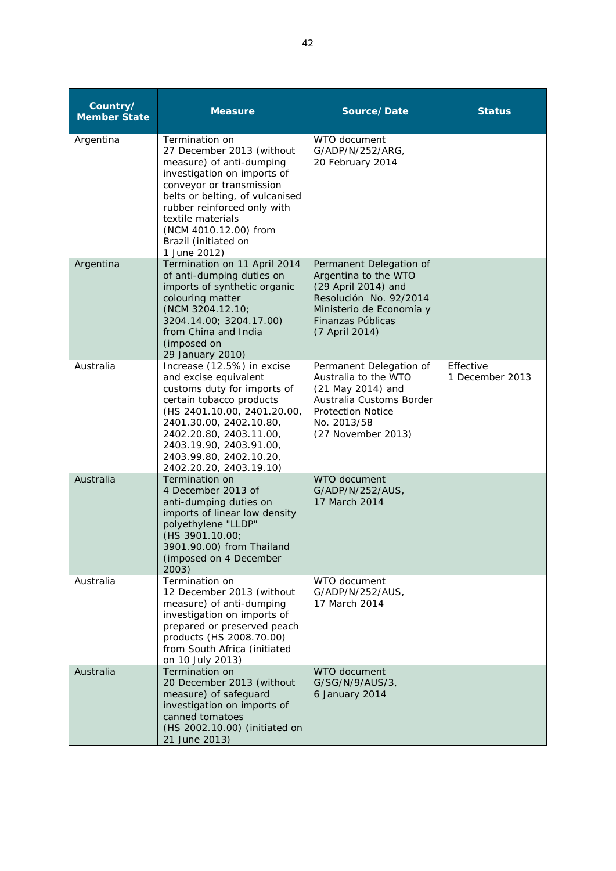| Country/<br><b>Member State</b> | <b>Measure</b>                                                                                                                                                                                                                                                                                    | Source/Date                                                                                                                                                         | <b>Status</b>                |
|---------------------------------|---------------------------------------------------------------------------------------------------------------------------------------------------------------------------------------------------------------------------------------------------------------------------------------------------|---------------------------------------------------------------------------------------------------------------------------------------------------------------------|------------------------------|
| Argentina                       | <b>Termination on</b><br>27 December 2013 (without<br>measure) of anti-dumping<br>investigation on imports of<br>conveyor or transmission<br>belts or belting, of vulcanised<br>rubber reinforced only with<br>textile materials<br>(NCM 4010.12.00) from<br>Brazil (initiated on<br>1 June 2012) | WTO document<br>G/ADP/N/252/ARG,<br>20 February 2014                                                                                                                |                              |
| Argentina                       | Termination on 11 April 2014<br>of anti-dumping duties on<br>imports of synthetic organic<br>colouring matter<br>(NCM 3204.12.10;<br>3204.14.00; 3204.17.00)<br>from China and India<br>(imposed on<br>29 January 2010)                                                                           | Permanent Delegation of<br>Argentina to the WTO<br>(29 April 2014) and<br>Resolución No. 92/2014<br>Ministerio de Economía y<br>Finanzas Públicas<br>(7 April 2014) |                              |
| Australia                       | Increase (12.5%) in excise<br>and excise equivalent<br>customs duty for imports of<br>certain tobacco products<br>(HS 2401.10.00, 2401.20.00,<br>2401.30.00, 2402.10.80,<br>2402.20.80, 2403.11.00,<br>2403.19.90, 2403.91.00,<br>2403.99.80, 2402.10.20,<br>2402.20.20, 2403.19.10)              | Permanent Delegation of<br>Australia to the WTO<br>(21 May 2014) and<br>Australia Customs Border<br><b>Protection Notice</b><br>No. 2013/58<br>(27 November 2013)   | Effective<br>1 December 2013 |
| Australia                       | Termination on<br>4 December 2013 of<br>anti-dumping duties on<br>imports of linear low density<br>polyethylene "LLDP"<br>(HS 3901.10.00;<br>3901.90.00) from Thailand<br>(imposed on 4 December<br>2003)                                                                                         | WTO document<br>G/ADP/N/252/AUS,<br>17 March 2014                                                                                                                   |                              |
| Australia                       | Termination on<br>12 December 2013 (without<br>measure) of anti-dumping<br>investigation on imports of<br>prepared or preserved peach<br>products (HS 2008.70.00)<br>from South Africa (initiated<br>on 10 July 2013)                                                                             | WTO document<br>G/ADP/N/252/AUS,<br>17 March 2014                                                                                                                   |                              |
| Australia                       | Termination on<br>20 December 2013 (without<br>measure) of safeguard<br>investigation on imports of<br>canned tomatoes<br>(HS 2002.10.00) (initiated on<br>21 June 2013)                                                                                                                          | WTO document<br>G/SG/N/9/AUS/3,<br>6 January 2014                                                                                                                   |                              |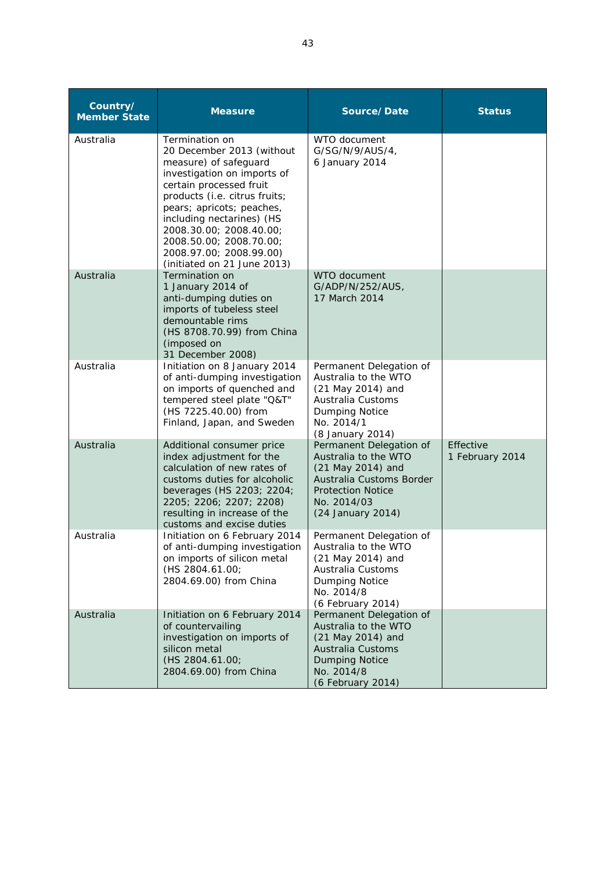| Country/<br><b>Member State</b> | <b>Measure</b>                                                                                                                                                                                                                                                                                                                            | Source/Date                                                                                                                                                      | <b>Status</b>                |
|---------------------------------|-------------------------------------------------------------------------------------------------------------------------------------------------------------------------------------------------------------------------------------------------------------------------------------------------------------------------------------------|------------------------------------------------------------------------------------------------------------------------------------------------------------------|------------------------------|
| Australia                       | Termination on<br>20 December 2013 (without<br>measure) of safeguard<br>investigation on imports of<br>certain processed fruit<br>products (i.e. citrus fruits;<br>pears; apricots; peaches,<br>including nectarines) (HS<br>2008.30.00; 2008.40.00;<br>2008.50.00; 2008.70.00;<br>2008.97.00; 2008.99.00)<br>(initiated on 21 June 2013) | WTO document<br>G/SG/N/9/AUS/4,<br>6 January 2014                                                                                                                |                              |
| Australia                       | Termination on<br>1 January 2014 of<br>anti-dumping duties on<br>imports of tubeless steel<br>demountable rims<br>(HS 8708.70.99) from China<br>(imposed on<br>31 December 2008)                                                                                                                                                          | WTO document<br>G/ADP/N/252/AUS,<br>17 March 2014                                                                                                                |                              |
| Australia                       | Initiation on 8 January 2014<br>of anti-dumping investigation<br>on imports of quenched and<br>tempered steel plate "Q&T"<br>(HS 7225.40.00) from<br>Finland, Japan, and Sweden                                                                                                                                                           | Permanent Delegation of<br>Australia to the WTO<br>(21 May 2014) and<br>Australia Customs<br><b>Dumping Notice</b><br>No. 2014/1<br>(8 January 2014)             |                              |
| Australia                       | Additional consumer price<br>index adjustment for the<br>calculation of new rates of<br>customs duties for alcoholic<br>beverages (HS 2203; 2204;<br>2205; 2206; 2207; 2208)<br>resulting in increase of the<br>customs and excise duties                                                                                                 | Permanent Delegation of<br>Australia to the WTO<br>(21 May 2014) and<br>Australia Customs Border<br><b>Protection Notice</b><br>No. 2014/03<br>(24 January 2014) | Effective<br>1 February 2014 |
| Australia                       | Initiation on 6 February 2014<br>of anti-dumping investigation<br>on imports of silicon metal<br>(HS 2804.61.00;<br>2804.69.00) from China                                                                                                                                                                                                | Permanent Delegation of<br>Australia to the WTO<br>(21 May 2014) and<br>Australia Customs<br>Dumping Notice<br>No. 2014/8<br>(6 February 2014)                   |                              |
| Australia                       | Initiation on 6 February 2014<br>of countervailing<br>investigation on imports of<br>silicon metal<br>(HS 2804.61.00;<br>2804.69.00) from China                                                                                                                                                                                           | Permanent Delegation of<br>Australia to the WTO<br>(21 May 2014) and<br><b>Australia Customs</b><br><b>Dumping Notice</b><br>No. 2014/8<br>(6 February 2014)     |                              |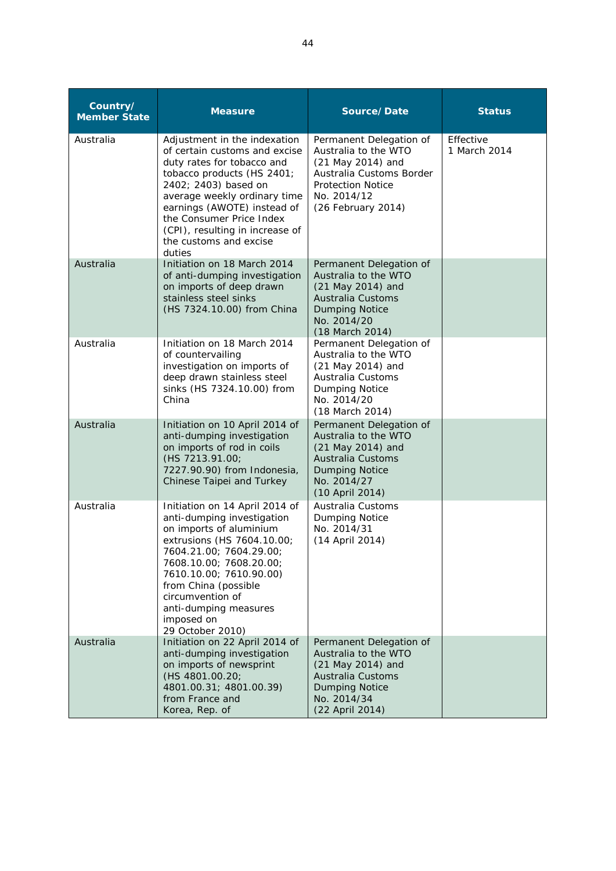| Country/<br><b>Member State</b> | <b>Measure</b>                                                                                                                                                                                                                                                                                                      | Source/Date                                                                                                                                                       | <b>Status</b>             |
|---------------------------------|---------------------------------------------------------------------------------------------------------------------------------------------------------------------------------------------------------------------------------------------------------------------------------------------------------------------|-------------------------------------------------------------------------------------------------------------------------------------------------------------------|---------------------------|
| Australia                       | Adjustment in the indexation<br>of certain customs and excise<br>duty rates for tobacco and<br>tobacco products (HS 2401;<br>2402; 2403) based on<br>average weekly ordinary time<br>earnings (AWOTE) instead of<br>the Consumer Price Index<br>(CPI), resulting in increase of<br>the customs and excise<br>duties | Permanent Delegation of<br>Australia to the WTO<br>(21 May 2014) and<br>Australia Customs Border<br><b>Protection Notice</b><br>No. 2014/12<br>(26 February 2014) | Effective<br>1 March 2014 |
| Australia                       | Initiation on 18 March 2014<br>of anti-dumping investigation<br>on imports of deep drawn<br>stainless steel sinks<br>(HS 7324.10.00) from China                                                                                                                                                                     | Permanent Delegation of<br>Australia to the WTO<br>(21 May 2014) and<br><b>Australia Customs</b><br><b>Dumping Notice</b><br>No. 2014/20<br>(18 March 2014)       |                           |
| Australia                       | Initiation on 18 March 2014<br>of countervailing<br>investigation on imports of<br>deep drawn stainless steel<br>sinks (HS 7324.10.00) from<br>China                                                                                                                                                                | Permanent Delegation of<br>Australia to the WTO<br>(21 May 2014) and<br>Australia Customs<br>Dumping Notice<br>No. 2014/20<br>(18 March 2014)                     |                           |
| Australia                       | Initiation on 10 April 2014 of<br>anti-dumping investigation<br>on imports of rod in coils<br>(HS 7213.91.00;<br>7227.90.90) from Indonesia,<br>Chinese Taipei and Turkey                                                                                                                                           | Permanent Delegation of<br>Australia to the WTO<br>(21 May 2014) and<br><b>Australia Customs</b><br><b>Dumping Notice</b><br>No. 2014/27<br>(10 April 2014)       |                           |
| Australia                       | Initiation on 14 April 2014 of<br>anti-dumping investigation<br>on imports of aluminium<br>extrusions (HS 7604.10.00;<br>7604.21.00; 7604.29.00;<br>7608.10.00; 7608.20.00;<br>7610.10.00; 7610.90.00)<br>from China (possible<br>circumvention of<br>anti-dumping measures<br>imposed on<br>29 October 2010)       | Australia Customs<br>Dumping Notice<br>No. 2014/31<br>(14 April 2014)                                                                                             |                           |
| Australia                       | Initiation on 22 April 2014 of<br>anti-dumping investigation<br>on imports of newsprint<br>(HS 4801.00.20;<br>4801.00.31; 4801.00.39)<br>from France and<br>Korea, Rep. of                                                                                                                                          | Permanent Delegation of<br>Australia to the WTO<br>(21 May 2014) and<br><b>Australia Customs</b><br><b>Dumping Notice</b><br>No. 2014/34<br>(22 April 2014)       |                           |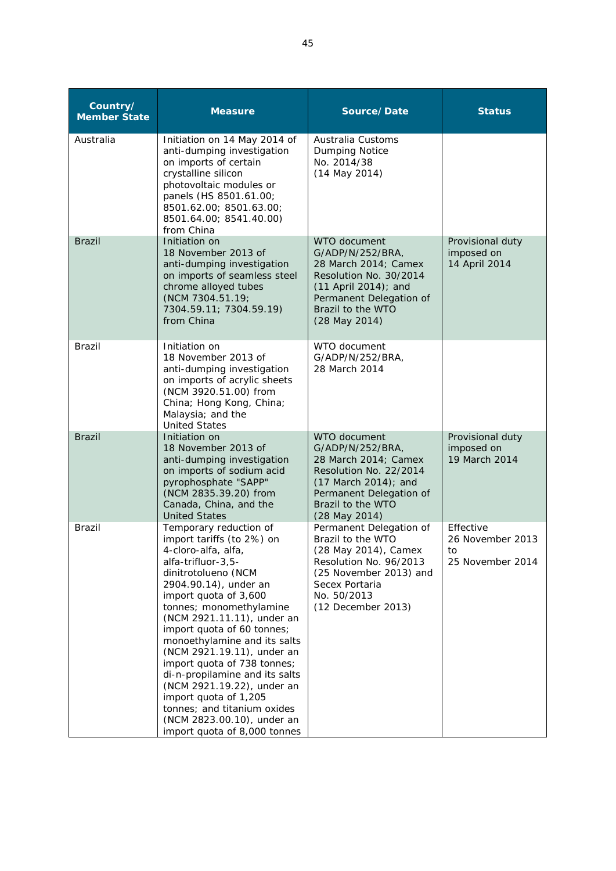| Country/<br><b>Member State</b> | <b>Measure</b>                                                                                                                                                                                                                                                                                                                                                                                                                                                                                                                                      | Source/Date                                                                                                                                                                     | <b>Status</b>                                           |
|---------------------------------|-----------------------------------------------------------------------------------------------------------------------------------------------------------------------------------------------------------------------------------------------------------------------------------------------------------------------------------------------------------------------------------------------------------------------------------------------------------------------------------------------------------------------------------------------------|---------------------------------------------------------------------------------------------------------------------------------------------------------------------------------|---------------------------------------------------------|
| Australia                       | Initiation on 14 May 2014 of<br>anti-dumping investigation<br>on imports of certain<br>crystalline silicon<br>photovoltaic modules or<br>panels (HS 8501.61.00;<br>8501.62.00; 8501.63.00;<br>8501.64.00; 8541.40.00)<br>from China                                                                                                                                                                                                                                                                                                                 | Australia Customs<br>Dumping Notice<br>No. 2014/38<br>$(14$ May 2014)                                                                                                           |                                                         |
| <b>Brazil</b>                   | Initiation on<br>18 November 2013 of<br>anti-dumping investigation<br>on imports of seamless steel<br>chrome alloyed tubes<br>(NCM 7304.51.19;<br>7304.59.11; 7304.59.19)<br>from China                                                                                                                                                                                                                                                                                                                                                             | WTO document<br>G/ADP/N/252/BRA,<br>28 March 2014; Camex<br>Resolution No. 30/2014<br>(11 April 2014); and<br>Permanent Delegation of<br>Brazil to the WTO<br>(28 May 2014)     | Provisional duty<br>imposed on<br>14 April 2014         |
| <b>Brazil</b>                   | Initiation on<br>18 November 2013 of<br>anti-dumping investigation<br>on imports of acrylic sheets<br>(NCM 3920.51.00) from<br>China; Hong Kong, China;<br>Malaysia; and the<br><b>United States</b>                                                                                                                                                                                                                                                                                                                                                | WTO document<br>G/ADP/N/252/BRA,<br>28 March 2014                                                                                                                               |                                                         |
| <b>Brazil</b>                   | Initiation on<br>18 November 2013 of<br>anti-dumping investigation<br>on imports of sodium acid<br>pyrophosphate "SAPP"<br>(NCM 2835.39.20) from<br>Canada, China, and the<br><b>United States</b>                                                                                                                                                                                                                                                                                                                                                  | WTO document<br>G/ADP/N/252/BRA,<br>28 March 2014; Camex<br>Resolution No. 22/2014<br>(17 March 2014); and<br>Permanent Delegation of<br>Brazil to the WTO<br>(28 May 2014)     | Provisional duty<br>imposed on<br>19 March 2014         |
| <b>Brazil</b>                   | Temporary reduction of<br>import tariffs (to 2%) on<br>4-cloro-alfa, alfa,<br>alfa-trifluor-3,5-<br>dinitrotolueno (NCM<br>2904.90.14), under an<br>import quota of 3,600<br>tonnes; monomethylamine<br>(NCM 2921.11.11), under an<br>import quota of 60 tonnes;<br>monoethylamine and its salts<br>(NCM 2921.19.11), under an<br>import quota of 738 tonnes;<br>di-n-propilamine and its salts<br>(NCM 2921.19.22), under an<br>import quota of 1,205<br>tonnes; and titanium oxides<br>(NCM 2823.00.10), under an<br>import quota of 8,000 tonnes | Permanent Delegation of<br>Brazil to the WTO<br>(28 May 2014), Camex<br>Resolution No. 96/2013<br>(25 November 2013) and<br>Secex Portaria<br>No. 50/2013<br>(12 December 2013) | Effective<br>26 November 2013<br>to<br>25 November 2014 |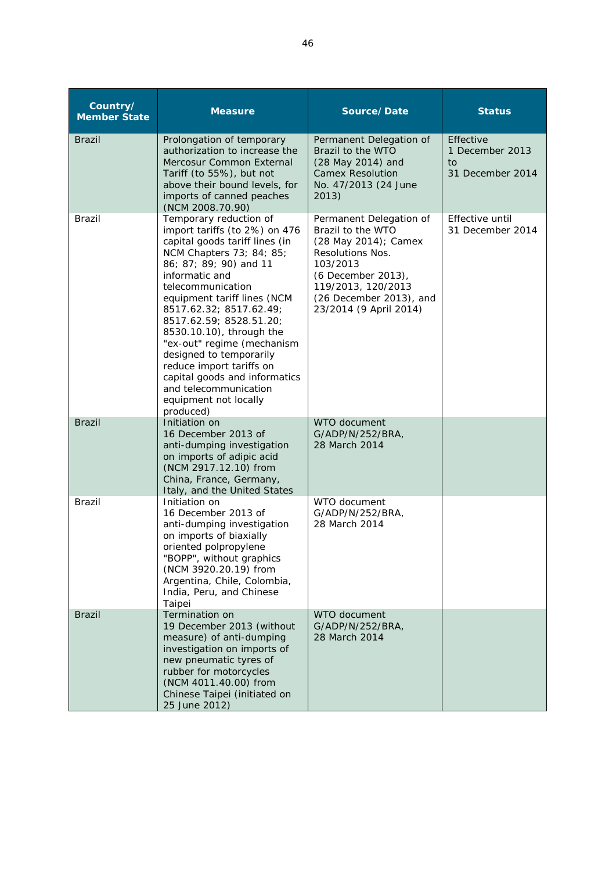| Country/<br><b>Member State</b> | <b>Measure</b>                                                                                                                                                                                                                                                                                                                                                                                                                                                                               | Source/Date                                                                                                                                                                                                  | <b>Status</b>                                          |
|---------------------------------|----------------------------------------------------------------------------------------------------------------------------------------------------------------------------------------------------------------------------------------------------------------------------------------------------------------------------------------------------------------------------------------------------------------------------------------------------------------------------------------------|--------------------------------------------------------------------------------------------------------------------------------------------------------------------------------------------------------------|--------------------------------------------------------|
| <b>Brazil</b>                   | Prolongation of temporary<br>authorization to increase the<br>Mercosur Common External<br>Tariff (to 55%), but not<br>above their bound levels, for<br>imports of canned peaches<br>(NCM 2008.70.90)                                                                                                                                                                                                                                                                                         | Permanent Delegation of<br>Brazil to the WTO<br>(28 May 2014) and<br><b>Camex Resolution</b><br>No. 47/2013 (24 June<br>2013)                                                                                | Effective<br>1 December 2013<br>to<br>31 December 2014 |
| <b>Brazil</b>                   | Temporary reduction of<br>import tariffs (to 2%) on 476<br>capital goods tariff lines (in<br>NCM Chapters 73; 84; 85;<br>86; 87; 89; 90) and 11<br>informatic and<br>telecommunication<br>equipment tariff lines (NCM<br>8517.62.32; 8517.62.49;<br>8517.62.59; 8528.51.20;<br>8530.10.10), through the<br>"ex-out" regime (mechanism<br>designed to temporarily<br>reduce import tariffs on<br>capital goods and informatics<br>and telecommunication<br>equipment not locally<br>produced) | Permanent Delegation of<br>Brazil to the WTO<br>(28 May 2014); Camex<br><b>Resolutions Nos.</b><br>103/2013<br>(6 December 2013),<br>119/2013, 120/2013<br>(26 December 2013), and<br>23/2014 (9 April 2014) | Effective until<br>31 December 2014                    |
| <b>Brazil</b>                   | Initiation on<br>16 December 2013 of<br>anti-dumping investigation<br>on imports of adipic acid<br>(NCM 2917.12.10) from<br>China, France, Germany,<br>Italy, and the United States                                                                                                                                                                                                                                                                                                          | WTO document<br>G/ADP/N/252/BRA,<br>28 March 2014                                                                                                                                                            |                                                        |
| <b>Brazil</b>                   | Initiation on<br>16 December 2013 of<br>anti-dumping investigation<br>on imports of biaxially<br>oriented polpropylene<br>"BOPP", without graphics<br>(NCM 3920.20.19) from<br>Argentina, Chile, Colombia,<br>India, Peru, and Chinese<br>Taipei                                                                                                                                                                                                                                             | WTO document<br>G/ADP/N/252/BRA,<br>28 March 2014                                                                                                                                                            |                                                        |
| <b>Brazil</b>                   | <b>Termination on</b><br>19 December 2013 (without<br>measure) of anti-dumping<br>investigation on imports of<br>new pneumatic tyres of<br>rubber for motorcycles<br>(NCM 4011.40.00) from<br>Chinese Taipei (initiated on<br>25 June 2012)                                                                                                                                                                                                                                                  | WTO document<br>G/ADP/N/252/BRA,<br>28 March 2014                                                                                                                                                            |                                                        |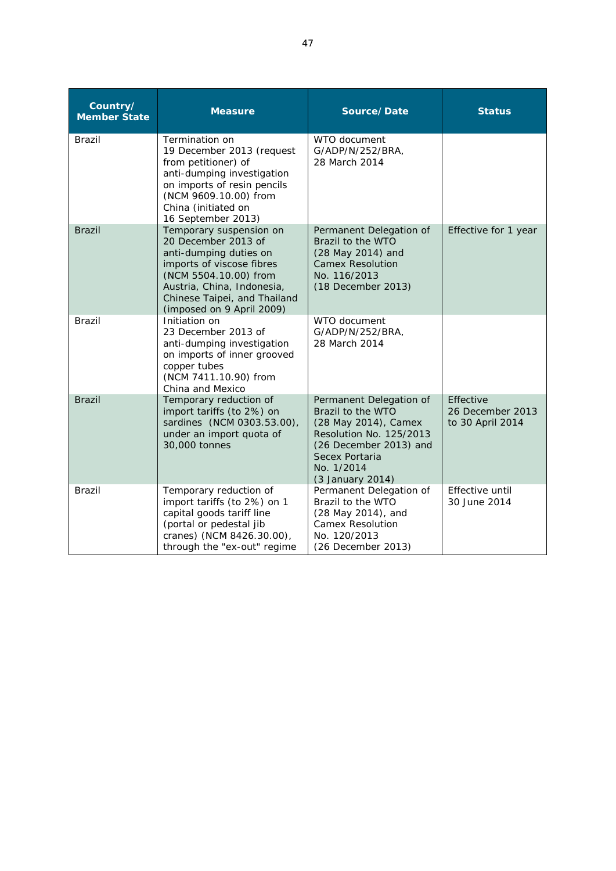| Country/<br><b>Member State</b> | <b>Measure</b>                                                                                                                                                                                                            | Source/Date                                                                                                                                                                   | <b>Status</b>                                     |
|---------------------------------|---------------------------------------------------------------------------------------------------------------------------------------------------------------------------------------------------------------------------|-------------------------------------------------------------------------------------------------------------------------------------------------------------------------------|---------------------------------------------------|
| <b>Brazil</b>                   | Termination on<br>19 December 2013 (request<br>from petitioner) of<br>anti-dumping investigation<br>on imports of resin pencils<br>(NCM 9609.10.00) from<br>China (initiated on<br>16 September 2013)                     | WTO document<br>G/ADP/N/252/BRA,<br>28 March 2014                                                                                                                             |                                                   |
| <b>Brazil</b>                   | Temporary suspension on<br>20 December 2013 of<br>anti-dumping duties on<br>imports of viscose fibres<br>(NCM 5504.10.00) from<br>Austria, China, Indonesia,<br>Chinese Taipei, and Thailand<br>(imposed on 9 April 2009) | Permanent Delegation of<br>Brazil to the WTO<br>(28 May 2014) and<br><b>Camex Resolution</b><br>No. 116/2013<br>(18 December 2013)                                            | Effective for 1 year                              |
| <b>Brazil</b>                   | Initiation on<br>23 December 2013 of<br>anti-dumping investigation<br>on imports of inner grooved<br>copper tubes<br>(NCM 7411.10.90) from<br>China and Mexico                                                            | WTO document<br>G/ADP/N/252/BRA.<br>28 March 2014                                                                                                                             |                                                   |
| <b>Brazil</b>                   | Temporary reduction of<br>import tariffs (to 2%) on<br>sardines (NCM 0303.53.00),<br>under an import quota of<br>30,000 tonnes                                                                                            | Permanent Delegation of<br>Brazil to the WTO<br>(28 May 2014), Camex<br>Resolution No. 125/2013<br>(26 December 2013) and<br>Secex Portaria<br>No. 1/2014<br>(3 January 2014) | Effective<br>26 December 2013<br>to 30 April 2014 |
| <b>Brazil</b>                   | Temporary reduction of<br>import tariffs (to 2%) on 1<br>capital goods tariff line<br>(portal or pedestal jib<br>cranes) (NCM 8426.30.00),<br>through the "ex-out" regime                                                 | Permanent Delegation of<br>Brazil to the WTO<br>(28 May 2014), and<br><b>Camex Resolution</b><br>No. 120/2013<br>(26 December 2013)                                           | Effective until<br>30 June 2014                   |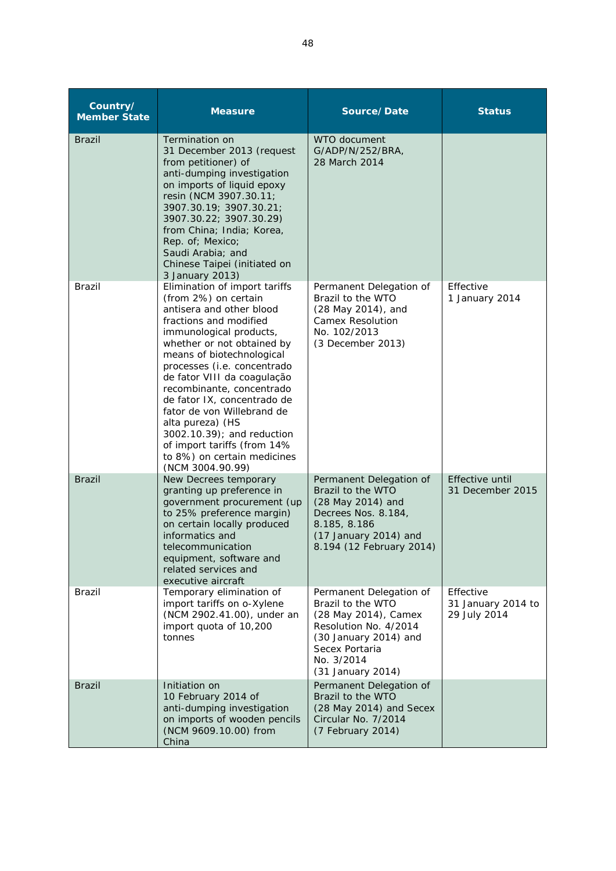| Country/<br><b>Member State</b> | <b>Measure</b>                                                                                                                                                                                                                                                                                                                                                                                                                                                                                | Source/Date                                                                                                                                                                 | <b>Status</b>                                   |
|---------------------------------|-----------------------------------------------------------------------------------------------------------------------------------------------------------------------------------------------------------------------------------------------------------------------------------------------------------------------------------------------------------------------------------------------------------------------------------------------------------------------------------------------|-----------------------------------------------------------------------------------------------------------------------------------------------------------------------------|-------------------------------------------------|
| <b>Brazil</b>                   | Termination on<br>31 December 2013 (request<br>from petitioner) of<br>anti-dumping investigation<br>on imports of liquid epoxy<br>resin (NCM 3907.30.11;<br>3907.30.19; 3907.30.21;<br>3907.30.22; 3907.30.29)<br>from China; India; Korea,<br>Rep. of; Mexico;<br>Saudi Arabia; and<br>Chinese Taipei (initiated on<br>3 January 2013)                                                                                                                                                       | WTO document<br>G/ADP/N/252/BRA,<br>28 March 2014                                                                                                                           |                                                 |
| <b>Brazil</b>                   | Elimination of import tariffs<br>(from 2%) on certain<br>antisera and other blood<br>fractions and modified<br>immunological products,<br>whether or not obtained by<br>means of biotechnological<br>processes (i.e. concentrado<br>de fator VIII da coagulação<br>recombinante, concentrado<br>de fator IX, concentrado de<br>fator de von Willebrand de<br>alta pureza) (HS<br>3002.10.39); and reduction<br>of import tariffs (from 14%<br>to 8%) on certain medicines<br>(NCM 3004.90.99) | Permanent Delegation of<br>Brazil to the WTO<br>(28 May 2014), and<br><b>Camex Resolution</b><br>No. 102/2013<br>(3 December 2013)                                          | Effective<br>1 January 2014                     |
| <b>Brazil</b>                   | New Decrees temporary<br>granting up preference in<br>government procurement (up<br>to 25% preference margin)<br>on certain locally produced<br>informatics and<br>telecommunication<br>equipment, software and<br>related services and<br>executive aircraft                                                                                                                                                                                                                                 | Permanent Delegation of<br>Brazil to the WTO<br>(28 May 2014) and<br>Decrees Nos. 8.184,<br>8.185, 8.186<br>(17 January 2014) and<br>8.194 (12 February 2014)               | Effective until<br>31 December 2015             |
| Brazil                          | Temporary elimination of<br>import tariffs on o-Xylene<br>(NCM 2902.41.00), under an<br>import quota of 10,200<br>tonnes                                                                                                                                                                                                                                                                                                                                                                      | Permanent Delegation of<br>Brazil to the WTO<br>(28 May 2014), Camex<br>Resolution No. 4/2014<br>(30 January 2014) and<br>Secex Portaria<br>No. 3/2014<br>(31 January 2014) | Effective<br>31 January 2014 to<br>29 July 2014 |
| <b>Brazil</b>                   | Initiation on<br>10 February 2014 of<br>anti-dumping investigation<br>on imports of wooden pencils<br>(NCM 9609.10.00) from<br>China                                                                                                                                                                                                                                                                                                                                                          | Permanent Delegation of<br>Brazil to the WTO<br>(28 May 2014) and Secex<br>Circular No. 7/2014<br>(7 February 2014)                                                         |                                                 |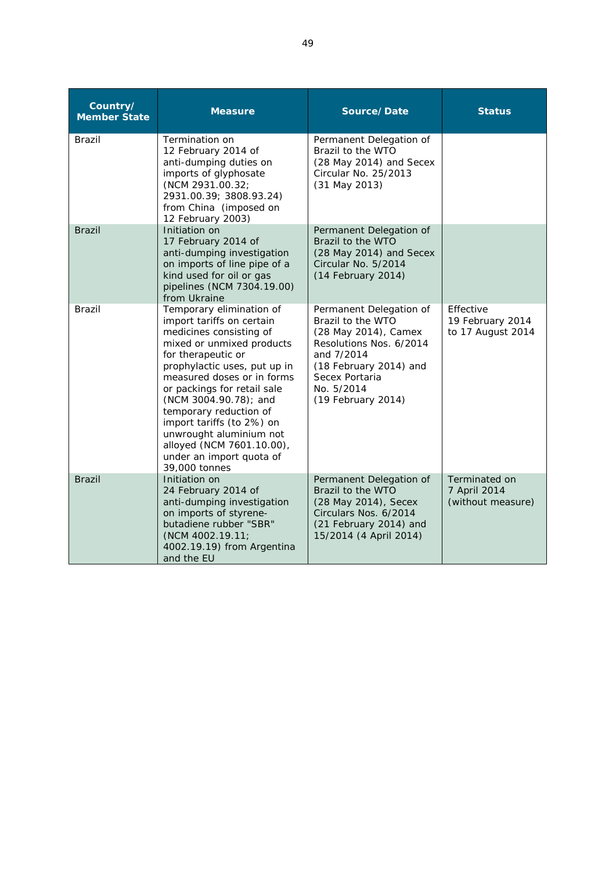| Country/<br><b>Member State</b> | <b>Measure</b>                                                                                                                                                                                                                                                                                                                                                                                                        | Source/Date                                                                                                                                                                                   | <b>Status</b>                                      |
|---------------------------------|-----------------------------------------------------------------------------------------------------------------------------------------------------------------------------------------------------------------------------------------------------------------------------------------------------------------------------------------------------------------------------------------------------------------------|-----------------------------------------------------------------------------------------------------------------------------------------------------------------------------------------------|----------------------------------------------------|
| <b>Brazil</b>                   | Termination on<br>12 February 2014 of<br>anti-dumping duties on<br>imports of glyphosate<br>(NCM 2931.00.32;<br>2931.00.39; 3808.93.24)<br>from China (imposed on<br>12 February 2003)                                                                                                                                                                                                                                | Permanent Delegation of<br>Brazil to the WTO<br>(28 May 2014) and Secex<br>Circular No. 25/2013<br>(31 May 2013)                                                                              |                                                    |
| <b>Brazil</b>                   | Initiation on<br>17 February 2014 of<br>anti-dumping investigation<br>on imports of line pipe of a<br>kind used for oil or gas<br>pipelines (NCM 7304.19.00)<br>from Ukraine                                                                                                                                                                                                                                          | Permanent Delegation of<br>Brazil to the WTO<br>(28 May 2014) and Secex<br>Circular No. 5/2014<br>(14 February 2014)                                                                          |                                                    |
| Brazil                          | Temporary elimination of<br>import tariffs on certain<br>medicines consisting of<br>mixed or unmixed products<br>for therapeutic or<br>prophylactic uses, put up in<br>measured doses or in forms<br>or packings for retail sale<br>(NCM 3004.90.78); and<br>temporary reduction of<br>import tariffs (to 2%) on<br>unwrought aluminium not<br>alloyed (NCM 7601.10.00),<br>under an import quota of<br>39,000 tonnes | Permanent Delegation of<br>Brazil to the WTO<br>(28 May 2014), Camex<br>Resolutions Nos. 6/2014<br>and 7/2014<br>(18 February 2014) and<br>Secex Portaria<br>No. 5/2014<br>(19 February 2014) | Effective<br>19 February 2014<br>to 17 August 2014 |
| <b>Brazil</b>                   | Initiation on<br>24 February 2014 of<br>anti-dumping investigation<br>on imports of styrene-<br>butadiene rubber "SBR"<br>(NCM 4002.19.11)<br>4002.19.19) from Argentina<br>and the EU                                                                                                                                                                                                                                | Permanent Delegation of<br>Brazil to the WTO<br>(28 May 2014), Secex<br>Circulars Nos. 6/2014<br>(21 February 2014) and<br>15/2014 (4 April 2014)                                             | Terminated on<br>7 April 2014<br>(without measure) |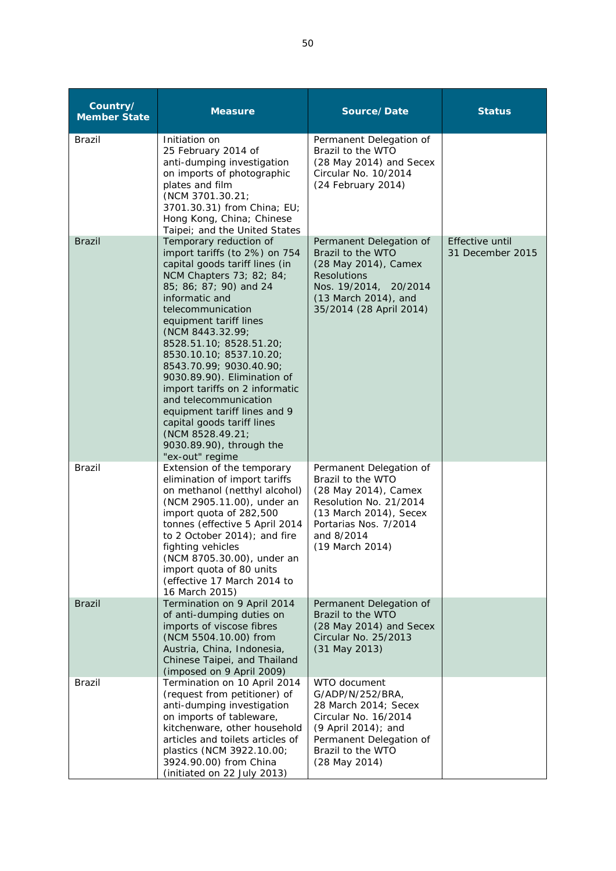| Country/<br><b>Member State</b> | <b>Measure</b>                                                                                                                                                                                                                                                                                                                                                                                                                                                                                                                                   | Source/Date                                                                                                                                                                        | <b>Status</b>                       |
|---------------------------------|--------------------------------------------------------------------------------------------------------------------------------------------------------------------------------------------------------------------------------------------------------------------------------------------------------------------------------------------------------------------------------------------------------------------------------------------------------------------------------------------------------------------------------------------------|------------------------------------------------------------------------------------------------------------------------------------------------------------------------------------|-------------------------------------|
| <b>Brazil</b>                   | Initiation on<br>25 February 2014 of<br>anti-dumping investigation<br>on imports of photographic<br>plates and film<br>(NCM 3701.30.21;<br>3701.30.31) from China; EU;<br>Hong Kong, China; Chinese<br>Taipei; and the United States                                                                                                                                                                                                                                                                                                             | Permanent Delegation of<br>Brazil to the WTO<br>(28 May 2014) and Secex<br>Circular No. 10/2014<br>(24 February 2014)                                                              |                                     |
| <b>Brazil</b>                   | Temporary reduction of<br>import tariffs (to 2%) on 754<br>capital goods tariff lines (in<br>NCM Chapters 73; 82; 84;<br>85; 86; 87; 90) and 24<br>informatic and<br>telecommunication<br>equipment tariff lines<br>(NCM 8443.32.99;<br>8528.51.10; 8528.51.20;<br>8530.10.10; 8537.10.20;<br>8543.70.99; 9030.40.90;<br>9030.89.90). Elimination of<br>import tariffs on 2 informatic<br>and telecommunication<br>equipment tariff lines and 9<br>capital goods tariff lines<br>(NCM 8528.49.21;<br>9030.89.90), through the<br>"ex-out" regime | Permanent Delegation of<br>Brazil to the WTO<br>(28 May 2014), Camex<br><b>Resolutions</b><br>Nos. 19/2014,<br>20/2014<br>(13 March 2014), and<br>35/2014 (28 April 2014)          | Effective until<br>31 December 2015 |
| <b>Brazil</b>                   | Extension of the temporary<br>elimination of import tariffs<br>on methanol (netthyl alcohol)<br>(NCM 2905.11.00), under an<br>import quota of 282,500<br>tonnes (effective 5 April 2014<br>to 2 October 2014); and fire<br>fighting vehicles<br>(NCM 8705.30.00), under an<br>import quota of 80 units<br>(effective 17 March 2014 to<br>16 March 2015)                                                                                                                                                                                          | Permanent Delegation of<br>Brazil to the WTO<br>(28 May 2014), Camex<br>Resolution No. 21/2014<br>(13 March 2014), Secex<br>Portarias Nos. 7/2014<br>and 8/2014<br>(19 March 2014) |                                     |
| <b>Brazil</b>                   | Termination on 9 April 2014<br>of anti-dumping duties on<br>imports of viscose fibres<br>(NCM 5504.10.00) from<br>Austria, China, Indonesia,<br>Chinese Taipei, and Thailand<br>(imposed on 9 April 2009)                                                                                                                                                                                                                                                                                                                                        | Permanent Delegation of<br>Brazil to the WTO<br>(28 May 2014) and Secex<br>Circular No. 25/2013<br>(31 May 2013)                                                                   |                                     |
| Brazil                          | Termination on 10 April 2014<br>(request from petitioner) of<br>anti-dumping investigation<br>on imports of tableware,<br>kitchenware, other household<br>articles and toilets articles of<br>plastics (NCM 3922.10.00;<br>3924.90.00) from China<br>(initiated on 22 July 2013)                                                                                                                                                                                                                                                                 | WTO document<br>G/ADP/N/252/BRA,<br>28 March 2014; Secex<br>Circular No. 16/2014<br>(9 April 2014); and<br>Permanent Delegation of<br>Brazil to the WTO<br>(28 May 2014)           |                                     |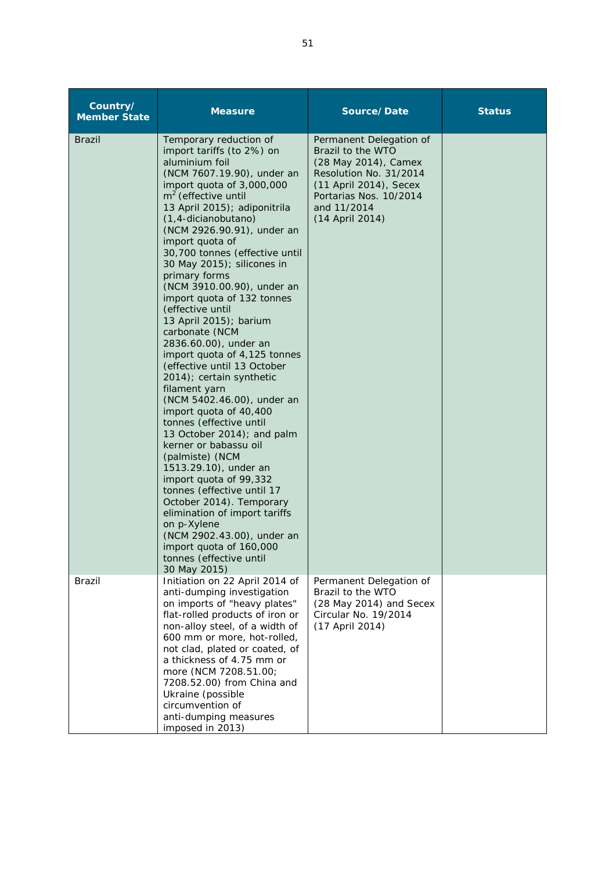| Country/<br><b>Member State</b> | <b>Measure</b>                                                                                                                                                                                                                                                                                                                                                                                                                                                                                                                                                                                                                                                                                                                                                                                                                                                                                                                                                                                                                                    | Source/Date                                                                                                                                                                          | <b>Status</b> |
|---------------------------------|---------------------------------------------------------------------------------------------------------------------------------------------------------------------------------------------------------------------------------------------------------------------------------------------------------------------------------------------------------------------------------------------------------------------------------------------------------------------------------------------------------------------------------------------------------------------------------------------------------------------------------------------------------------------------------------------------------------------------------------------------------------------------------------------------------------------------------------------------------------------------------------------------------------------------------------------------------------------------------------------------------------------------------------------------|--------------------------------------------------------------------------------------------------------------------------------------------------------------------------------------|---------------|
| <b>Brazil</b>                   | Temporary reduction of<br>import tariffs (to 2%) on<br>aluminium foil<br>(NCM 7607.19.90), under an<br>import quota of 3,000,000<br>$m2$ (effective until<br>13 April 2015); adiponitrila<br>(1,4-dicianobutano)<br>(NCM 2926.90.91), under an<br>import quota of<br>30,700 tonnes (effective until<br>30 May 2015); silicones in<br>primary forms<br>(NCM 3910.00.90), under an<br>import quota of 132 tonnes<br>(effective until<br>13 April 2015); barium<br>carbonate (NCM<br>2836.60.00), under an<br>import quota of 4,125 tonnes<br>(effective until 13 October<br>2014); certain synthetic<br>filament yarn<br>(NCM 5402.46.00), under an<br>import quota of 40,400<br>tonnes (effective until<br>13 October 2014); and palm<br>kerner or babassu oil<br>(palmiste) (NCM<br>1513.29.10), under an<br>import quota of 99,332<br>tonnes (effective until 17<br>October 2014). Temporary<br>elimination of import tariffs<br>on p-Xylene<br>(NCM 2902.43.00), under an<br>import quota of 160,000<br>tonnes (effective until<br>30 May 2015) | Permanent Delegation of<br>Brazil to the WTO<br>(28 May 2014), Camex<br>Resolution No. 31/2014<br>(11 April 2014), Secex<br>Portarias Nos. 10/2014<br>and 11/2014<br>(14 April 2014) |               |
| Brazil                          | Initiation on 22 April 2014 of<br>anti-dumping investigation<br>on imports of "heavy plates"<br>flat-rolled products of iron or<br>non-alloy steel, of a width of<br>600 mm or more, hot-rolled,<br>not clad, plated or coated, of<br>a thickness of 4.75 mm or<br>more (NCM 7208.51.00;<br>7208.52.00) from China and<br>Ukraine (possible<br>circumvention of<br>anti-dumping measures<br>imposed in 2013)                                                                                                                                                                                                                                                                                                                                                                                                                                                                                                                                                                                                                                      | Permanent Delegation of<br>Brazil to the WTO<br>(28 May 2014) and Secex<br>Circular No. 19/2014<br>(17 April 2014)                                                                   |               |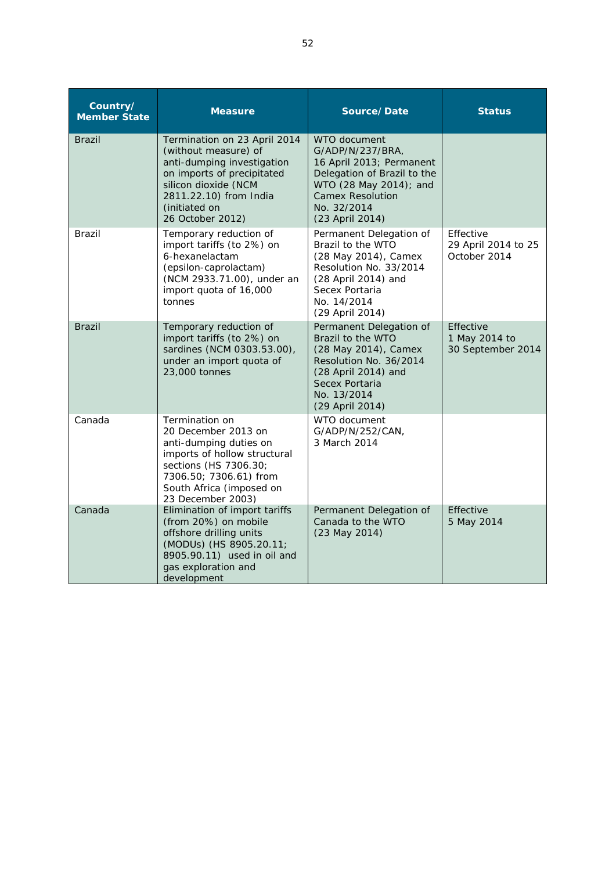| Country/<br><b>Member State</b> | <b>Measure</b>                                                                                                                                                                                          | Source/Date                                                                                                                                                                        | <b>Status</b>                                    |
|---------------------------------|---------------------------------------------------------------------------------------------------------------------------------------------------------------------------------------------------------|------------------------------------------------------------------------------------------------------------------------------------------------------------------------------------|--------------------------------------------------|
| <b>Brazil</b>                   | Termination on 23 April 2014<br>(without measure) of<br>anti-dumping investigation<br>on imports of precipitated<br>silicon dioxide (NCM<br>2811.22.10) from India<br>(initiated on<br>26 October 2012) | WTO document<br>G/ADP/N/237/BRA,<br>16 April 2013; Permanent<br>Delegation of Brazil to the<br>WTO (28 May 2014); and<br><b>Camex Resolution</b><br>No. 32/2014<br>(23 April 2014) |                                                  |
| Brazil                          | Temporary reduction of<br>import tariffs (to 2%) on<br>6-hexanelactam<br>(epsilon-caprolactam)<br>(NCM 2933.71.00), under an<br>import quota of 16,000<br>tonnes                                        | Permanent Delegation of<br>Brazil to the WTO<br>(28 May 2014), Camex<br>Resolution No. 33/2014<br>(28 April 2014) and<br>Secex Portaria<br>No. 14/2014<br>(29 April 2014)          | Effective<br>29 April 2014 to 25<br>October 2014 |
| <b>Brazil</b>                   | Temporary reduction of<br>import tariffs (to 2%) on<br>sardines (NCM 0303.53.00),<br>under an import quota of<br>23,000 tonnes                                                                          | Permanent Delegation of<br>Brazil to the WTO<br>(28 May 2014), Camex<br>Resolution No. 36/2014<br>(28 April 2014) and<br>Secex Portaria<br>No. 13/2014<br>(29 April 2014)          | Effective<br>1 May 2014 to<br>30 September 2014  |
| Canada                          | Termination on<br>20 December 2013 on<br>anti-dumping duties on<br>imports of hollow structural<br>sections (HS 7306.30;<br>7306.50; 7306.61) from<br>South Africa (imposed on<br>23 December 2003)     | WTO document<br>G/ADP/N/252/CAN,<br>3 March 2014                                                                                                                                   |                                                  |
| Canada                          | Elimination of import tariffs<br>(from 20%) on mobile<br>offshore drilling units<br>(MODUs) (HS 8905.20.11;<br>8905.90.11) used in oil and<br>gas exploration and<br>development                        | Permanent Delegation of<br>Canada to the WTO<br>(23 May 2014)                                                                                                                      | Effective<br>5 May 2014                          |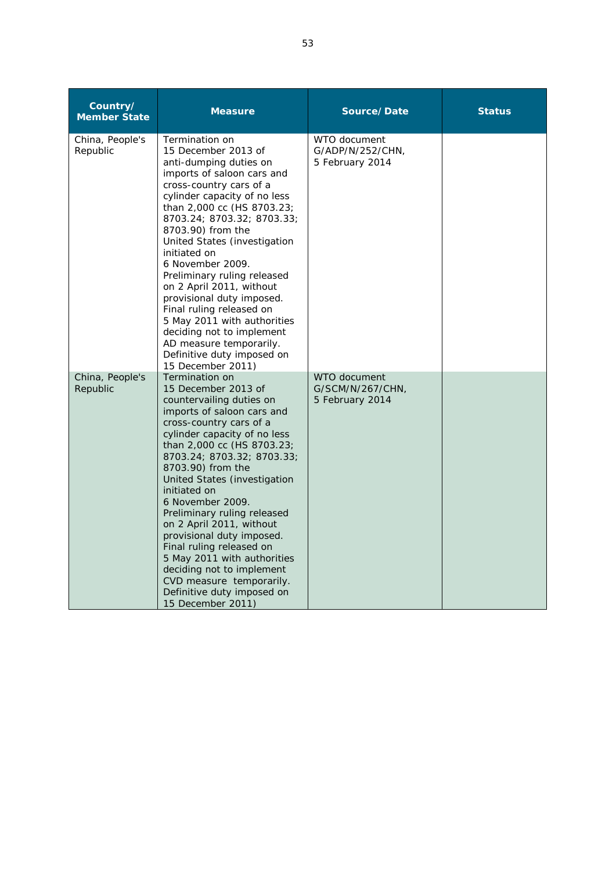| Country/<br><b>Member State</b> | <b>Measure</b>                                                                                                                                                                                                                                                                                                                                                                                                                                                                                                                                                                 | Source/Date                                         | <b>Status</b> |
|---------------------------------|--------------------------------------------------------------------------------------------------------------------------------------------------------------------------------------------------------------------------------------------------------------------------------------------------------------------------------------------------------------------------------------------------------------------------------------------------------------------------------------------------------------------------------------------------------------------------------|-----------------------------------------------------|---------------|
| China, People's<br>Republic     | Termination on<br>15 December 2013 of<br>anti-dumping duties on<br>imports of saloon cars and<br>cross-country cars of a<br>cylinder capacity of no less<br>than 2,000 cc (HS 8703.23;<br>8703.24; 8703.32; 8703.33;<br>8703.90) from the<br>United States (investigation<br>initiated on<br>6 November 2009.<br>Preliminary ruling released<br>on 2 April 2011, without<br>provisional duty imposed.<br>Final ruling released on<br>5 May 2011 with authorities<br>deciding not to implement<br>AD measure temporarily.<br>Definitive duty imposed on<br>15 December 2011)    | WTO document<br>G/ADP/N/252/CHN,<br>5 February 2014 |               |
| China, People's<br>Republic     | Termination on<br>15 December 2013 of<br>countervailing duties on<br>imports of saloon cars and<br>cross-country cars of a<br>cylinder capacity of no less<br>than 2,000 cc (HS 8703.23;<br>8703.24; 8703.32; 8703.33;<br>8703.90) from the<br>United States (investigation<br>initiated on<br>6 November 2009.<br>Preliminary ruling released<br>on 2 April 2011, without<br>provisional duty imposed.<br>Final ruling released on<br>5 May 2011 with authorities<br>deciding not to implement<br>CVD measure temporarily.<br>Definitive duty imposed on<br>15 December 2011) | WTO document<br>G/SCM/N/267/CHN,<br>5 February 2014 |               |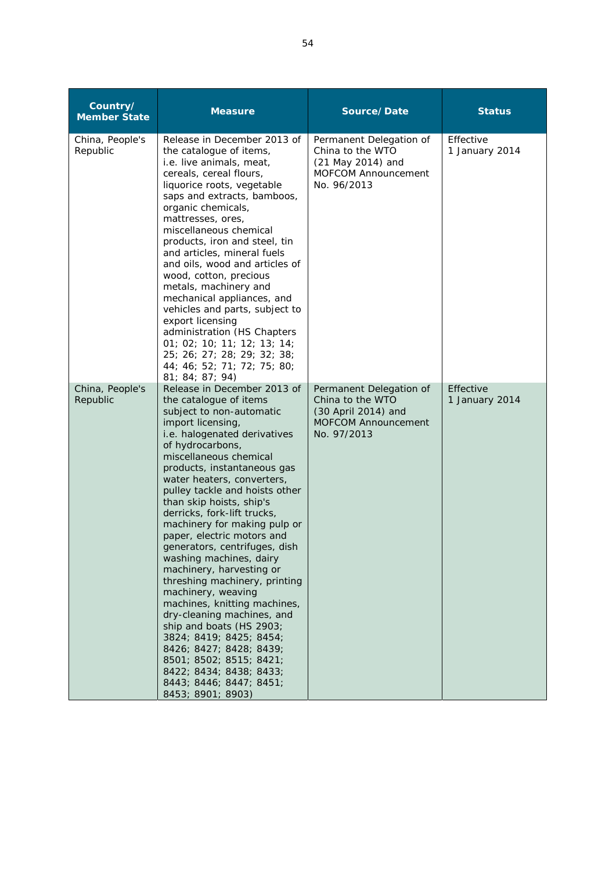| Country/<br><b>Member State</b> | <b>Measure</b>                                                                                                                                                                                                                                                                                                                                                                                                                                                                                                                                                                                                                                                                                                                                                                                                    | Source/Date                                                                                                     | <b>Status</b>               |
|---------------------------------|-------------------------------------------------------------------------------------------------------------------------------------------------------------------------------------------------------------------------------------------------------------------------------------------------------------------------------------------------------------------------------------------------------------------------------------------------------------------------------------------------------------------------------------------------------------------------------------------------------------------------------------------------------------------------------------------------------------------------------------------------------------------------------------------------------------------|-----------------------------------------------------------------------------------------------------------------|-----------------------------|
| China, People's<br>Republic     | Release in December 2013 of<br>the catalogue of items,<br>i.e. live animals, meat,<br>cereals, cereal flours,<br>liquorice roots, vegetable<br>saps and extracts, bamboos,<br>organic chemicals,<br>mattresses, ores,<br>miscellaneous chemical<br>products, iron and steel, tin<br>and articles, mineral fuels<br>and oils, wood and articles of<br>wood, cotton, precious<br>metals, machinery and<br>mechanical appliances, and<br>vehicles and parts, subject to<br>export licensing<br>administration (HS Chapters<br>01; 02; 10; 11; 12; 13; 14;<br>25; 26; 27; 28; 29; 32; 38;<br>44; 46; 52; 71; 72; 75; 80;<br>81; 84; 87; 94)                                                                                                                                                                           | Permanent Delegation of<br>China to the WTO<br>(21 May 2014) and<br><b>MOFCOM Announcement</b><br>No. 96/2013   | Effective<br>1 January 2014 |
| China, People's<br>Republic     | Release in December 2013 of<br>the catalogue of items<br>subject to non-automatic<br>import licensing,<br>i.e. halogenated derivatives<br>of hydrocarbons,<br>miscellaneous chemical<br>products, instantaneous gas<br>water heaters, converters,<br>pulley tackle and hoists other<br>than skip hoists, ship's<br>derricks, fork-lift trucks,<br>machinery for making pulp or<br>paper, electric motors and<br>generators, centrifuges, dish<br>washing machines, dairy<br>machinery, harvesting or<br>threshing machinery, printing<br>machinery, weaving<br>machines, knitting machines,<br>dry-cleaning machines, and<br>ship and boats (HS 2903;<br>3824; 8419; 8425; 8454;<br>8426; 8427; 8428; 8439;<br>8501; 8502; 8515; 8421;<br>8422; 8434; 8438; 8433;<br>8443; 8446; 8447; 8451;<br>8453; 8901; 8903) | Permanent Delegation of<br>China to the WTO<br>(30 April 2014) and<br><b>MOFCOM Announcement</b><br>No. 97/2013 | Effective<br>1 January 2014 |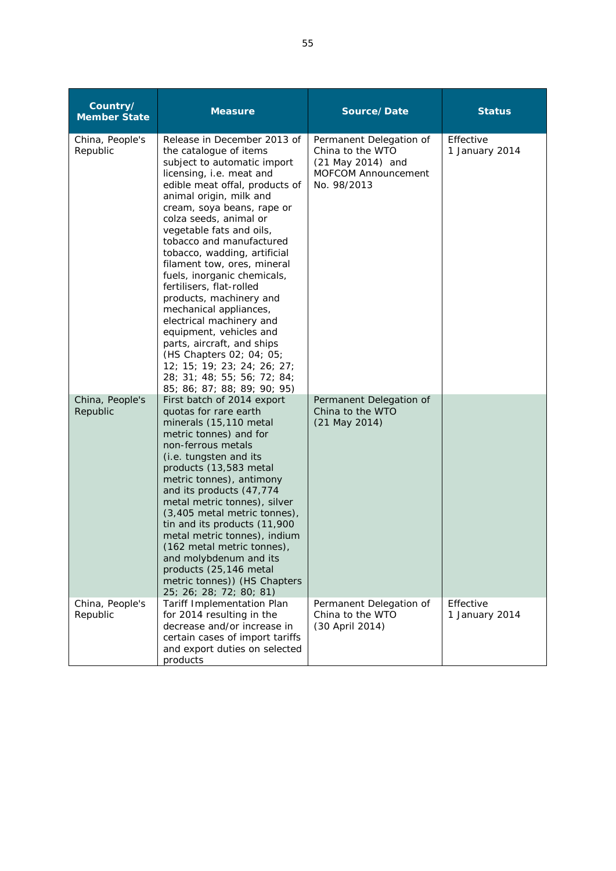| Country/<br><b>Member State</b> | <b>Measure</b>                                                                                                                                                                                                                                                                                                                                                                                                                                                                                                                                                                                                                                                                             | Source/Date                                                                                                   | <b>Status</b>               |
|---------------------------------|--------------------------------------------------------------------------------------------------------------------------------------------------------------------------------------------------------------------------------------------------------------------------------------------------------------------------------------------------------------------------------------------------------------------------------------------------------------------------------------------------------------------------------------------------------------------------------------------------------------------------------------------------------------------------------------------|---------------------------------------------------------------------------------------------------------------|-----------------------------|
| China, People's<br>Republic     | Release in December 2013 of<br>the catalogue of items<br>subject to automatic import<br>licensing, i.e. meat and<br>edible meat offal, products of<br>animal origin, milk and<br>cream, soya beans, rape or<br>colza seeds, animal or<br>vegetable fats and oils,<br>tobacco and manufactured<br>tobacco, wadding, artificial<br>filament tow, ores, mineral<br>fuels, inorganic chemicals,<br>fertilisers, flat-rolled<br>products, machinery and<br>mechanical appliances,<br>electrical machinery and<br>equipment, vehicles and<br>parts, aircraft, and ships<br>(HS Chapters 02; 04; 05;<br>12; 15; 19; 23; 24; 26; 27;<br>28; 31; 48; 55; 56; 72; 84;<br>85; 86; 87; 88; 89; 90; 95) | Permanent Delegation of<br>China to the WTO<br>(21 May 2014) and<br><b>MOFCOM Announcement</b><br>No. 98/2013 | Effective<br>1 January 2014 |
| China, People's<br>Republic     | First batch of 2014 export<br>quotas for rare earth<br>minerals (15,110 metal<br>metric tonnes) and for<br>non-ferrous metals<br>(i.e. tungsten and its<br>products (13,583 metal<br>metric tonnes), antimony<br>and its products (47,774<br>metal metric tonnes), silver<br>(3,405 metal metric tonnes),<br>tin and its products (11,900<br>metal metric tonnes), indium<br>(162 metal metric tonnes).<br>and molybdenum and its<br>products (25,146 metal<br>metric tonnes)) (HS Chapters<br>25; 26; 28; 72; 80; 81)                                                                                                                                                                     | Permanent Delegation of<br>China to the WTO<br>(21 May 2014)                                                  |                             |
| China, People's<br>Republic     | Tariff Implementation Plan<br>for 2014 resulting in the<br>decrease and/or increase in<br>certain cases of import tariffs<br>and export duties on selected<br>products                                                                                                                                                                                                                                                                                                                                                                                                                                                                                                                     | Permanent Delegation of<br>China to the WTO<br>(30 April 2014)                                                | Effective<br>1 January 2014 |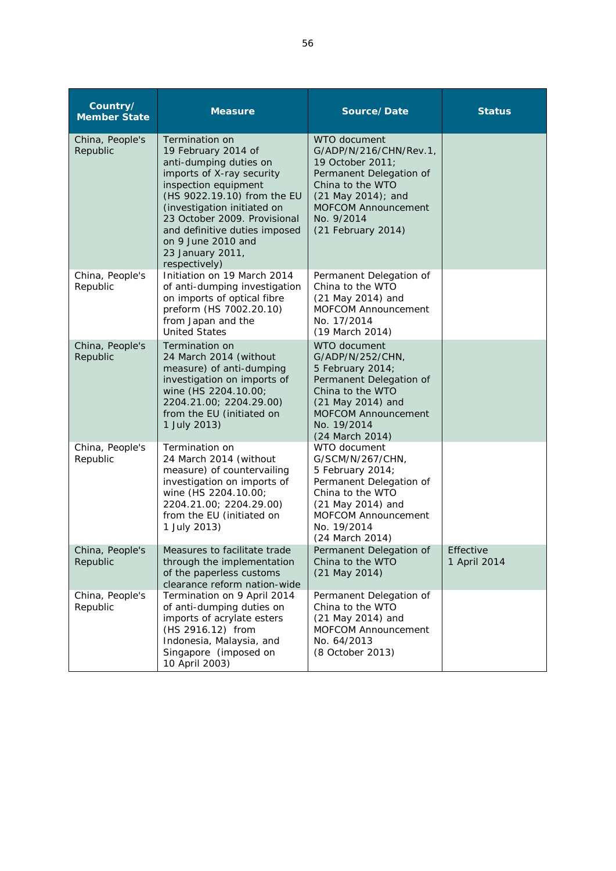| Country/<br><b>Member State</b> | <b>Measure</b>                                                                                                                                                                                                                                                                                                 | Source/Date                                                                                                                                                                                       | <b>Status</b>             |
|---------------------------------|----------------------------------------------------------------------------------------------------------------------------------------------------------------------------------------------------------------------------------------------------------------------------------------------------------------|---------------------------------------------------------------------------------------------------------------------------------------------------------------------------------------------------|---------------------------|
| China, People's<br>Republic     | Termination on<br>19 February 2014 of<br>anti-dumping duties on<br>imports of X-ray security<br>inspection equipment<br>(HS 9022.19.10) from the EU<br>(investigation initiated on<br>23 October 2009. Provisional<br>and definitive duties imposed<br>on 9 June 2010 and<br>23 January 2011,<br>respectively) | WTO document<br>G/ADP/N/216/CHN/Rev.1,<br>19 October 2011;<br>Permanent Delegation of<br>China to the WTO<br>(21 May 2014); and<br><b>MOFCOM Announcement</b><br>No. 9/2014<br>(21 February 2014) |                           |
| China, People's<br>Republic     | Initiation on 19 March 2014<br>of anti-dumping investigation<br>on imports of optical fibre<br>preform (HS 7002.20.10)<br>from Japan and the<br><b>United States</b>                                                                                                                                           | Permanent Delegation of<br>China to the WTO<br>(21 May 2014) and<br><b>MOFCOM Announcement</b><br>No. 17/2014<br>(19 March 2014)                                                                  |                           |
| China, People's<br>Republic     | Termination on<br>24 March 2014 (without<br>measure) of anti-dumping<br>investigation on imports of<br>wine (HS 2204.10.00;<br>2204.21.00; 2204.29.00)<br>from the EU (initiated on<br>1 July 2013)                                                                                                            | WTO document<br>G/ADP/N/252/CHN,<br>5 February 2014;<br>Permanent Delegation of<br>China to the WTO<br>(21 May 2014) and<br><b>MOFCOM Announcement</b><br>No. 19/2014<br>(24 March 2014)          |                           |
| China, People's<br>Republic     | Termination on<br>24 March 2014 (without<br>measure) of countervailing<br>investigation on imports of<br>wine (HS 2204.10.00;<br>2204.21.00; 2204.29.00)<br>from the EU (initiated on<br>1 July 2013)                                                                                                          | WTO document<br>G/SCM/N/267/CHN,<br>5 February 2014;<br>Permanent Delegation of<br>China to the WTO<br>(21 May 2014) and<br><b>MOFCOM Announcement</b><br>No. 19/2014<br>(24 March 2014)          |                           |
| China, People's<br>Republic     | Measures to facilitate trade<br>through the implementation<br>of the paperless customs<br>clearance reform nation-wide                                                                                                                                                                                         | Permanent Delegation of<br>China to the WTO<br>$(21$ May $2014)$                                                                                                                                  | Effective<br>1 April 2014 |
| China, People's<br>Republic     | Termination on 9 April 2014<br>of anti-dumping duties on<br>imports of acrylate esters<br>(HS 2916.12) from<br>Indonesia, Malaysia, and<br>Singapore (imposed on<br>10 April 2003)                                                                                                                             | Permanent Delegation of<br>China to the WTO<br>(21 May 2014) and<br>MOFCOM Announcement<br>No. 64/2013<br>(8 October 2013)                                                                        |                           |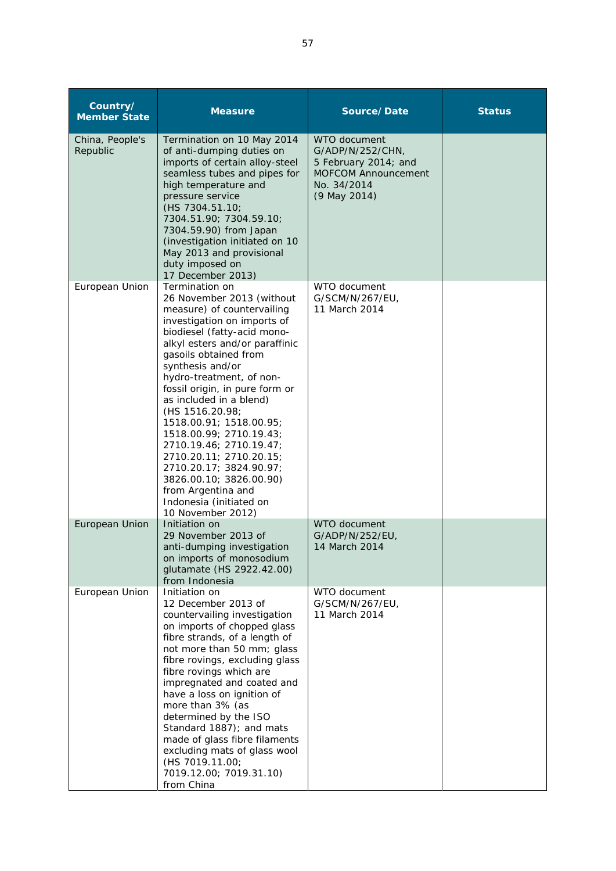| Country/<br><b>Member State</b> | <b>Measure</b>                                                                                                                                                                                                                                                                                                                                                                                                                                                                                                                                                             | Source/Date                                                                                                    | <b>Status</b> |
|---------------------------------|----------------------------------------------------------------------------------------------------------------------------------------------------------------------------------------------------------------------------------------------------------------------------------------------------------------------------------------------------------------------------------------------------------------------------------------------------------------------------------------------------------------------------------------------------------------------------|----------------------------------------------------------------------------------------------------------------|---------------|
| China, People's<br>Republic     | Termination on 10 May 2014<br>of anti-dumping duties on<br>imports of certain alloy-steel<br>seamless tubes and pipes for<br>high temperature and<br>pressure service<br>(HS 7304.51.10;<br>7304.51.90; 7304.59.10;<br>7304.59.90) from Japan<br>(investigation initiated on 10)<br>May 2013 and provisional<br>duty imposed on<br>17 December 2013)                                                                                                                                                                                                                       | WTO document<br>G/ADP/N/252/CHN,<br>5 February 2014; and<br>MOFCOM Announcement<br>No. 34/2014<br>(9 May 2014) |               |
| European Union                  | Termination on<br>26 November 2013 (without<br>measure) of countervailing<br>investigation on imports of<br>biodiesel (fatty-acid mono-<br>alkyl esters and/or paraffinic<br>gasoils obtained from<br>synthesis and/or<br>hydro-treatment, of non-<br>fossil origin, in pure form or<br>as included in a blend)<br>(HS 1516.20.98;<br>1518.00.91; 1518.00.95;<br>1518.00.99; 2710.19.43;<br>2710.19.46; 2710.19.47;<br>2710.20.11; 2710.20.15;<br>2710.20.17; 3824.90.97;<br>3826.00.10; 3826.00.90)<br>from Argentina and<br>Indonesia (initiated on<br>10 November 2012) | WTO document<br>G/SCM/N/267/EU,<br>11 March 2014                                                               |               |
| European Union                  | Initiation on<br>29 November 2013 of<br>anti-dumping investigation<br>on imports of monosodium<br>glutamate (HS 2922.42.00)<br>from Indonesia                                                                                                                                                                                                                                                                                                                                                                                                                              | WTO document<br>G/ADP/N/252/EU,<br>14 March 2014                                                               |               |
| European Union                  | Initiation on<br>12 December 2013 of<br>countervailing investigation<br>on imports of chopped glass<br>fibre strands, of a length of<br>not more than 50 mm; glass<br>fibre rovings, excluding glass<br>fibre rovings which are<br>impregnated and coated and<br>have a loss on ignition of<br>more than 3% (as<br>determined by the ISO<br>Standard 1887); and mats<br>made of glass fibre filaments<br>excluding mats of glass wool<br>(HS 7019.11.00;<br>7019.12.00; 7019.31.10)<br>from China                                                                          | WTO document<br>G/SCM/N/267/EU,<br>11 March 2014                                                               |               |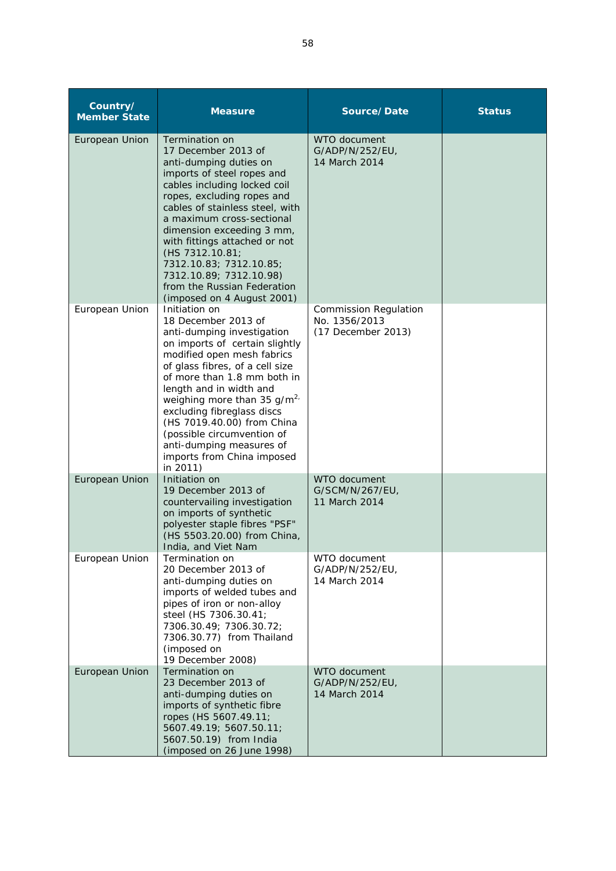| Country/<br><b>Member State</b> | <b>Measure</b>                                                                                                                                                                                                                                                                                                                                                                                                                     | Source/Date                                                         | <b>Status</b> |
|---------------------------------|------------------------------------------------------------------------------------------------------------------------------------------------------------------------------------------------------------------------------------------------------------------------------------------------------------------------------------------------------------------------------------------------------------------------------------|---------------------------------------------------------------------|---------------|
| European Union                  | Termination on<br>17 December 2013 of<br>anti-dumping duties on<br>imports of steel ropes and<br>cables including locked coil<br>ropes, excluding ropes and<br>cables of stainless steel, with<br>a maximum cross-sectional<br>dimension exceeding 3 mm,<br>with fittings attached or not<br>(HS 7312.10.81;<br>7312.10.83; 7312.10.85;<br>7312.10.89; 7312.10.98)<br>from the Russian Federation<br>(imposed on 4 August 2001)    | WTO document<br>G/ADP/N/252/EU,<br>14 March 2014                    |               |
| European Union                  | Initiation on<br>18 December 2013 of<br>anti-dumping investigation<br>on imports of certain slightly<br>modified open mesh fabrics<br>of glass fibres, of a cell size<br>of more than 1.8 mm both in<br>length and in width and<br>weighing more than 35 $g/m^{2}$<br>excluding fibreglass discs<br>(HS 7019.40.00) from China<br>(possible circumvention of<br>anti-dumping measures of<br>imports from China imposed<br>in 2011) | <b>Commission Regulation</b><br>No. 1356/2013<br>(17 December 2013) |               |
| European Union                  | Initiation on<br>19 December 2013 of<br>countervailing investigation<br>on imports of synthetic<br>polyester staple fibres "PSF"<br>(HS 5503.20.00) from China,<br>India, and Viet Nam                                                                                                                                                                                                                                             | WTO document<br>G/SCM/N/267/EU,<br>11 March 2014                    |               |
| European Union                  | Termination on<br>20 December 2013 of<br>anti-dumping duties on<br>imports of welded tubes and<br>pipes of iron or non-alloy<br>steel (HS 7306.30.41;<br>7306.30.49; 7306.30.72;<br>7306.30.77) from Thailand<br>(imposed on<br>19 December 2008)                                                                                                                                                                                  | WTO document<br>G/ADP/N/252/EU,<br>14 March 2014                    |               |
| European Union                  | Termination on<br>23 December 2013 of<br>anti-dumping duties on<br>imports of synthetic fibre<br>ropes (HS 5607.49.11;<br>5607.49.19; 5607.50.11;<br>5607.50.19) from India<br>(imposed on 26 June 1998)                                                                                                                                                                                                                           | WTO document<br>G/ADP/N/252/EU,<br>14 March 2014                    |               |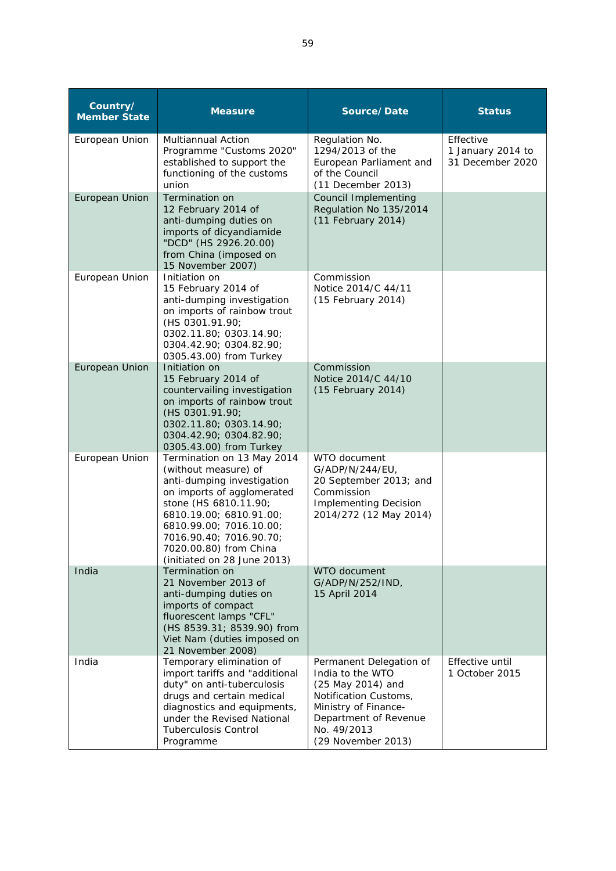| Country/<br><b>Member State</b> | <b>Measure</b>                                                                                                                                                                                                                                                                    | Source/Date                                                                                                                                                                     | <b>Status</b>                                      |
|---------------------------------|-----------------------------------------------------------------------------------------------------------------------------------------------------------------------------------------------------------------------------------------------------------------------------------|---------------------------------------------------------------------------------------------------------------------------------------------------------------------------------|----------------------------------------------------|
| European Union                  | <b>Multiannual Action</b><br>Programme "Customs 2020"<br>established to support the<br>functioning of the customs<br>union                                                                                                                                                        | Regulation No.<br>1294/2013 of the<br>European Parliament and<br>of the Council<br>(11 December 2013)                                                                           | Effective<br>1 January 2014 to<br>31 December 2020 |
| European Union                  | <b>Termination on</b><br>12 February 2014 of<br>anti-dumping duties on<br>imports of dicyandiamide<br>"DCD" (HS 2926.20.00)<br>from China (imposed on<br>15 November 2007)                                                                                                        | Council Implementing<br>Regulation No 135/2014<br>(11 February 2014)                                                                                                            |                                                    |
| European Union                  | Initiation on<br>15 February 2014 of<br>anti-dumping investigation<br>on imports of rainbow trout<br>(HS 0301.91.90;<br>0302.11.80; 0303.14.90;<br>0304.42.90; 0304.82.90;<br>0305.43.00) from Turkey                                                                             | Commission<br>Notice 2014/C 44/11<br>(15 February 2014)                                                                                                                         |                                                    |
| European Union                  | Initiation on<br>15 February 2014 of<br>countervailing investigation<br>on imports of rainbow trout<br>(HS 0301.91.90;<br>0302.11.80; 0303.14.90;<br>0304.42.90; 0304.82.90;<br>0305.43.00) from Turkey                                                                           | Commission<br>Notice 2014/C 44/10<br>(15 February 2014)                                                                                                                         |                                                    |
| European Union                  | Termination on 13 May 2014<br>(without measure) of<br>anti-dumping investigation<br>on imports of agglomerated<br>stone (HS 6810.11.90;<br>6810.19.00; 6810.91.00;<br>6810.99.00; 7016.10.00;<br>7016.90.40; 7016.90.70;<br>7020.00.80) from China<br>(initiated on 28 June 2013) | WTO document<br>G/ADP/N/244/EU,<br>20 September 2013; and<br>Commission<br><b>Implementing Decision</b><br>2014/272 (12 May 2014)                                               |                                                    |
| India                           | Termination on<br>21 November 2013 of<br>anti-dumping duties on<br>imports of compact<br>fluorescent lamps "CFL"<br>(HS 8539.31; 8539.90) from<br>Viet Nam (duties imposed on<br>21 November 2008)                                                                                | WTO document<br>G/ADP/N/252/IND,<br>15 April 2014                                                                                                                               |                                                    |
| India                           | Temporary elimination of<br>import tariffs and "additional<br>duty" on anti-tuberculosis<br>drugs and certain medical<br>diagnostics and equipments,<br>under the Revised National<br><b>Tuberculosis Control</b><br>Programme                                                    | Permanent Delegation of<br>India to the WTO<br>(25 May 2014) and<br>Notification Customs,<br>Ministry of Finance-<br>Department of Revenue<br>No. 49/2013<br>(29 November 2013) | Effective until<br>1 October 2015                  |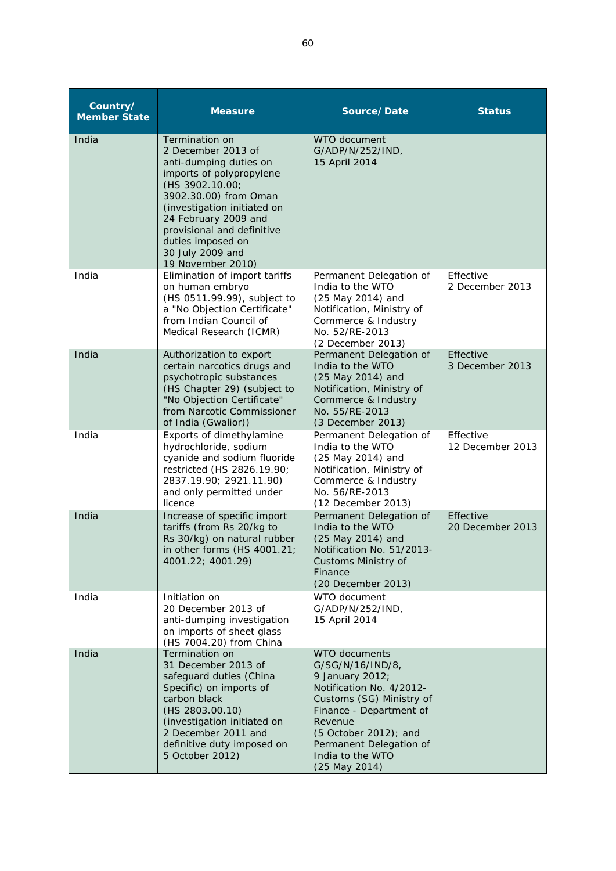| Country/<br><b>Member State</b> | <b>Measure</b>                                                                                                                                                                                                                                                                            | Source/Date                                                                                                                                                                                                                                        | <b>Status</b>                 |
|---------------------------------|-------------------------------------------------------------------------------------------------------------------------------------------------------------------------------------------------------------------------------------------------------------------------------------------|----------------------------------------------------------------------------------------------------------------------------------------------------------------------------------------------------------------------------------------------------|-------------------------------|
| India                           | Termination on<br>2 December 2013 of<br>anti-dumping duties on<br>imports of polypropylene<br>(HS 3902.10.00;<br>3902.30.00) from Oman<br>(investigation initiated on<br>24 February 2009 and<br>provisional and definitive<br>duties imposed on<br>30 July 2009 and<br>19 November 2010) | WTO document<br>G/ADP/N/252/IND,<br>15 April 2014                                                                                                                                                                                                  |                               |
| India                           | Elimination of import tariffs<br>on human embryo<br>(HS 0511.99.99), subject to<br>a "No Objection Certificate"<br>from Indian Council of<br>Medical Research (ICMR)                                                                                                                      | Permanent Delegation of<br>India to the WTO<br>(25 May 2014) and<br>Notification, Ministry of<br>Commerce & Industry<br>No. 52/RE-2013<br>(2 December 2013)                                                                                        | Effective<br>2 December 2013  |
| India                           | Authorization to export<br>certain narcotics drugs and<br>psychotropic substances<br>(HS Chapter 29) (subject to<br>"No Objection Certificate"<br>from Narcotic Commissioner<br>of India (Gwalior))                                                                                       | Permanent Delegation of<br>India to the WTO<br>(25 May 2014) and<br>Notification, Ministry of<br>Commerce & Industry<br>No. 55/RE-2013<br>(3 December 2013)                                                                                        | Effective<br>3 December 2013  |
| India                           | Exports of dimethylamine<br>hydrochloride, sodium<br>cyanide and sodium fluoride<br>restricted (HS 2826.19.90;<br>2837.19.90; 2921.11.90)<br>and only permitted under<br>licence                                                                                                          | Permanent Delegation of<br>India to the WTO<br>(25 May 2014) and<br>Notification, Ministry of<br>Commerce & Industry<br>No. 56/RE-2013<br>(12 December 2013)                                                                                       | Effective<br>12 December 2013 |
| India                           | Increase of specific import<br>tariffs (from Rs 20/kg to<br>Rs 30/kg) on natural rubber<br>in other forms (HS 4001.21;<br>4001.22; 4001.29)                                                                                                                                               | Permanent Delegation of<br>India to the WTO<br>(25 May 2014) and<br>Notification No. 51/2013-<br>Customs Ministry of<br>Finance<br>(20 December 2013)                                                                                              | Effective<br>20 December 2013 |
| India                           | Initiation on<br>20 December 2013 of<br>anti-dumping investigation<br>on imports of sheet glass<br>(HS 7004.20) from China                                                                                                                                                                | WTO document<br>G/ADP/N/252/IND,<br>15 April 2014                                                                                                                                                                                                  |                               |
| India                           | Termination on<br>31 December 2013 of<br>safeguard duties (China<br>Specific) on imports of<br>carbon black<br>(HS 2803.00.10)<br>(investigation initiated on<br>2 December 2011 and<br>definitive duty imposed on<br>5 October 2012)                                                     | <b>WTO documents</b><br>G/SG/N/16/IND/8,<br>9 January 2012;<br>Notification No. 4/2012-<br>Customs (SG) Ministry of<br>Finance - Department of<br>Revenue<br>(5 October 2012); and<br>Permanent Delegation of<br>India to the WTO<br>(25 May 2014) |                               |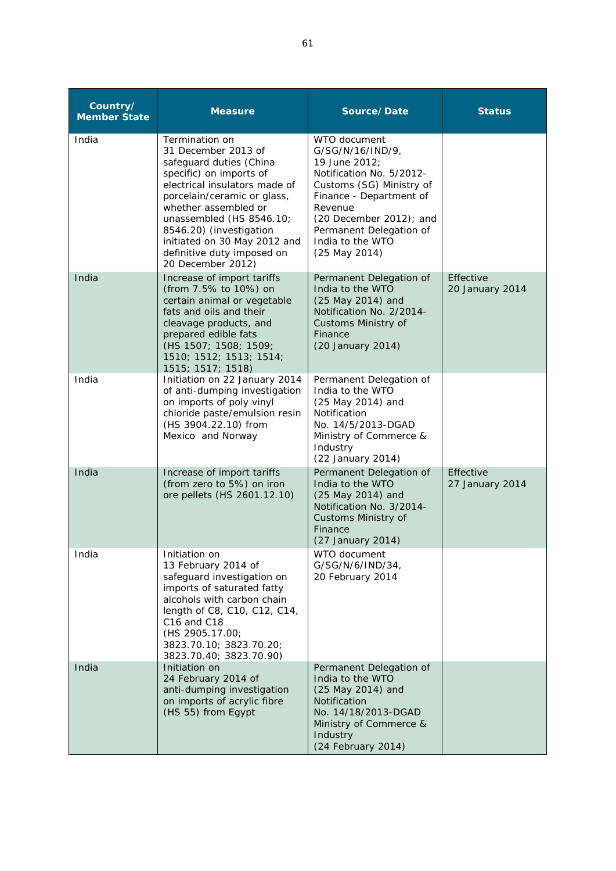| Country/<br><b>Member State</b> | <b>Measure</b>                                                                                                                                                                                                                                                                                                                | Source/Date                                                                                                                                                                                                                                    | <b>Status</b>                |
|---------------------------------|-------------------------------------------------------------------------------------------------------------------------------------------------------------------------------------------------------------------------------------------------------------------------------------------------------------------------------|------------------------------------------------------------------------------------------------------------------------------------------------------------------------------------------------------------------------------------------------|------------------------------|
| India                           | Termination on<br>31 December 2013 of<br>safeguard duties (China<br>specific) on imports of<br>electrical insulators made of<br>porcelain/ceramic or glass,<br>whether assembled or<br>unassembled (HS 8546.10;<br>8546.20) (investigation<br>initiated on 30 May 2012 and<br>definitive duty imposed on<br>20 December 2012) | WTO document<br>G/SG/N/16/IND/9,<br>19 June 2012;<br>Notification No. 5/2012-<br>Customs (SG) Ministry of<br>Finance - Department of<br>Revenue<br>$(20$ December 2012); and<br>Permanent Delegation of<br>India to the WTO<br>$(25$ May 2014) |                              |
| India                           | Increase of import tariffs<br>(from 7.5% to 10%) on<br>certain animal or vegetable<br>fats and oils and their<br>cleavage products, and<br>prepared edible fats<br>(HS 1507; 1508; 1509;<br>1510; 1512; 1513; 1514;<br>1515; 1517; 1518)                                                                                      | Permanent Delegation of<br>India to the WTO<br>(25 May 2014) and<br>Notification No. 2/2014-<br>Customs Ministry of<br>Finance<br>(20 January 2014)                                                                                            | Effective<br>20 January 2014 |
| India                           | Initiation on 22 January 2014<br>of anti-dumping investigation<br>on imports of poly vinyl<br>chloride paste/emulsion resin<br>(HS 3904.22.10) from<br>Mexico and Norway                                                                                                                                                      | Permanent Delegation of<br>India to the WTO<br>(25 May 2014) and<br>Notification<br>No. 14/5/2013-DGAD<br>Ministry of Commerce &<br>Industry<br>(22 January 2014)                                                                              |                              |
| India                           | Increase of import tariffs<br>(from zero to 5%) on iron<br>ore pellets (HS 2601.12.10)                                                                                                                                                                                                                                        | Permanent Delegation of<br>India to the WTO<br>(25 May 2014) and<br>Notification No. 3/2014-<br>Customs Ministry of<br>Finance<br>(27 January 2014)                                                                                            | Effective<br>27 January 2014 |
| India                           | Initiation on<br>13 February 2014 of<br>safeguard investigation on<br>imports of saturated fatty<br>alcohols with carbon chain<br>length of C8, C10, C12, C14,<br>C16 and C18<br>(HS 2905.17.00;<br>3823.70.10; 3823.70.20;<br>3823.70.40; 3823.70.90)                                                                        | WTO document<br>G/SG/N/6/IND/34,<br>20 February 2014                                                                                                                                                                                           |                              |
| India                           | Initiation on<br>24 February 2014 of<br>anti-dumping investigation<br>on imports of acrylic fibre<br>(HS 55) from Egypt                                                                                                                                                                                                       | Permanent Delegation of<br>India to the WTO<br>(25 May 2014) and<br>Notification<br>No. 14/18/2013-DGAD<br>Ministry of Commerce &<br>Industry<br>(24 February 2014)                                                                            |                              |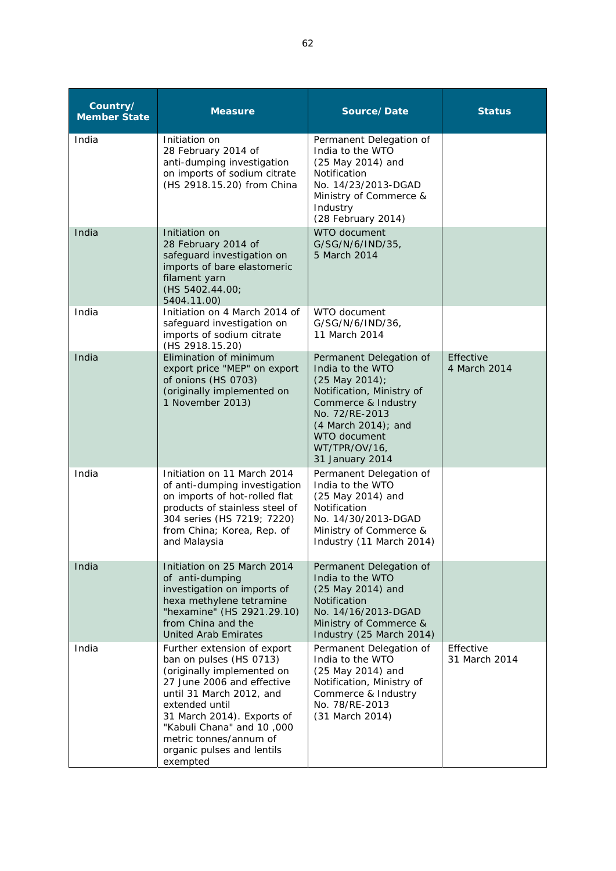| Country/<br><b>Member State</b> | <b>Measure</b>                                                                                                                                                                                                                                                                                  | Source/Date                                                                                                                                                                                                    | <b>Status</b>              |
|---------------------------------|-------------------------------------------------------------------------------------------------------------------------------------------------------------------------------------------------------------------------------------------------------------------------------------------------|----------------------------------------------------------------------------------------------------------------------------------------------------------------------------------------------------------------|----------------------------|
| India                           | Initiation on<br>28 February 2014 of<br>anti-dumping investigation<br>on imports of sodium citrate<br>(HS 2918.15.20) from China                                                                                                                                                                | Permanent Delegation of<br>India to the WTO<br>(25 May 2014) and<br>Notification<br>No. 14/23/2013-DGAD<br>Ministry of Commerce &<br>Industry<br>(28 February 2014)                                            |                            |
| India                           | Initiation on<br>28 February 2014 of<br>safeguard investigation on<br>imports of bare elastomeric<br>filament yarn<br>(HS 5402.44.00;<br>5404.11.00)                                                                                                                                            | WTO document<br>G/SG/N/6/IND/35,<br>5 March 2014                                                                                                                                                               |                            |
| India                           | Initiation on 4 March 2014 of<br>safeguard investigation on<br>imports of sodium citrate<br>(HS 2918.15.20)                                                                                                                                                                                     | WTO document<br>G/SG/N/6/IND/36,<br>11 March 2014                                                                                                                                                              |                            |
| India                           | Elimination of minimum<br>export price "MEP" on export<br>of onions (HS 0703)<br>(originally implemented on<br>1 November 2013)                                                                                                                                                                 | Permanent Delegation of<br>India to the WTO<br>(25 May 2014);<br>Notification, Ministry of<br>Commerce & Industry<br>No. 72/RE-2013<br>(4 March 2014); and<br>WTO document<br>WT/TPR/OV/16,<br>31 January 2014 | Effective<br>4 March 2014  |
| India                           | Initiation on 11 March 2014<br>of anti-dumping investigation<br>on imports of hot-rolled flat<br>products of stainless steel of<br>304 series (HS 7219; 7220)<br>from China; Korea, Rep. of<br>and Malaysia                                                                                     | Permanent Delegation of<br>India to the WTO<br>(25 May 2014) and<br>Notification<br>No. 14/30/2013-DGAD<br>Ministry of Commerce &<br>Industry (11 March 2014)                                                  |                            |
| India                           | Initiation on 25 March 2014<br>of anti-dumping<br>investigation on imports of<br>hexa methylene tetramine<br>"hexamine" (HS 2921.29.10)<br>from China and the<br><b>United Arab Emirates</b>                                                                                                    | Permanent Delegation of<br>India to the WTO<br>(25 May 2014) and<br><b>Notification</b><br>No. 14/16/2013-DGAD<br>Ministry of Commerce &<br>Industry (25 March 2014)                                           |                            |
| India                           | Further extension of export<br>ban on pulses (HS 0713)<br>(originally implemented on<br>27 June 2006 and effective<br>until 31 March 2012, and<br>extended until<br>31 March 2014). Exports of<br>"Kabuli Chana" and 10,000<br>metric tonnes/annum of<br>organic pulses and lentils<br>exempted | Permanent Delegation of<br>India to the WTO<br>(25 May 2014) and<br>Notification, Ministry of<br>Commerce & Industry<br>No. 78/RE-2013<br>(31 March 2014)                                                      | Effective<br>31 March 2014 |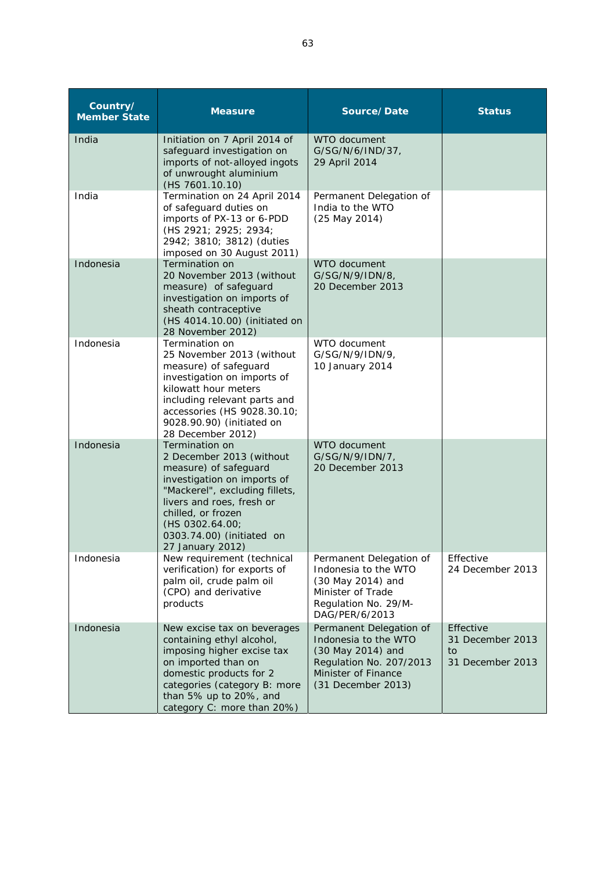| Country/<br><b>Member State</b> | <b>Measure</b>                                                                                                                                                                                                                                              | Source/Date                                                                                                                                  | <b>Status</b>                                           |
|---------------------------------|-------------------------------------------------------------------------------------------------------------------------------------------------------------------------------------------------------------------------------------------------------------|----------------------------------------------------------------------------------------------------------------------------------------------|---------------------------------------------------------|
| India                           | Initiation on 7 April 2014 of<br>safeguard investigation on<br>imports of not-alloyed ingots<br>of unwrought aluminium<br>(HS 7601.10.10)                                                                                                                   | WTO document<br>G/SG/N/6/IND/37,<br>29 April 2014                                                                                            |                                                         |
| India                           | Termination on 24 April 2014<br>of safeguard duties on<br>imports of PX-13 or 6-PDD<br>(HS 2921; 2925; 2934;<br>2942; 3810; 3812) (duties<br>imposed on 30 August 2011)                                                                                     | Permanent Delegation of<br>India to the WTO<br>(25 May 2014)                                                                                 |                                                         |
| Indonesia                       | Termination on<br>20 November 2013 (without<br>measure) of safeguard<br>investigation on imports of<br>sheath contraceptive<br>(HS 4014.10.00) (initiated on<br>28 November 2012)                                                                           | WTO document<br>G/SG/N/9/IDN/8,<br>20 December 2013                                                                                          |                                                         |
| Indonesia                       | Termination on<br>25 November 2013 (without<br>measure) of safeguard<br>investigation on imports of<br>kilowatt hour meters<br>including relevant parts and<br>accessories (HS 9028.30.10;<br>9028.90.90) (initiated on<br>28 December 2012)                | WTO document<br>G/SG/N/9/IDN/9,<br>10 January 2014                                                                                           |                                                         |
| Indonesia                       | Termination on<br>2 December 2013 (without<br>measure) of safeguard<br>investigation on imports of<br>"Mackerel", excluding fillets,<br>livers and roes, fresh or<br>chilled, or frozen<br>(HS 0302.64.00;<br>0303.74.00) (initiated on<br>27 January 2012) | WTO document<br>G/SG/N/9/IDN/7,<br>20 December 2013                                                                                          |                                                         |
| Indonesia                       | New requirement (technical<br>verification) for exports of<br>palm oil, crude palm oil<br>(CPO) and derivative<br>products                                                                                                                                  | Permanent Delegation of<br>Indonesia to the WTO<br>(30 May 2014) and<br>Minister of Trade<br>Regulation No. 29/M-<br>DAG/PER/6/2013          | Effective<br>24 December 2013                           |
| Indonesia                       | New excise tax on beverages<br>containing ethyl alcohol,<br>imposing higher excise tax<br>on imported than on<br>domestic products for 2<br>categories (category B: more<br>than 5% up to 20%, and<br>category C: more than 20%)                            | Permanent Delegation of<br>Indonesia to the WTO<br>(30 May 2014) and<br>Regulation No. 207/2013<br>Minister of Finance<br>(31 December 2013) | Effective<br>31 December 2013<br>to<br>31 December 2013 |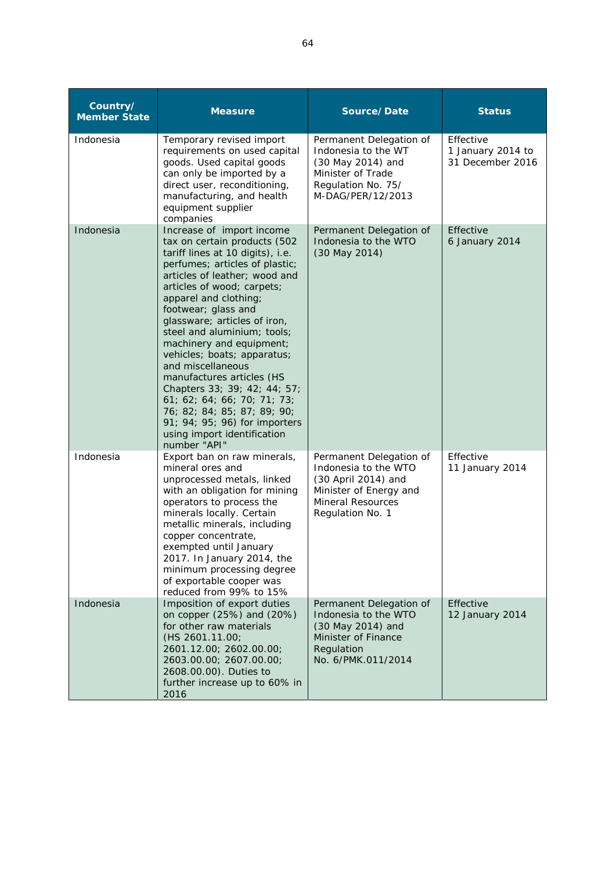| Country/<br><b>Member State</b> | <b>Measure</b>                                                                                                                                                                                                                                                                                                                                                                                                                                                                                                                                                                                           | Source/Date                                                                                                                               | <b>Status</b>                                      |
|---------------------------------|----------------------------------------------------------------------------------------------------------------------------------------------------------------------------------------------------------------------------------------------------------------------------------------------------------------------------------------------------------------------------------------------------------------------------------------------------------------------------------------------------------------------------------------------------------------------------------------------------------|-------------------------------------------------------------------------------------------------------------------------------------------|----------------------------------------------------|
| Indonesia                       | Temporary revised import<br>requirements on used capital<br>goods. Used capital goods<br>can only be imported by a<br>direct user, reconditioning,<br>manufacturing, and health<br>equipment supplier<br>companies                                                                                                                                                                                                                                                                                                                                                                                       | Permanent Delegation of<br>Indonesia to the WT<br>(30 May 2014) and<br>Minister of Trade<br>Regulation No. 75/<br>M-DAG/PER/12/2013       | Effective<br>1 January 2014 to<br>31 December 2016 |
| Indonesia                       | Increase of import income<br>tax on certain products (502<br>tariff lines at 10 digits), i.e.<br>perfumes; articles of plastic;<br>articles of leather; wood and<br>articles of wood; carpets;<br>apparel and clothing;<br>footwear; glass and<br>glassware; articles of iron,<br>steel and aluminium; tools;<br>machinery and equipment;<br>vehicles; boats; apparatus;<br>and miscellaneous<br>manufactures articles (HS<br>Chapters 33; 39; 42; 44; 57;<br>61; 62; 64; 66; 70; 71; 73;<br>76; 82; 84; 85; 87; 89; 90;<br>91; 94; 95; 96) for importers<br>using import identification<br>number "API" | Permanent Delegation of<br>Indonesia to the WTO<br>(30 May 2014)                                                                          | Effective<br>6 January 2014                        |
| Indonesia                       | Export ban on raw minerals,<br>mineral ores and<br>unprocessed metals, linked<br>with an obligation for mining<br>operators to process the<br>minerals locally. Certain<br>metallic minerals, including<br>copper concentrate,<br>exempted until January<br>2017. In January 2014, the<br>minimum processing degree<br>of exportable cooper was<br>reduced from 99% to 15%                                                                                                                                                                                                                               | Permanent Delegation of<br>Indonesia to the WTO<br>(30 April 2014) and<br>Minister of Energy and<br>Mineral Resources<br>Regulation No. 1 | Effective<br>11 January 2014                       |
| Indonesia                       | Imposition of export duties<br>on copper (25%) and (20%)<br>for other raw materials<br>(HS 2601.11.00;<br>2601.12.00; 2602.00.00;<br>2603.00.00; 2607.00.00;<br>2608.00.00). Duties to<br>further increase up to 60% in<br>2016                                                                                                                                                                                                                                                                                                                                                                          | Permanent Delegation of<br>Indonesia to the WTO<br>(30 May 2014) and<br>Minister of Finance<br>Regulation<br>No. 6/PMK.011/2014           | Effective<br>12 January 2014                       |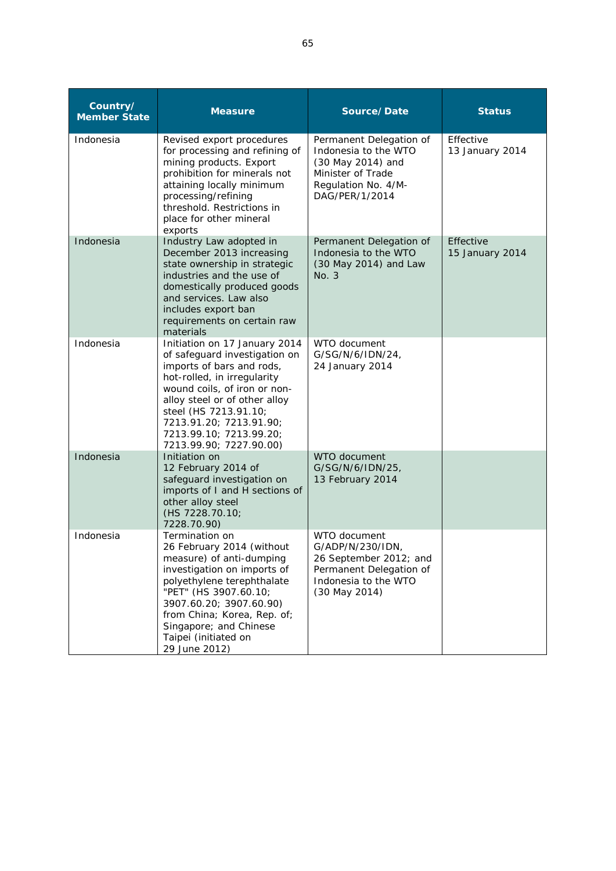| Country/<br><b>Member State</b> | <b>Measure</b>                                                                                                                                                                                                                                                                                        | Source/Date                                                                                                                        | <b>Status</b>                |
|---------------------------------|-------------------------------------------------------------------------------------------------------------------------------------------------------------------------------------------------------------------------------------------------------------------------------------------------------|------------------------------------------------------------------------------------------------------------------------------------|------------------------------|
| Indonesia                       | Revised export procedures<br>for processing and refining of<br>mining products. Export<br>prohibition for minerals not<br>attaining locally minimum<br>processing/refining<br>threshold. Restrictions in<br>place for other mineral<br>exports                                                        | Permanent Delegation of<br>Indonesia to the WTO<br>(30 May 2014) and<br>Minister of Trade<br>Regulation No. 4/M-<br>DAG/PER/1/2014 | Effective<br>13 January 2014 |
| Indonesia                       | Industry Law adopted in<br>December 2013 increasing<br>state ownership in strategic<br>industries and the use of<br>domestically produced goods<br>and services. Law also<br>includes export ban<br>requirements on certain raw<br>materials                                                          | Permanent Delegation of<br>Indonesia to the WTO<br>(30 May 2014) and Law<br>No. 3                                                  | Effective<br>15 January 2014 |
| Indonesia                       | Initiation on 17 January 2014<br>of safeguard investigation on<br>imports of bars and rods,<br>hot-rolled, in irregularity<br>wound coils, of iron or non-<br>alloy steel or of other alloy<br>steel (HS 7213.91.10;<br>7213.91.20; 7213.91.90;<br>7213.99.10; 7213.99.20;<br>7213.99.90; 7227.90.00) | WTO document<br>G/SG/N/6/IDN/24,<br>24 January 2014                                                                                |                              |
| Indonesia                       | Initiation on<br>12 February 2014 of<br>safeguard investigation on<br>imports of I and H sections of<br>other alloy steel<br>(HS 7228.70.10;<br>7228.70.90)                                                                                                                                           | WTO document<br>G/SG/N/6/IDN/25,<br>13 February 2014                                                                               |                              |
| Indonesia                       | Termination on<br>26 February 2014 (without<br>measure) of anti-dumping<br>investigation on imports of<br>polyethylene terephthalate<br>"PET" (HS 3907.60.10;<br>3907.60.20; 3907.60.90)<br>from China; Korea, Rep. of;<br>Singapore; and Chinese<br>Taipei (initiated on<br>29 June 2012)            | WTO document<br>G/ADP/N/230/IDN,<br>26 September 2012; and<br>Permanent Delegation of<br>Indonesia to the WTO<br>(30 May 2014)     |                              |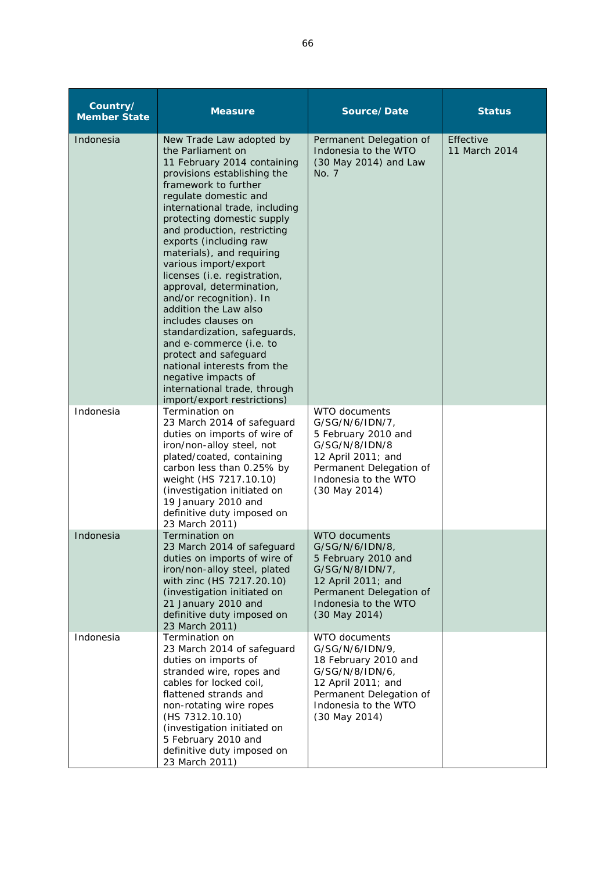| Country/<br><b>Member State</b> | <b>Measure</b>                                                                                                                                                                                                                                                                                                                                                                                                                                                                                                                                                                                                                                                                              | Source/Date                                                                                                                                                                | <b>Status</b>              |
|---------------------------------|---------------------------------------------------------------------------------------------------------------------------------------------------------------------------------------------------------------------------------------------------------------------------------------------------------------------------------------------------------------------------------------------------------------------------------------------------------------------------------------------------------------------------------------------------------------------------------------------------------------------------------------------------------------------------------------------|----------------------------------------------------------------------------------------------------------------------------------------------------------------------------|----------------------------|
| Indonesia                       | New Trade Law adopted by<br>the Parliament on<br>11 February 2014 containing<br>provisions establishing the<br>framework to further<br>regulate domestic and<br>international trade, including<br>protecting domestic supply<br>and production, restricting<br>exports (including raw<br>materials), and requiring<br>various import/export<br>licenses (i.e. registration,<br>approval, determination,<br>and/or recognition). In<br>addition the Law also<br>includes clauses on<br>standardization, safeguards,<br>and e-commerce (i.e. to<br>protect and safeguard<br>national interests from the<br>negative impacts of<br>international trade, through<br>import/export restrictions) | Permanent Delegation of<br>Indonesia to the WTO<br>(30 May 2014) and Law<br>No. 7                                                                                          | Effective<br>11 March 2014 |
| Indonesia                       | Termination on<br>23 March 2014 of safeguard<br>duties on imports of wire of<br>iron/non-alloy steel, not<br>plated/coated, containing<br>carbon less than 0.25% by<br>weight (HS 7217.10.10)<br>(investigation initiated on<br>19 January 2010 and<br>definitive duty imposed on<br>23 March 2011)                                                                                                                                                                                                                                                                                                                                                                                         | WTO documents<br>G/SG/N/6/IDN/7,<br>5 February 2010 and<br>G/SG/N/8/IDN/8<br>12 April 2011; and<br>Permanent Delegation of<br>Indonesia to the WTO<br>(30 May 2014)        |                            |
| Indonesia                       | Termination on<br>23 March 2014 of safeguard<br>duties on imports of wire of<br>iron/non-alloy steel, plated<br>with zinc (HS 7217.20.10)<br>(investigation initiated on<br>21 January 2010 and<br>definitive duty imposed on<br>23 March 2011)                                                                                                                                                                                                                                                                                                                                                                                                                                             | <b>WTO documents</b><br>G/SG/N/6/IDN/8<br>5 February 2010 and<br>G/SG/N/8/IDN/7,<br>12 April 2011; and<br>Permanent Delegation of<br>Indonesia to the WTO<br>(30 May 2014) |                            |
| Indonesia                       | Termination on<br>23 March 2014 of safeguard<br>duties on imports of<br>stranded wire, ropes and<br>cables for locked coil,<br>flattened strands and<br>non-rotating wire ropes<br>(HS 7312.10.10)<br>(investigation initiated on<br>5 February 2010 and<br>definitive duty imposed on<br>23 March 2011)                                                                                                                                                                                                                                                                                                                                                                                    | WTO documents<br>G/SG/N/6/IDN/9,<br>18 February 2010 and<br>G/SG/N/8/IDN/6,<br>12 April 2011; and<br>Permanent Delegation of<br>Indonesia to the WTO<br>(30 May 2014)      |                            |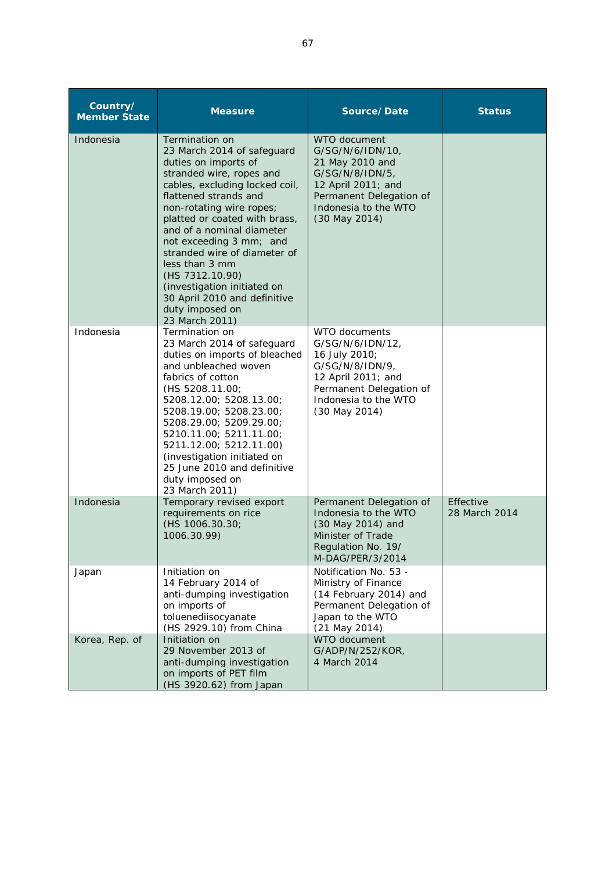| Country/<br><b>Member State</b> | <b>Measure</b>                                                                                                                                                                                                                                                                                                                                                                                                                                            | Source/Date                                                                                                                                                      | <b>Status</b>              |
|---------------------------------|-----------------------------------------------------------------------------------------------------------------------------------------------------------------------------------------------------------------------------------------------------------------------------------------------------------------------------------------------------------------------------------------------------------------------------------------------------------|------------------------------------------------------------------------------------------------------------------------------------------------------------------|----------------------------|
| Indonesia                       | Termination on<br>23 March 2014 of safeguard<br>duties on imports of<br>stranded wire, ropes and<br>cables, excluding locked coil,<br>flattened strands and<br>non-rotating wire ropes;<br>platted or coated with brass,<br>and of a nominal diameter<br>not exceeding 3 mm; and<br>stranded wire of diameter of<br>less than 3 mm<br>(HS 7312.10.90)<br>(investigation initiated on<br>30 April 2010 and definitive<br>duty imposed on<br>23 March 2011) | WTO document<br>G/SG/N/6/IDN/10,<br>21 May 2010 and<br>G/SG/N/8/IDN/5,<br>12 April 2011; and<br>Permanent Delegation of<br>Indonesia to the WTO<br>(30 May 2014) |                            |
| Indonesia                       | Termination on<br>23 March 2014 of safeguard<br>duties on imports of bleached<br>and unbleached woven<br>fabrics of cotton<br>(HS 5208.11.00;<br>5208.12.00; 5208.13.00;<br>5208.19.00; 5208.23.00;<br>5208.29.00; 5209.29.00;<br>5210.11.00; 5211.11.00;<br>5211.12.00; 5212.11.00)<br>(investigation initiated on<br>25 June 2010 and definitive<br>duty imposed on<br>23 March 2011)                                                                   | WTO documents<br>G/SG/N/6/IDN/12,<br>16 July 2010;<br>G/SG/N/8/IDN/9,<br>12 April 2011; and<br>Permanent Delegation of<br>Indonesia to the WTO<br>(30 May 2014)  |                            |
| Indonesia                       | Temporary revised export<br>requirements on rice<br>(HS 1006.30.30;<br>1006.30.99)                                                                                                                                                                                                                                                                                                                                                                        | Permanent Delegation of<br>Indonesia to the WTO<br>(30 May 2014) and<br>Minister of Trade<br>Regulation No. 19/<br>M-DAG/PER/3/2014                              | Effective<br>28 March 2014 |
| Japan                           | Initiation on<br>14 February 2014 of<br>anti-dumping investigation<br>on imports of<br>toluenediisocyanate<br>(HS 2929.10) from China                                                                                                                                                                                                                                                                                                                     | Notification No. 53 -<br>Ministry of Finance<br>(14 February 2014) and<br>Permanent Delegation of<br>Japan to the WTO<br>(21 May 2014)                           |                            |
| Korea, Rep. of                  | Initiation on<br>29 November 2013 of<br>anti-dumping investigation<br>on imports of PET film<br>(HS 3920.62) from Japan                                                                                                                                                                                                                                                                                                                                   | WTO document<br>G/ADP/N/252/KOR,<br>4 March 2014                                                                                                                 |                            |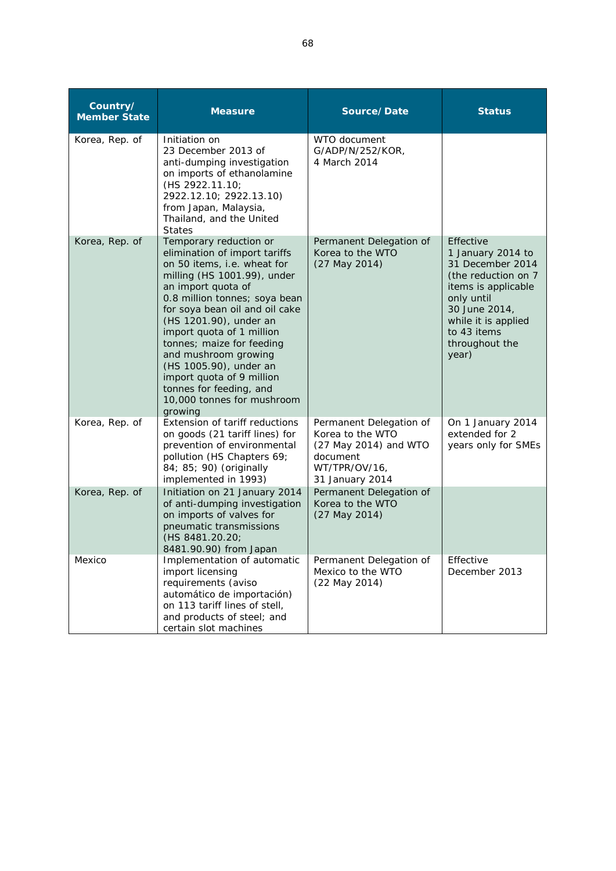| Country/<br><b>Member State</b> | <b>Measure</b>                                                                                                                                                                                                                                                                                                                                                                                                                                        | Source/Date                                                                                                          | <b>Status</b>                                                                                                                                                                                     |
|---------------------------------|-------------------------------------------------------------------------------------------------------------------------------------------------------------------------------------------------------------------------------------------------------------------------------------------------------------------------------------------------------------------------------------------------------------------------------------------------------|----------------------------------------------------------------------------------------------------------------------|---------------------------------------------------------------------------------------------------------------------------------------------------------------------------------------------------|
| Korea, Rep. of                  | Initiation on<br>23 December 2013 of<br>anti-dumping investigation<br>on imports of ethanolamine<br>(HS 2922.11.10;<br>2922.12.10; 2922.13.10)<br>from Japan, Malaysia,<br>Thailand, and the United<br><b>States</b>                                                                                                                                                                                                                                  | WTO document<br>G/ADP/N/252/KOR,<br>4 March 2014                                                                     |                                                                                                                                                                                                   |
| Korea, Rep. of                  | Temporary reduction or<br>elimination of import tariffs<br>on 50 items, i.e. wheat for<br>milling (HS 1001.99), under<br>an import quota of<br>0.8 million tonnes; soya bean<br>for soya bean oil and oil cake<br>(HS 1201.90), under an<br>import quota of 1 million<br>tonnes; maize for feeding<br>and mushroom growing<br>(HS 1005.90), under an<br>import quota of 9 million<br>tonnes for feeding, and<br>10,000 tonnes for mushroom<br>growing | Permanent Delegation of<br>Korea to the WTO<br>(27 May 2014)                                                         | Effective<br>1 January 2014 to<br>31 December 2014<br>(the reduction on 7)<br>items is applicable<br>only until<br>30 June 2014,<br>while it is applied<br>to 43 items<br>throughout the<br>year) |
| Korea, Rep. of                  | Extension of tariff reductions<br>on goods (21 tariff lines) for<br>prevention of environmental<br>pollution (HS Chapters 69;<br>84; 85; 90) (originally<br>implemented in 1993)                                                                                                                                                                                                                                                                      | Permanent Delegation of<br>Korea to the WTO<br>(27 May 2014) and WTO<br>document<br>WT/TPR/OV/16,<br>31 January 2014 | On 1 January 2014<br>extended for 2<br>years only for SMEs                                                                                                                                        |
| Korea, Rep. of                  | Initiation on 21 January 2014<br>of anti-dumping investigation<br>on imports of valves for<br>pneumatic transmissions<br>(HS 8481.20.20;<br>8481.90.90) from Japan                                                                                                                                                                                                                                                                                    | Permanent Delegation of<br>Korea to the WTO<br>(27 May 2014)                                                         |                                                                                                                                                                                                   |
| Mexico                          | Implementation of automatic<br>import licensing<br>requirements (aviso<br>automático de importación)<br>on 113 tariff lines of stell,<br>and products of steel; and<br>certain slot machines                                                                                                                                                                                                                                                          | Permanent Delegation of<br>Mexico to the WTO<br>$(22$ May $2014)$                                                    | Effective<br>December 2013                                                                                                                                                                        |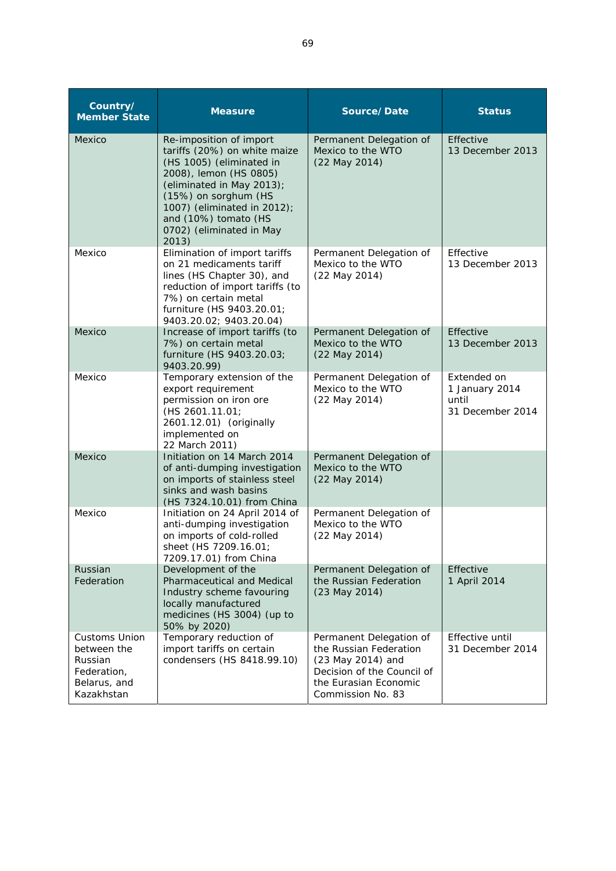| Country/<br><b>Member State</b>                                                             | <b>Measure</b>                                                                                                                                                                                                                                                 | Source/Date                                                                                                                                        | <b>Status</b>                                              |
|---------------------------------------------------------------------------------------------|----------------------------------------------------------------------------------------------------------------------------------------------------------------------------------------------------------------------------------------------------------------|----------------------------------------------------------------------------------------------------------------------------------------------------|------------------------------------------------------------|
| Mexico                                                                                      | Re-imposition of import<br>tariffs (20%) on white maize<br>(HS 1005) (eliminated in<br>2008), lemon (HS 0805)<br>(eliminated in May 2013);<br>(15%) on sorghum (HS<br>1007) (eliminated in 2012);<br>and (10%) tomato (HS<br>0702) (eliminated in May<br>2013) | Permanent Delegation of<br>Mexico to the WTO<br>(22 May 2014)                                                                                      | Effective<br>13 December 2013                              |
| Mexico                                                                                      | Elimination of import tariffs<br>on 21 medicaments tariff<br>lines (HS Chapter 30), and<br>reduction of import tariffs (to<br>7%) on certain metal<br>furniture (HS 9403.20.01;<br>9403.20.02; 9403.20.04)                                                     | Permanent Delegation of<br>Mexico to the WTO<br>(22 May 2014)                                                                                      | Effective<br>13 December 2013                              |
| Mexico                                                                                      | Increase of import tariffs (to<br>7%) on certain metal<br>furniture (HS 9403.20.03;<br>9403.20.99)                                                                                                                                                             | Permanent Delegation of<br>Mexico to the WTO<br>(22 May 2014)                                                                                      | Effective<br>13 December 2013                              |
| Mexico                                                                                      | Temporary extension of the<br>export requirement<br>permission on iron ore<br>(HS 2601.11.01;<br>2601.12.01) (originally<br>implemented on<br>22 March 2011)                                                                                                   | Permanent Delegation of<br>Mexico to the WTO<br>(22 May 2014)                                                                                      | Extended on<br>1 January 2014<br>until<br>31 December 2014 |
| Mexico                                                                                      | Initiation on 14 March 2014<br>of anti-dumping investigation<br>on imports of stainless steel<br>sinks and wash basins<br>(HS 7324.10.01) from China                                                                                                           | Permanent Delegation of<br>Mexico to the WTO<br>(22 May 2014)                                                                                      |                                                            |
| Mexico                                                                                      | Initiation on 24 April 2014 of<br>anti-dumping investigation<br>on imports of cold-rolled<br>sheet (HS 7209.16.01;<br>7209.17.01) from China                                                                                                                   | Permanent Delegation of<br>Mexico to the WTO<br>(22 May 2014)                                                                                      |                                                            |
| Russian<br>Federation                                                                       | Development of the<br>Pharmaceutical and Medical<br>Industry scheme favouring<br>locally manufactured<br>medicines (HS 3004) (up to<br>50% by 2020)                                                                                                            | Permanent Delegation of<br>the Russian Federation<br>$(23$ May 2014)                                                                               | Effective<br>1 April 2014                                  |
| <b>Customs Union</b><br>between the<br>Russian<br>Federation,<br>Belarus, and<br>Kazakhstan | Temporary reduction of<br>import tariffs on certain<br>condensers (HS 8418.99.10)                                                                                                                                                                              | Permanent Delegation of<br>the Russian Federation<br>(23 May 2014) and<br>Decision of the Council of<br>the Eurasian Economic<br>Commission No. 83 | Effective until<br>31 December 2014                        |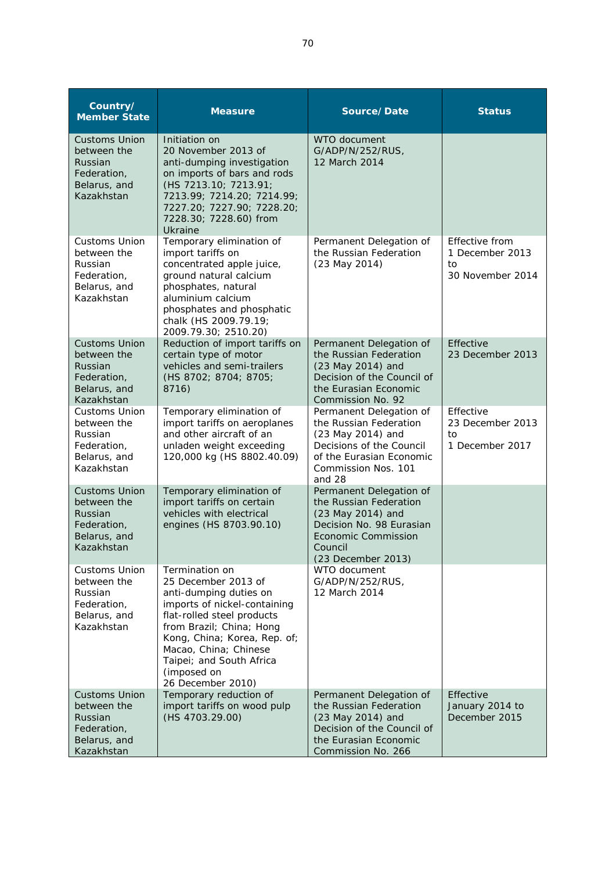| Country/<br><b>Member State</b>                                                             | <b>Measure</b>                                                                                                                                                                                                                                                                     | Source/Date                                                                                                                                                       | <b>Status</b>                                               |
|---------------------------------------------------------------------------------------------|------------------------------------------------------------------------------------------------------------------------------------------------------------------------------------------------------------------------------------------------------------------------------------|-------------------------------------------------------------------------------------------------------------------------------------------------------------------|-------------------------------------------------------------|
| <b>Customs Union</b><br>between the<br>Russian<br>Federation,<br>Belarus, and<br>Kazakhstan | Initiation on<br>20 November 2013 of<br>anti-dumping investigation<br>on imports of bars and rods<br>(HS 7213.10; 7213.91;<br>7213.99; 7214.20; 7214.99;<br>7227.20; 7227.90; 7228.20;<br>7228.30; 7228.60) from<br><b>Ukraine</b>                                                 | WTO document<br>G/ADP/N/252/RUS,<br>12 March 2014                                                                                                                 |                                                             |
| <b>Customs Union</b><br>between the<br>Russian<br>Federation,<br>Belarus, and<br>Kazakhstan | Temporary elimination of<br>import tariffs on<br>concentrated apple juice,<br>ground natural calcium<br>phosphates, natural<br>aluminium calcium<br>phosphates and phosphatic<br>chalk (HS 2009.79.19;<br>2009.79.30; 2510.20)                                                     | Permanent Delegation of<br>the Russian Federation<br>$(23$ May $2014)$                                                                                            | Effective from<br>1 December 2013<br>to<br>30 November 2014 |
| <b>Customs Union</b><br>between the<br>Russian<br>Federation,<br>Belarus, and<br>Kazakhstan | Reduction of import tariffs on<br>certain type of motor<br>vehicles and semi-trailers<br>(HS 8702; 8704; 8705;<br>8716)                                                                                                                                                            | Permanent Delegation of<br>the Russian Federation<br>(23 May 2014) and<br>Decision of the Council of<br>the Eurasian Economic<br>Commission No. 92                | Effective<br>23 December 2013                               |
| Customs Union<br>between the<br>Russian<br>Federation,<br>Belarus, and<br>Kazakhstan        | Temporary elimination of<br>import tariffs on aeroplanes<br>and other aircraft of an<br>unladen weight exceeding<br>120,000 kg (HS 8802.40.09)                                                                                                                                     | Permanent Delegation of<br>the Russian Federation<br>(23 May 2014) and<br>Decisions of the Council<br>of the Eurasian Economic<br>Commission Nos. 101<br>and 28   | Effective<br>23 December 2013<br>to<br>1 December 2017      |
| <b>Customs Union</b><br>between the<br>Russian<br>Federation,<br>Belarus, and<br>Kazakhstan | Temporary elimination of<br>import tariffs on certain<br>vehicles with electrical<br>engines (HS 8703.90.10)                                                                                                                                                                       | Permanent Delegation of<br>the Russian Federation<br>(23 May 2014) and<br>Decision No. 98 Eurasian<br><b>Economic Commission</b><br>Council<br>(23 December 2013) |                                                             |
| <b>Customs Union</b><br>between the<br>Russian<br>Federation,<br>Belarus, and<br>Kazakhstan | Termination on<br>25 December 2013 of<br>anti-dumping duties on<br>imports of nickel-containing<br>flat-rolled steel products<br>from Brazil; China; Hong<br>Kong, China; Korea, Rep. of;<br>Macao, China; Chinese<br>Taipei; and South Africa<br>(imposed on<br>26 December 2010) | WTO document<br>G/ADP/N/252/RUS,<br>12 March 2014                                                                                                                 |                                                             |
| <b>Customs Union</b><br>between the<br>Russian<br>Federation,<br>Belarus, and<br>Kazakhstan | Temporary reduction of<br>import tariffs on wood pulp<br>(HS 4703.29.00)                                                                                                                                                                                                           | Permanent Delegation of<br>the Russian Federation<br>(23 May 2014) and<br>Decision of the Council of<br>the Eurasian Economic<br>Commission No. 266               | Effective<br>January 2014 to<br>December 2015               |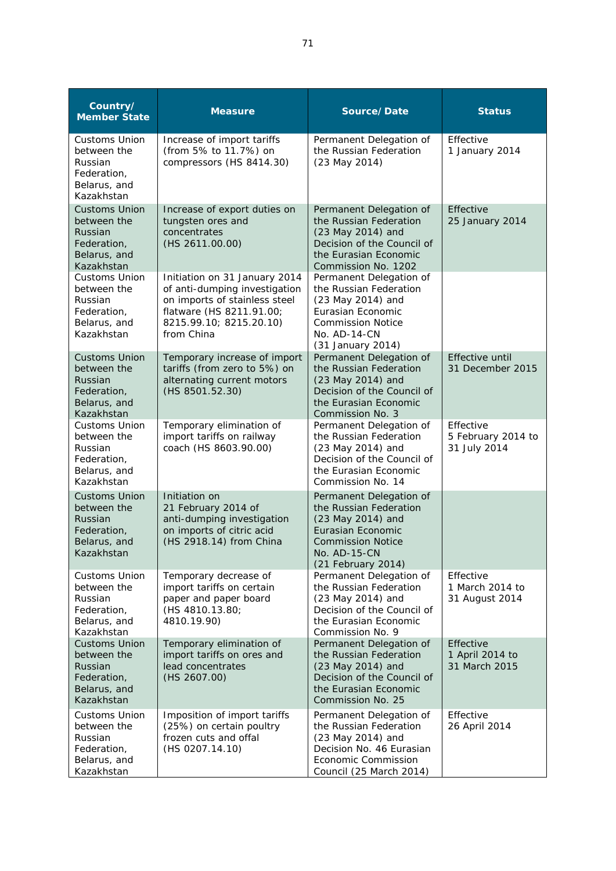| Country/<br><b>Member State</b>                                                             | <b>Measure</b>                                                                                                                                                       | Source/Date                                                                                                                                                    | <b>Status</b>                                   |
|---------------------------------------------------------------------------------------------|----------------------------------------------------------------------------------------------------------------------------------------------------------------------|----------------------------------------------------------------------------------------------------------------------------------------------------------------|-------------------------------------------------|
| <b>Customs Union</b><br>between the<br>Russian<br>Federation,<br>Belarus, and<br>Kazakhstan | Increase of import tariffs<br>(from 5% to 11.7%) on<br>compressors (HS 8414.30)                                                                                      | Permanent Delegation of<br>the Russian Federation<br>(23 May 2014)                                                                                             | Effective<br>1 January 2014                     |
| <b>Customs Union</b><br>between the<br>Russian<br>Federation,<br>Belarus, and<br>Kazakhstan | Increase of export duties on<br>tungsten ores and<br>concentrates<br>(HS 2611.00.00)                                                                                 | Permanent Delegation of<br>the Russian Federation<br>(23 May 2014) and<br>Decision of the Council of<br>the Eurasian Economic<br>Commission No. 1202           | Effective<br>25 January 2014                    |
| Customs Union<br>between the<br>Russian<br>Federation,<br>Belarus, and<br>Kazakhstan        | Initiation on 31 January 2014<br>of anti-dumping investigation<br>on imports of stainless steel<br>flatware (HS 8211.91.00;<br>8215.99.10; 8215.20.10)<br>from China | Permanent Delegation of<br>the Russian Federation<br>(23 May 2014) and<br>Eurasian Economic<br><b>Commission Notice</b><br>$No. AD-14-CN$<br>(31 January 2014) |                                                 |
| <b>Customs Union</b><br>between the<br>Russian<br>Federation,<br>Belarus, and<br>Kazakhstan | Temporary increase of import<br>tariffs (from zero to 5%) on<br>alternating current motors<br>(HS 8501.52.30)                                                        | Permanent Delegation of<br>the Russian Federation<br>(23 May 2014) and<br>Decision of the Council of<br>the Eurasian Economic<br>Commission No. 3              | <b>Effective until</b><br>31 December 2015      |
| <b>Customs Union</b><br>between the<br>Russian<br>Federation,<br>Belarus, and<br>Kazakhstan | Temporary elimination of<br>import tariffs on railway<br>coach (HS 8603.90.00)                                                                                       | Permanent Delegation of<br>the Russian Federation<br>(23 May 2014) and<br>Decision of the Council of<br>the Eurasian Economic<br>Commission No. 14             | Effective<br>5 February 2014 to<br>31 July 2014 |
| <b>Customs Union</b><br>between the<br>Russian<br>Federation,<br>Belarus, and<br>Kazakhstan | Initiation on<br>21 February 2014 of<br>anti-dumping investigation<br>on imports of citric acid<br>(HS 2918.14) from China                                           | Permanent Delegation of<br>the Russian Federation<br>(23 May 2014) and<br>Eurasian Economic<br><b>Commission Notice</b><br>No. AD-15-CN<br>(21 February 2014)  |                                                 |
| <b>Customs Union</b><br>between the<br>Russian<br>Federation,<br>Belarus, and<br>Kazakhstan | Temporary decrease of<br>import tariffs on certain<br>paper and paper board<br>(HS 4810.13.80;<br>4810.19.90)                                                        | Permanent Delegation of<br>the Russian Federation<br>(23 May 2014) and<br>Decision of the Council of<br>the Eurasian Economic<br>Commission No. 9              | Effective<br>1 March 2014 to<br>31 August 2014  |
| <b>Customs Union</b><br>between the<br>Russian<br>Federation,<br>Belarus, and<br>Kazakhstan | Temporary elimination of<br>import tariffs on ores and<br>lead concentrates<br>(HS 2607.00)                                                                          | Permanent Delegation of<br>the Russian Federation<br>(23 May 2014) and<br>Decision of the Council of<br>the Eurasian Economic<br>Commission No. 25             | Effective<br>1 April 2014 to<br>31 March 2015   |
| <b>Customs Union</b><br>between the<br>Russian<br>Federation,<br>Belarus, and<br>Kazakhstan | Imposition of import tariffs<br>(25%) on certain poultry<br>frozen cuts and offal<br>(HS 0207.14.10)                                                                 | Permanent Delegation of<br>the Russian Federation<br>(23 May 2014) and<br>Decision No. 46 Eurasian<br>Economic Commission<br>Council (25 March 2014)           | Effective<br>26 April 2014                      |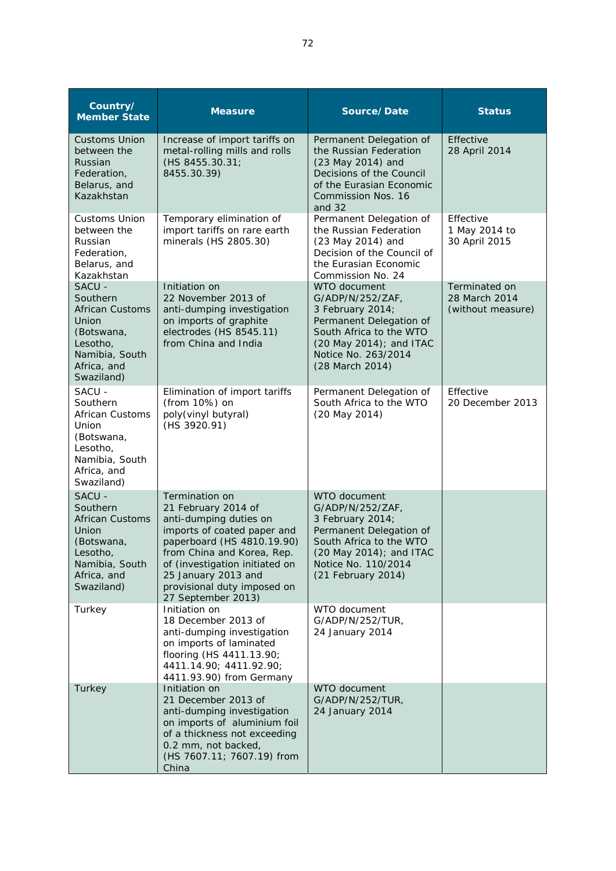| Country/<br><b>Member State</b>                                                                                                | <b>Measure</b>                                                                                                                                                                                                                                                                  | Source/Date                                                                                                                                                                          | <b>Status</b>                                       |
|--------------------------------------------------------------------------------------------------------------------------------|---------------------------------------------------------------------------------------------------------------------------------------------------------------------------------------------------------------------------------------------------------------------------------|--------------------------------------------------------------------------------------------------------------------------------------------------------------------------------------|-----------------------------------------------------|
| <b>Customs Union</b><br>between the<br>Russian<br>Federation,<br>Belarus, and<br>Kazakhstan                                    | Increase of import tariffs on<br>metal-rolling mills and rolls<br>(HS 8455.30.31;<br>8455.30.39)                                                                                                                                                                                | Permanent Delegation of<br>the Russian Federation<br>(23 May 2014) and<br>Decisions of the Council<br>of the Eurasian Economic<br>Commission Nos. 16<br>and $32$                     | Effective<br>28 April 2014                          |
| <b>Customs Union</b><br>between the<br>Russian<br>Federation,<br>Belarus, and<br>Kazakhstan                                    | Temporary elimination of<br>import tariffs on rare earth<br>minerals (HS 2805.30)                                                                                                                                                                                               | Permanent Delegation of<br>the Russian Federation<br>(23 May 2014) and<br>Decision of the Council of<br>the Eurasian Economic<br>Commission No. 24                                   | Effective<br>1 May 2014 to<br>30 April 2015         |
| SACU -<br>Southern<br><b>African Customs</b><br>Union<br>(Botswana,<br>Lesotho,<br>Namibia, South<br>Africa, and<br>Swaziland) | Initiation on<br>22 November 2013 of<br>anti-dumping investigation<br>on imports of graphite<br>electrodes (HS 8545.11)<br>from China and India                                                                                                                                 | WTO document<br>G/ADP/N/252/ZAF.<br>3 February 2014;<br>Permanent Delegation of<br>South Africa to the WTO<br>(20 May 2014); and ITAC<br>Notice No. 263/2014<br>(28 March 2014)      | Terminated on<br>28 March 2014<br>(without measure) |
| SACU -<br>Southern<br><b>African Customs</b><br>Union<br>(Botswana,<br>Lesotho,<br>Namibia, South<br>Africa, and<br>Swaziland) | Elimination of import tariffs<br>(from 10%) on<br>poly(vinyl butyral)<br>(HS 3920.91)                                                                                                                                                                                           | Permanent Delegation of<br>South Africa to the WTO<br>(20 May 2014)                                                                                                                  | Effective<br>20 December 2013                       |
| SACU -<br>Southern<br><b>African Customs</b><br>Union<br>(Botswana,<br>Lesotho,<br>Namibia, South<br>Africa, and<br>Swaziland) | <b>Termination on</b><br>21 February 2014 of<br>anti-dumping duties on<br>imports of coated paper and<br>paperboard (HS 4810.19.90)<br>from China and Korea, Rep.<br>of (investigation initiated on<br>25 January 2013 and<br>provisional duty imposed on<br>27 September 2013) | WTO document<br>G/ADP/N/252/ZAF,<br>3 February 2014;<br>Permanent Delegation of<br>South Africa to the WTO<br>$(20$ May 2014); and ITAC<br>Notice No. 110/2014<br>(21 February 2014) |                                                     |
| Turkey                                                                                                                         | Initiation on<br>18 December 2013 of<br>anti-dumping investigation<br>on imports of laminated<br>flooring (HS 4411.13.90;<br>4411.14.90; 4411.92.90;<br>4411.93.90) from Germany                                                                                                | WTO document<br>G/ADP/N/252/TUR,<br>24 January 2014                                                                                                                                  |                                                     |
| Turkey                                                                                                                         | Initiation on<br>21 December 2013 of<br>anti-dumping investigation<br>on imports of aluminium foil<br>of a thickness not exceeding<br>0.2 mm, not backed,<br>(HS 7607.11; 7607.19) from<br>China                                                                                | WTO document<br>G/ADP/N/252/TUR,<br>24 January 2014                                                                                                                                  |                                                     |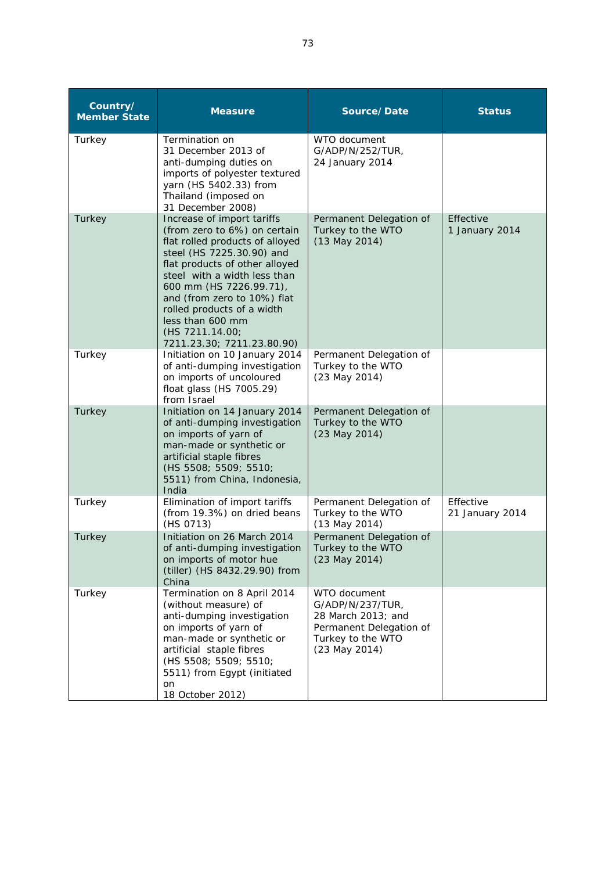| Country/<br><b>Member State</b> | <b>Measure</b>                                                                                                                                                                                                                                                                                                                                            | Source/Date                                                                                                                 | <b>Status</b>                |
|---------------------------------|-----------------------------------------------------------------------------------------------------------------------------------------------------------------------------------------------------------------------------------------------------------------------------------------------------------------------------------------------------------|-----------------------------------------------------------------------------------------------------------------------------|------------------------------|
| Turkey                          | Termination on<br>31 December 2013 of<br>anti-dumping duties on<br>imports of polyester textured<br>yarn (HS 5402.33) from<br>Thailand (imposed on<br>31 December 2008)                                                                                                                                                                                   | WTO document<br>G/ADP/N/252/TUR,<br>24 January 2014                                                                         |                              |
| Turkey                          | Increase of import tariffs<br>(from zero to 6%) on certain<br>flat rolled products of alloyed<br>steel (HS 7225.30.90) and<br>flat products of other alloyed<br>steel with a width less than<br>600 mm (HS 7226.99.71),<br>and (from zero to 10%) flat<br>rolled products of a width<br>less than 600 mm<br>(HS 7211.14.00;<br>7211.23.30; 7211.23.80.90) | Permanent Delegation of<br>Turkey to the WTO<br>$(13$ May 2014)                                                             | Effective<br>1 January 2014  |
| Turkey                          | Initiation on 10 January 2014<br>of anti-dumping investigation<br>on imports of uncoloured<br>float glass (HS 7005.29)<br>from Israel                                                                                                                                                                                                                     | Permanent Delegation of<br>Turkey to the WTO<br>(23 May 2014)                                                               |                              |
| Turkey                          | Initiation on 14 January 2014<br>of anti-dumping investigation<br>on imports of yarn of<br>man-made or synthetic or<br>artificial staple fibres<br>(HS 5508; 5509; 5510;<br>5511) from China, Indonesia,<br>India                                                                                                                                         | Permanent Delegation of<br>Turkey to the WTO<br>(23 May 2014)                                                               |                              |
| Turkey                          | Elimination of import tariffs<br>(from 19.3%) on dried beans<br>(HS 0713)                                                                                                                                                                                                                                                                                 | Permanent Delegation of<br>Turkey to the WTO<br>(13 May 2014)                                                               | Effective<br>21 January 2014 |
| Turkey                          | Initiation on 26 March 2014<br>of anti-dumping investigation<br>on imports of motor hue<br>(tiller) (HS 8432.29.90) from<br>China                                                                                                                                                                                                                         | Permanent Delegation of<br>Turkey to the WTO<br>(23 May 2014)                                                               |                              |
| Turkey                          | Termination on 8 April 2014<br>(without measure) of<br>anti-dumping investigation<br>on imports of yarn of<br>man-made or synthetic or<br>artificial staple fibres<br>(HS 5508; 5509; 5510;<br>5511) from Egypt (initiated<br>on<br>18 October 2012)                                                                                                      | WTO document<br>G/ADP/N/237/TUR,<br>28 March 2013; and<br>Permanent Delegation of<br>Turkey to the WTO<br>$(23$ May $2014)$ |                              |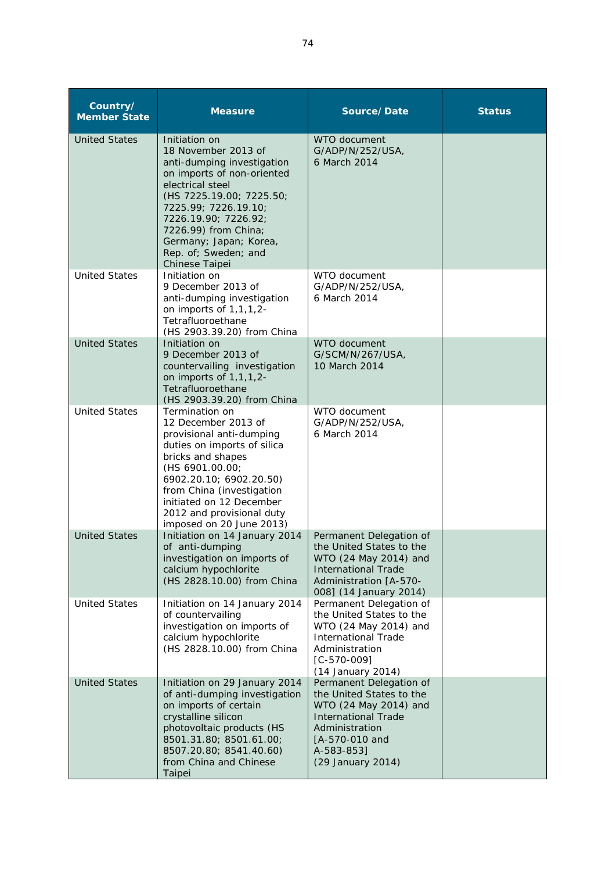| Country/<br><b>Member State</b> | <b>Measure</b>                                                                                                                                                                                                                                                                               | Source/Date                                                                                                                                                                       | <b>Status</b> |
|---------------------------------|----------------------------------------------------------------------------------------------------------------------------------------------------------------------------------------------------------------------------------------------------------------------------------------------|-----------------------------------------------------------------------------------------------------------------------------------------------------------------------------------|---------------|
| <b>United States</b>            | Initiation on<br>18 November 2013 of<br>anti-dumping investigation<br>on imports of non-oriented<br>electrical steel<br>(HS 7225.19.00; 7225.50;<br>7225.99; 7226.19.10;<br>7226.19.90; 7226.92;<br>7226.99) from China;<br>Germany; Japan; Korea,<br>Rep. of; Sweden; and<br>Chinese Taipei | WTO document<br>G/ADP/N/252/USA,<br>6 March 2014                                                                                                                                  |               |
| <b>United States</b>            | Initiation on<br>9 December 2013 of<br>anti-dumping investigation<br>on imports of $1,1,1,2$ -<br>Tetrafluoroethane<br>(HS 2903.39.20) from China                                                                                                                                            | WTO document<br>G/ADP/N/252/USA,<br>6 March 2014                                                                                                                                  |               |
| <b>United States</b>            | Initiation on<br>9 December 2013 of<br>countervailing investigation<br>on imports of $1,1,1,2$ -<br>Tetrafluoroethane<br>(HS 2903.39.20) from China                                                                                                                                          | <b>WTO</b> document<br>G/SCM/N/267/USA,<br>10 March 2014                                                                                                                          |               |
| <b>United States</b>            | Termination on<br>12 December 2013 of<br>provisional anti-dumping<br>duties on imports of silica<br>bricks and shapes<br>(HS 6901.00.00;<br>6902.20.10; 6902.20.50)<br>from China (investigation<br>initiated on 12 December<br>2012 and provisional duty<br>imposed on 20 June 2013)        | WTO document<br>G/ADP/N/252/USA,<br>6 March 2014                                                                                                                                  |               |
| <b>United States</b>            | Initiation on 14 January 2014<br>of anti-dumping<br>investigation on imports of<br>calcium hypochlorite<br>(HS 2828.10.00) from China                                                                                                                                                        | Permanent Delegation of<br>the United States to the<br>WTO (24 May 2014) and<br><b>International Trade</b><br>Administration [A-570-<br>008] (14 January 2014)                    |               |
| <b>United States</b>            | Initiation on 14 January 2014<br>of countervailing<br>investigation on imports of<br>calcium hypochlorite<br>(HS 2828.10.00) from China                                                                                                                                                      | Permanent Delegation of<br>the United States to the<br>WTO (24 May 2014) and<br><b>International Trade</b><br>Administration<br>$[C-570-009]$<br>(14 January 2014)                |               |
| <b>United States</b>            | Initiation on 29 January 2014<br>of anti-dumping investigation<br>on imports of certain<br>crystalline silicon<br>photovoltaic products (HS<br>8501.31.80; 8501.61.00;<br>8507.20.80; 8541.40.60)<br>from China and Chinese<br>Taipei                                                        | Permanent Delegation of<br>the United States to the<br>WTO (24 May 2014) and<br><b>International Trade</b><br>Administration<br>[A-570-010 and<br>A-583-853]<br>(29 January 2014) |               |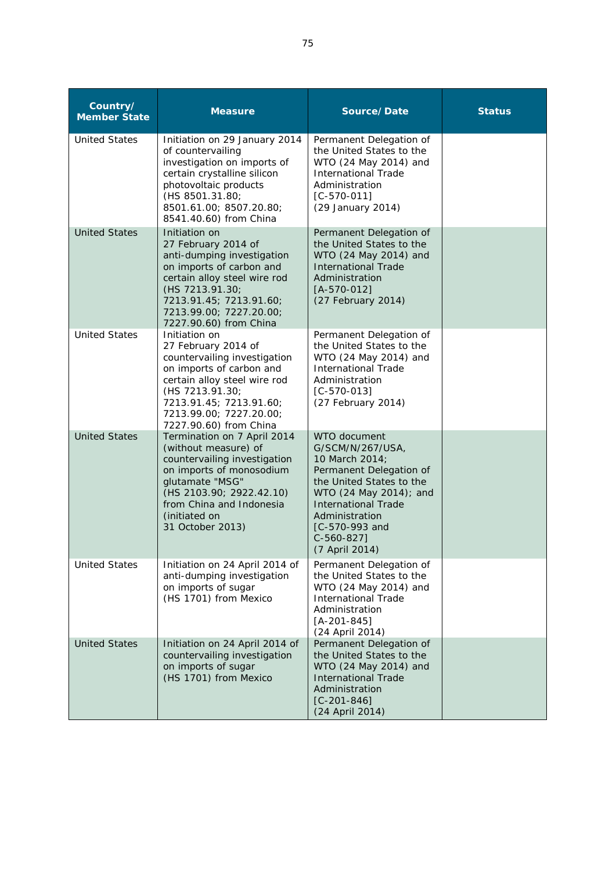| Country/<br><b>Member State</b> | <b>Measure</b>                                                                                                                                                                                                                      | Source/Date                                                                                                                                                                                                                             | <b>Status</b> |
|---------------------------------|-------------------------------------------------------------------------------------------------------------------------------------------------------------------------------------------------------------------------------------|-----------------------------------------------------------------------------------------------------------------------------------------------------------------------------------------------------------------------------------------|---------------|
| <b>United States</b>            | Initiation on 29 January 2014<br>of countervailing<br>investigation on imports of<br>certain crystalline silicon<br>photovoltaic products<br>(HS 8501.31.80;<br>8501.61.00; 8507.20.80;<br>8541.40.60) from China                   | Permanent Delegation of<br>the United States to the<br>WTO (24 May 2014) and<br><b>International Trade</b><br>Administration<br>$[C-570-011]$<br>(29 January 2014)                                                                      |               |
| <b>United States</b>            | Initiation on<br>27 February 2014 of<br>anti-dumping investigation<br>on imports of carbon and<br>certain alloy steel wire rod<br>(HS 7213.91.30;<br>7213.91.45; 7213.91.60;<br>7213.99.00; 7227.20.00;<br>7227.90.60) from China   | Permanent Delegation of<br>the United States to the<br>WTO (24 May 2014) and<br><b>International Trade</b><br>Administration<br>$[A-570-012]$<br>(27 February 2014)                                                                     |               |
| <b>United States</b>            | Initiation on<br>27 February 2014 of<br>countervailing investigation<br>on imports of carbon and<br>certain alloy steel wire rod<br>(HS 7213.91.30;<br>7213.91.45; 7213.91.60;<br>7213.99.00; 7227.20.00;<br>7227.90.60) from China | Permanent Delegation of<br>the United States to the<br>WTO (24 May 2014) and<br><b>International Trade</b><br>Administration<br>$[C-570-013]$<br>(27 February 2014)                                                                     |               |
| <b>United States</b>            | Termination on 7 April 2014<br>(without measure) of<br>countervailing investigation<br>on imports of monosodium<br>glutamate "MSG"<br>(HS 2103.90; 2922.42.10)<br>from China and Indonesia<br>(initiated on<br>31 October 2013)     | WTO document<br>G/SCM/N/267/USA,<br>10 March 2014;<br>Permanent Delegation of<br>the United States to the<br>WTO (24 May 2014); and<br><b>International Trade</b><br>Administration<br>[C-570-993 and<br>$C-560-8271$<br>(7 April 2014) |               |
| <b>United States</b>            | Initiation on 24 April 2014 of<br>anti-dumping investigation<br>on imports of sugar<br>(HS 1701) from Mexico                                                                                                                        | Permanent Delegation of<br>the United States to the<br>WTO (24 May 2014) and<br><b>International Trade</b><br>Administration<br>$[A - 201 - 845]$<br>(24 April 2014)                                                                    |               |
| <b>United States</b>            | Initiation on 24 April 2014 of<br>countervailing investigation<br>on imports of sugar<br>(HS 1701) from Mexico                                                                                                                      | Permanent Delegation of<br>the United States to the<br>WTO (24 May 2014) and<br><b>International Trade</b><br>Administration<br>$[C - 201 - 846]$<br>(24 April 2014)                                                                    |               |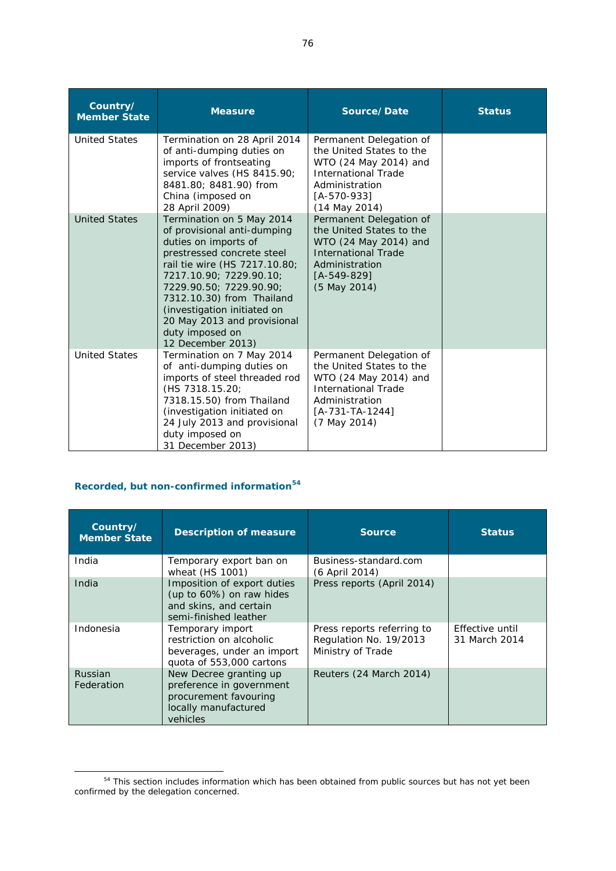| Country/<br><b>Member State</b> | <b>Measure</b>                                                                                                                                                                                                                                                                                                                           | Source/Date                                                                                                                                                       | <b>Status</b> |
|---------------------------------|------------------------------------------------------------------------------------------------------------------------------------------------------------------------------------------------------------------------------------------------------------------------------------------------------------------------------------------|-------------------------------------------------------------------------------------------------------------------------------------------------------------------|---------------|
| <b>United States</b>            | Termination on 28 April 2014<br>of anti-dumping duties on<br>imports of frontseating<br>service valves (HS 8415.90;<br>8481.80; 8481.90) from<br>China (imposed on<br>28 April 2009)                                                                                                                                                     | Permanent Delegation of<br>the United States to the<br>WTO (24 May 2014) and<br><b>International Trade</b><br>Administration<br>[A-570-933]<br>$(14$ May 2014)    |               |
| <b>United States</b>            | Termination on 5 May 2014<br>of provisional anti-dumping<br>duties on imports of<br>prestressed concrete steel<br>rail tie wire (HS 7217.10.80;<br>7217.10.90; 7229.90.10;<br>7229.90.50; 7229.90.90;<br>7312.10.30) from Thailand<br>(investigation initiated on<br>20 May 2013 and provisional<br>duty imposed on<br>12 December 2013) | Permanent Delegation of<br>the United States to the<br>WTO (24 May 2014) and<br><b>International Trade</b><br>Administration<br>[A-549-829]<br>(5 May 2014)       |               |
| <b>United States</b>            | Termination on 7 May 2014<br>of anti-dumping duties on<br>imports of steel threaded rod<br>(HS 7318.15.20:<br>7318.15.50) from Thailand<br>(investigation initiated on<br>24 July 2013 and provisional<br>duty imposed on<br>31 December 2013)                                                                                           | Permanent Delegation of<br>the United States to the<br>WTO (24 May 2014) and<br><b>International Trade</b><br>Administration<br>$[A-731-TA-1244]$<br>(7 May 2014) |               |

## **Recorded, but non-confirmed information<sup>54</sup>**

| Country/<br><b>Member State</b> | <b>Description of measure</b>                                                                                   | <b>Source</b>                                                             | <b>Status</b>                    |
|---------------------------------|-----------------------------------------------------------------------------------------------------------------|---------------------------------------------------------------------------|----------------------------------|
| India                           | Temporary export ban on<br>wheat (HS 1001)                                                                      | Business-standard.com<br>(6 April 2014)                                   |                                  |
| India                           | Imposition of export duties<br>(up to 60%) on raw hides<br>and skins, and certain<br>semi-finished leather      | Press reports (April 2014)                                                |                                  |
| Indonesia                       | Temporary import<br>restriction on alcoholic<br>beverages, under an import<br>quota of 553,000 cartons          | Press reports referring to<br>Regulation No. 19/2013<br>Ministry of Trade | Effective until<br>31 March 2014 |
| <b>Russian</b><br>Federation    | New Decree granting up<br>preference in government<br>procurement favouring<br>locally manufactured<br>vehicles | Reuters (24 March 2014)                                                   |                                  |

This section includes information which has been obtained from public sources but has not yet been confirmed by the delegation concerned.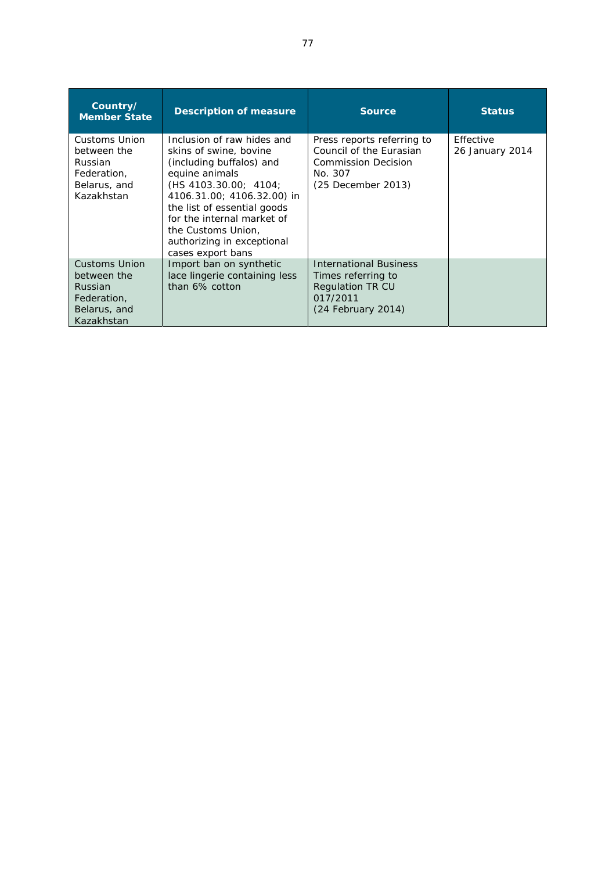| Country/<br><b>Member State</b>                                                             | <b>Description of measure</b>                                                                                                                                                                                                                                                                   | <b>Source</b>                                                                                                        | <b>Status</b>                |
|---------------------------------------------------------------------------------------------|-------------------------------------------------------------------------------------------------------------------------------------------------------------------------------------------------------------------------------------------------------------------------------------------------|----------------------------------------------------------------------------------------------------------------------|------------------------------|
| Customs Union<br>between the<br>Russian<br>Federation,<br>Belarus, and<br>Kazakhstan        | Inclusion of raw hides and<br>skins of swine, bovine<br>(including buffalos) and<br>equine animals<br>(HS 4103.30.00; 4104)<br>4106.31.00; 4106.32.00) in<br>the list of essential goods<br>for the internal market of<br>the Customs Union,<br>authorizing in exceptional<br>cases export bans | Press reports referring to<br>Council of the Eurasian<br><b>Commission Decision</b><br>No. 307<br>(25 December 2013) | Effective<br>26 January 2014 |
| <b>Customs Union</b><br>between the<br>Russian<br>Federation.<br>Belarus, and<br>Kazakhstan | Import ban on synthetic<br>lace lingerie containing less<br>than 6% cotton                                                                                                                                                                                                                      | <b>International Business</b><br>Times referring to<br><b>Regulation TR CU</b><br>017/2011<br>$(24$ February 2014)   |                              |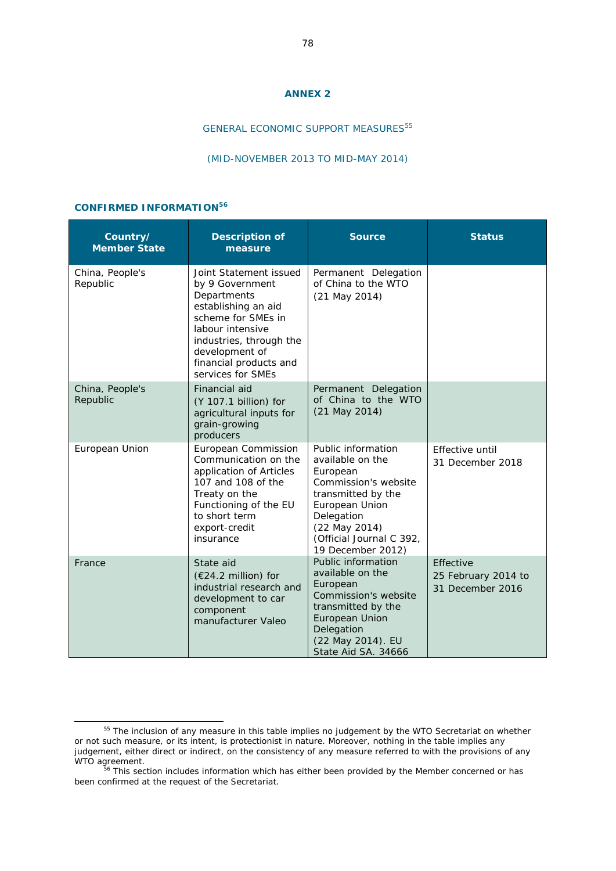#### **ANNEX 2**

## GENERAL ECONOMIC SUPPORT MEASURES<sup>55</sup>

#### (MID-NOVEMBER 2013 TO MID-MAY 2014)

### **CONFIRMED INFORMATION56**

| Country/<br><b>Member State</b> | <b>Description of</b><br>measure                                                                                                                                                                                      | <b>Source</b>                                                                                                                                                                                      | <b>Status</b>                                        |
|---------------------------------|-----------------------------------------------------------------------------------------------------------------------------------------------------------------------------------------------------------------------|----------------------------------------------------------------------------------------------------------------------------------------------------------------------------------------------------|------------------------------------------------------|
| China, People's<br>Republic     | Joint Statement issued<br>by 9 Government<br>Departments<br>establishing an aid<br>scheme for SMEs in<br>labour intensive<br>industries, through the<br>development of<br>financial products and<br>services for SMEs | Permanent Delegation<br>of China to the WTO<br>$(21$ May $2014)$                                                                                                                                   |                                                      |
| China, People's<br>Republic     | Financial aid<br>(Y 107.1 billion) for<br>agricultural inputs for<br>grain-growing<br>producers                                                                                                                       | Permanent Delegation<br>of China to the WTO<br>$(21$ May 2014)                                                                                                                                     |                                                      |
| European Union                  | European Commission<br>Communication on the<br>application of Articles<br>107 and 108 of the<br>Treaty on the<br>Functioning of the EU<br>to short term<br>export-credit<br>insurance                                 | Public information<br>available on the<br>European<br>Commission's website<br>transmitted by the<br>European Union<br>Delegation<br>(22 May 2014)<br>(Official Journal C 392,<br>19 December 2012) | Effective until<br>31 December 2018                  |
| France                          | State aid<br>(€24.2 million) for<br>industrial research and<br>development to car<br>component<br>manufacturer Valeo                                                                                                  | Public information<br>available on the<br>European<br>Commission's website<br>transmitted by the<br><b>European Union</b><br>Delegation<br>(22 May 2014). EU<br>State Aid SA. 34666                | Effective<br>25 February 2014 to<br>31 December 2016 |

<sup>&</sup>lt;sup>55</sup> The inclusion of any measure in this table implies no judgement by the WTO Secretariat on whether or not such measure, or its intent, is protectionist in nature. Moreover, nothing in the table implies any judgement, either direct or indirect, on the consistency of any measure referred to with the provisions of any WTO agreement.<br>
<sup>56</sup> This section includes information which has either been provided by the Member concerned or has

been confirmed at the request of the Secretariat.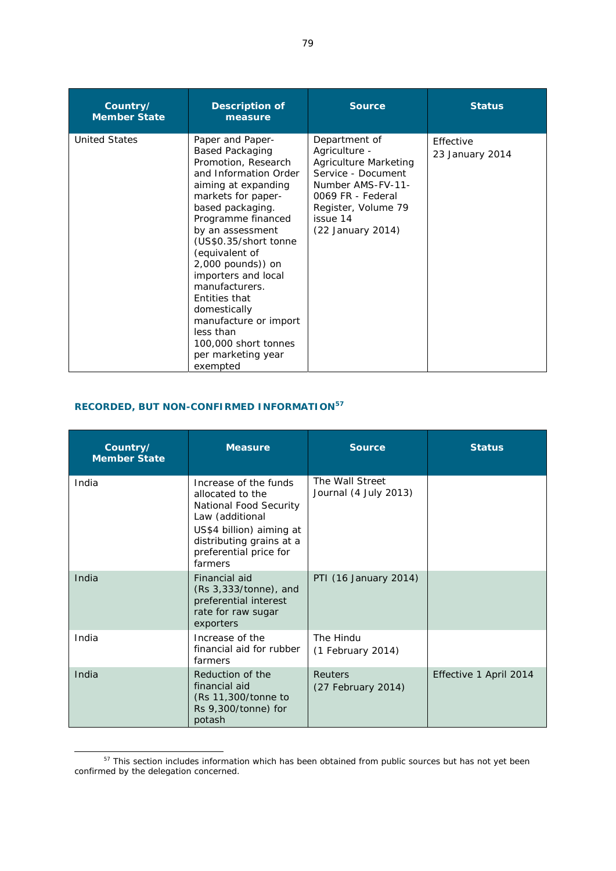| Country/<br><b>Member State</b> | <b>Description of</b><br>measure                                                                                                                                                                                                                                                                                                                                                                                                                | <b>Source</b>                                                                                                                                                                          | <b>Status</b>                |
|---------------------------------|-------------------------------------------------------------------------------------------------------------------------------------------------------------------------------------------------------------------------------------------------------------------------------------------------------------------------------------------------------------------------------------------------------------------------------------------------|----------------------------------------------------------------------------------------------------------------------------------------------------------------------------------------|------------------------------|
| <b>United States</b>            | Paper and Paper-<br><b>Based Packaging</b><br>Promotion, Research<br>and Information Order<br>aiming at expanding<br>markets for paper-<br>based packaging.<br>Programme financed<br>by an assessment<br>(US\$0.35/short tonne<br>(equivalent of<br>2,000 pounds)) on<br>importers and local<br>manufacturers.<br>Entities that<br>domestically<br>manufacture or import<br>less than<br>100,000 short tonnes<br>per marketing year<br>exempted | Department of<br>Agriculture -<br><b>Agriculture Marketing</b><br>Service - Document<br>Number AMS-FV-11-<br>0069 FR - Federal<br>Register, Volume 79<br>issue 14<br>(22 January 2014) | Effective<br>23 January 2014 |

# **RECORDED, BUT NON-CONFIRMED INFORMATION57**

| Country/<br><b>Member State</b> | <b>Measure</b>                                                                                                                                                                      | <b>Source</b>                            | <b>Status</b>          |
|---------------------------------|-------------------------------------------------------------------------------------------------------------------------------------------------------------------------------------|------------------------------------------|------------------------|
| India                           | Increase of the funds<br>allocated to the<br>National Food Security<br>Law (additional<br>US\$4 billion) aiming at<br>distributing grains at a<br>preferential price for<br>farmers | The Wall Street<br>Journal (4 July 2013) |                        |
| India                           | Financial aid<br>$(Rs 3,333/tonne)$ , and<br>preferential interest<br>rate for raw sugar<br>exporters                                                                               | PTI (16 January 2014)                    |                        |
| India                           | Increase of the<br>financial aid for rubber<br>farmers                                                                                                                              | The Hindu<br>$(1$ February 2014)         |                        |
| India                           | Reduction of the<br>financial aid<br>(Rs 11,300/tonne to<br>$Rs$ 9,300/tonne) for<br>potash                                                                                         | <b>Reuters</b><br>(27 February 2014)     | Effective 1 April 2014 |

<sup>&</sup>lt;sup>57</sup> This section includes information which has been obtained from public sources but has not yet been confirmed by the delegation concerned.